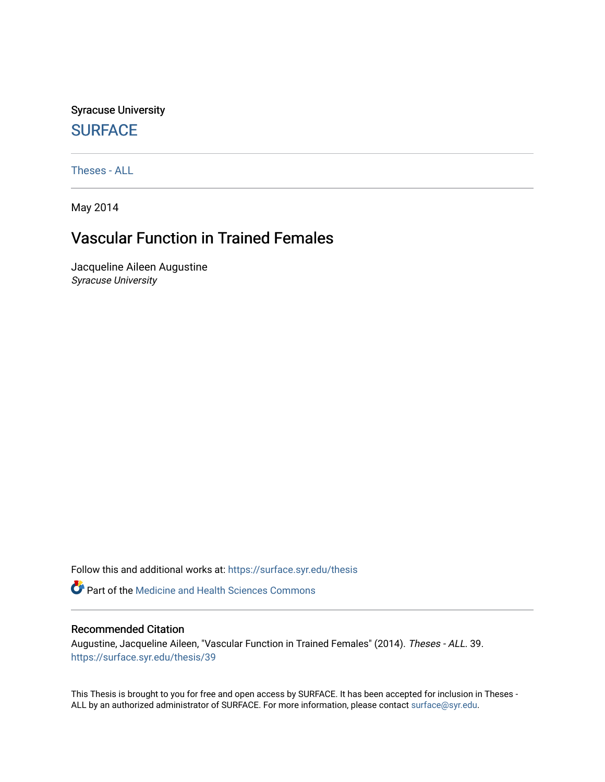Syracuse University **[SURFACE](https://surface.syr.edu/)** 

[Theses - ALL](https://surface.syr.edu/thesis)

May 2014

# Vascular Function in Trained Females

Jacqueline Aileen Augustine Syracuse University

Follow this and additional works at: [https://surface.syr.edu/thesis](https://surface.syr.edu/thesis?utm_source=surface.syr.edu%2Fthesis%2F39&utm_medium=PDF&utm_campaign=PDFCoverPages)

**P** Part of the Medicine and Health Sciences Commons

#### Recommended Citation

Augustine, Jacqueline Aileen, "Vascular Function in Trained Females" (2014). Theses - ALL. 39. [https://surface.syr.edu/thesis/39](https://surface.syr.edu/thesis/39?utm_source=surface.syr.edu%2Fthesis%2F39&utm_medium=PDF&utm_campaign=PDFCoverPages) 

This Thesis is brought to you for free and open access by SURFACE. It has been accepted for inclusion in Theses - ALL by an authorized administrator of SURFACE. For more information, please contact [surface@syr.edu](mailto:surface@syr.edu).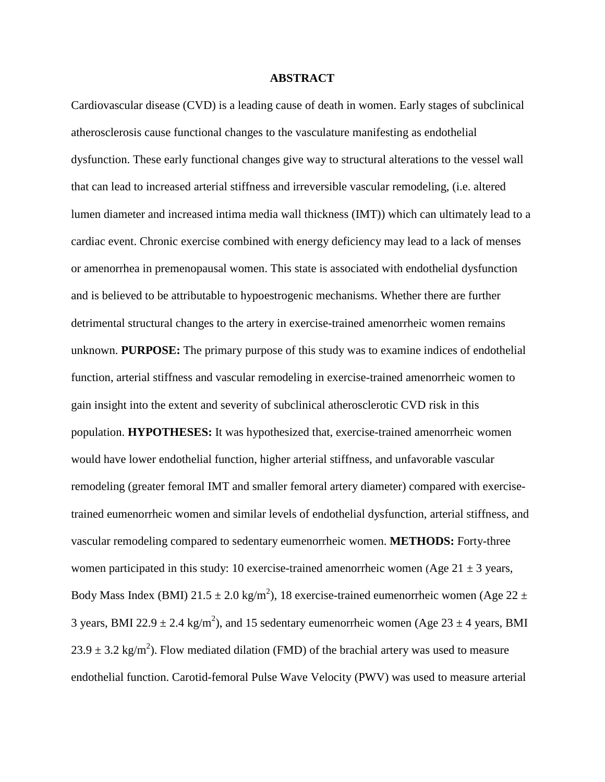#### **ABSTRACT**

Cardiovascular disease (CVD) is a leading cause of death in women. Early stages of subclinical atherosclerosis cause functional changes to the vasculature manifesting as endothelial dysfunction. These early functional changes give way to structural alterations to the vessel wall that can lead to increased arterial stiffness and irreversible vascular remodeling, (i.e. altered lumen diameter and increased intima media wall thickness (IMT)) which can ultimately lead to a cardiac event. Chronic exercise combined with energy deficiency may lead to a lack of menses or amenorrhea in premenopausal women. This state is associated with endothelial dysfunction and is believed to be attributable to hypoestrogenic mechanisms. Whether there are further detrimental structural changes to the artery in exercise-trained amenorrheic women remains unknown. **PURPOSE:** The primary purpose of this study was to examine indices of endothelial function, arterial stiffness and vascular remodeling in exercise-trained amenorrheic women to gain insight into the extent and severity of subclinical atherosclerotic CVD risk in this population. **HYPOTHESES:** It was hypothesized that, exercise-trained amenorrheic women would have lower endothelial function, higher arterial stiffness, and unfavorable vascular remodeling (greater femoral IMT and smaller femoral artery diameter) compared with exercisetrained eumenorrheic women and similar levels of endothelial dysfunction, arterial stiffness, and vascular remodeling compared to sedentary eumenorrheic women. **METHODS:** Forty-three women participated in this study: 10 exercise-trained amenorrheic women (Age  $21 \pm 3$  years, Body Mass Index (BMI) 21.5  $\pm$  2.0 kg/m<sup>2</sup>), 18 exercise-trained eumenorrheic women (Age 22  $\pm$ 3 years, BMI 22.9  $\pm$  2.4 kg/m<sup>2</sup>), and 15 sedentary eumenorrheic women (Age 23  $\pm$  4 years, BMI  $23.9 \pm 3.2$  kg/m<sup>2</sup>). Flow mediated dilation (FMD) of the brachial artery was used to measure endothelial function. Carotid-femoral Pulse Wave Velocity (PWV) was used to measure arterial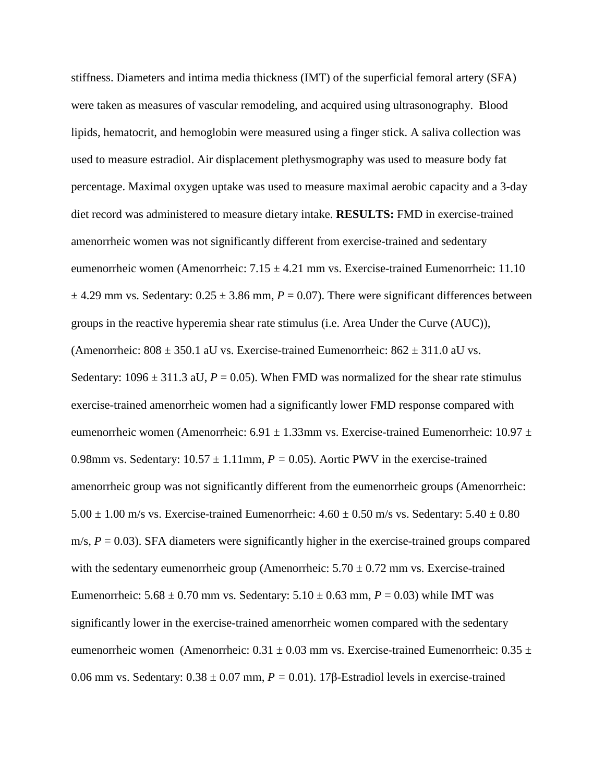stiffness. Diameters and intima media thickness (IMT) of the superficial femoral artery (SFA) were taken as measures of vascular remodeling, and acquired using ultrasonography. Blood lipids, hematocrit, and hemoglobin were measured using a finger stick. A saliva collection was used to measure estradiol. Air displacement plethysmography was used to measure body fat percentage. Maximal oxygen uptake was used to measure maximal aerobic capacity and a 3-day diet record was administered to measure dietary intake. **RESULTS:** FMD in exercise-trained amenorrheic women was not significantly different from exercise-trained and sedentary eumenorrheic women (Amenorrheic:  $7.15 \pm 4.21$  mm vs. Exercise-trained Eumenorrheic: 11.10  $\pm$  4.29 mm vs. Sedentary:  $0.25 \pm 3.86$  mm,  $P = 0.07$ ). There were significant differences between groups in the reactive hyperemia shear rate stimulus (i.e. Area Under the Curve (AUC)), (Amenorrheic:  $808 \pm 350.1$  aU vs. Exercise-trained Eumenorrheic:  $862 \pm 311.0$  aU vs. Sedentary:  $1096 \pm 311.3$  aU,  $P = 0.05$ ). When FMD was normalized for the shear rate stimulus exercise-trained amenorrheic women had a significantly lower FMD response compared with eumenorrheic women (Amenorrheic:  $6.91 \pm 1.33$ mm vs. Exercise-trained Eumenorrheic:  $10.97 \pm$ 0.98mm vs. Sedentary:  $10.57 \pm 1.11$  mm,  $P = 0.05$ ). Aortic PWV in the exercise-trained amenorrheic group was not significantly different from the eumenorrheic groups (Amenorrheic:  $5.00 \pm 1.00$  m/s vs. Exercise-trained Eumenorrheic:  $4.60 \pm 0.50$  m/s vs. Sedentary:  $5.40 \pm 0.80$ m/s,  $P = 0.03$ ). SFA diameters were significantly higher in the exercise-trained groups compared with the sedentary eumenorrheic group (Amenorrheic:  $5.70 \pm 0.72$  mm vs. Exercise-trained Eumenorrheic:  $5.68 \pm 0.70$  mm vs. Sedentary:  $5.10 \pm 0.63$  mm,  $P = 0.03$ ) while IMT was significantly lower in the exercise-trained amenorrheic women compared with the sedentary eumenorrheic women (Amenorrheic:  $0.31 \pm 0.03$  mm vs. Exercise-trained Eumenorrheic:  $0.35 \pm$ 0.06 mm vs. Sedentary:  $0.38 \pm 0.07$  mm,  $P = 0.01$ ). 17 $\beta$ -Estradiol levels in exercise-trained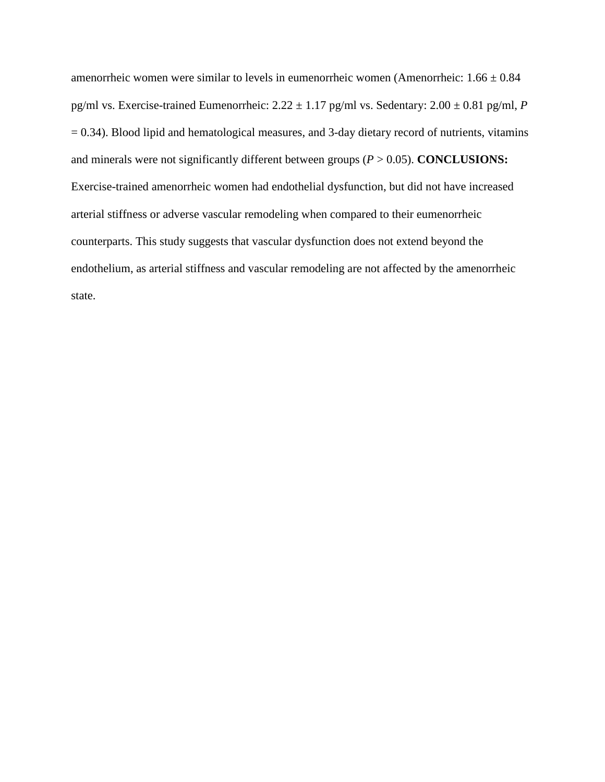amenorrheic women were similar to levels in eumenorrheic women (Amenorrheic:  $1.66 \pm 0.84$ ) pg/ml vs. Exercise-trained Eumenorrheic:  $2.22 \pm 1.17$  pg/ml vs. Sedentary:  $2.00 \pm 0.81$  pg/ml, *P*  $= 0.34$ ). Blood lipid and hematological measures, and 3-day dietary record of nutrients, vitamins and minerals were not significantly different between groups  $(P > 0.05)$ . **CONCLUSIONS:** Exercise-trained amenorrheic women had endothelial dysfunction, but did not have increased arterial stiffness or adverse vascular remodeling when compared to their eumenorrheic counterparts. This study suggests that vascular dysfunction does not extend beyond the endothelium, as arterial stiffness and vascular remodeling are not affected by the amenorrheic state.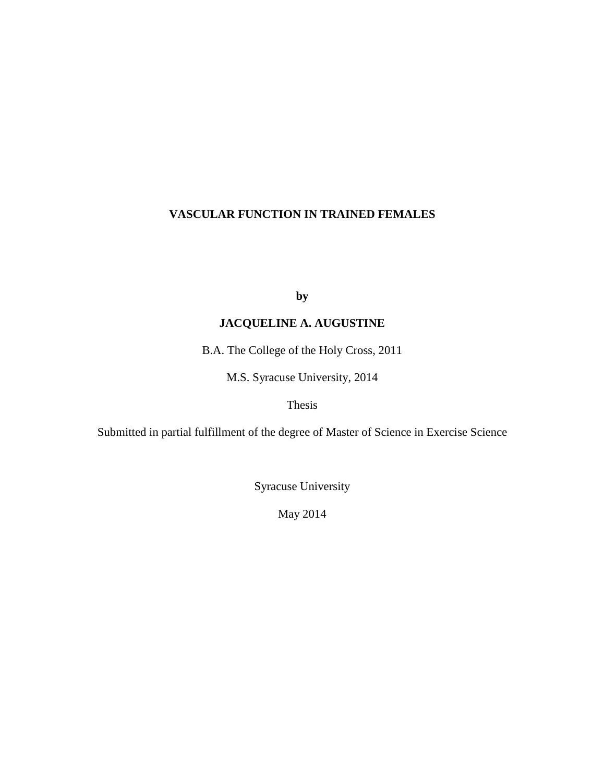## **VASCULAR FUNCTION IN TRAINED FEMALES**

**by** 

## **JACQUELINE A. AUGUSTINE**

B.A. The College of the Holy Cross, 2011

M.S. Syracuse University, 2014

Thesis

Submitted in partial fulfillment of the degree of Master of Science in Exercise Science

Syracuse University

May 2014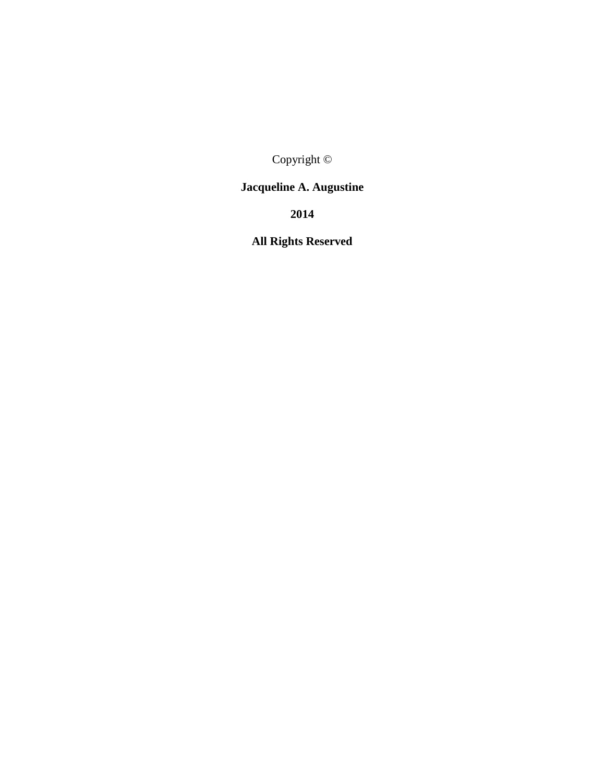Copyright ©

# **Jacqueline A. Augustine**

**2014** 

**All Rights Reserved**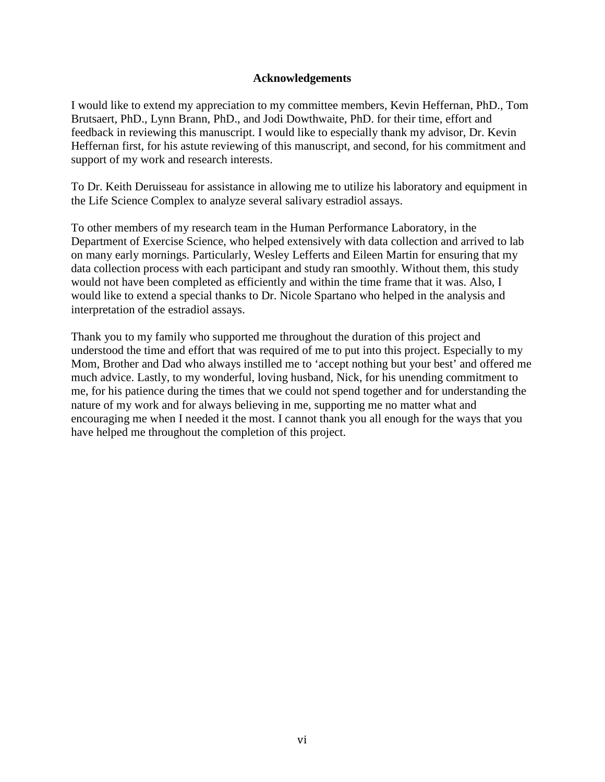### **Acknowledgements**

I would like to extend my appreciation to my committee members, Kevin Heffernan, PhD., Tom Brutsaert, PhD., Lynn Brann, PhD., and Jodi Dowthwaite, PhD. for their time, effort and feedback in reviewing this manuscript. I would like to especially thank my advisor, Dr. Kevin Heffernan first, for his astute reviewing of this manuscript, and second, for his commitment and support of my work and research interests.

To Dr. Keith Deruisseau for assistance in allowing me to utilize his laboratory and equipment in the Life Science Complex to analyze several salivary estradiol assays.

To other members of my research team in the Human Performance Laboratory, in the Department of Exercise Science, who helped extensively with data collection and arrived to lab on many early mornings. Particularly, Wesley Lefferts and Eileen Martin for ensuring that my data collection process with each participant and study ran smoothly. Without them, this study would not have been completed as efficiently and within the time frame that it was. Also, I would like to extend a special thanks to Dr. Nicole Spartano who helped in the analysis and interpretation of the estradiol assays.

Thank you to my family who supported me throughout the duration of this project and understood the time and effort that was required of me to put into this project. Especially to my Mom, Brother and Dad who always instilled me to 'accept nothing but your best' and offered me much advice. Lastly, to my wonderful, loving husband, Nick, for his unending commitment to me, for his patience during the times that we could not spend together and for understanding the nature of my work and for always believing in me, supporting me no matter what and encouraging me when I needed it the most. I cannot thank you all enough for the ways that you have helped me throughout the completion of this project.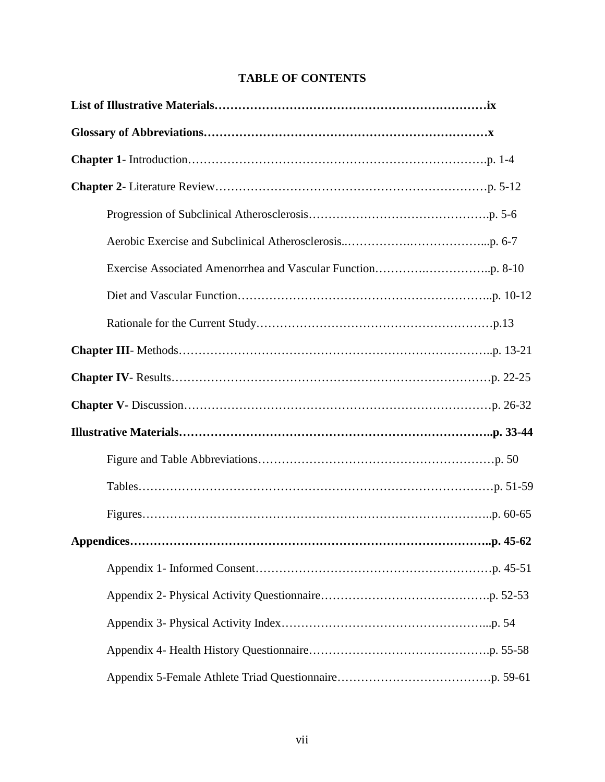|  | <b>TABLE OF CONTENTS</b> |
|--|--------------------------|
|--|--------------------------|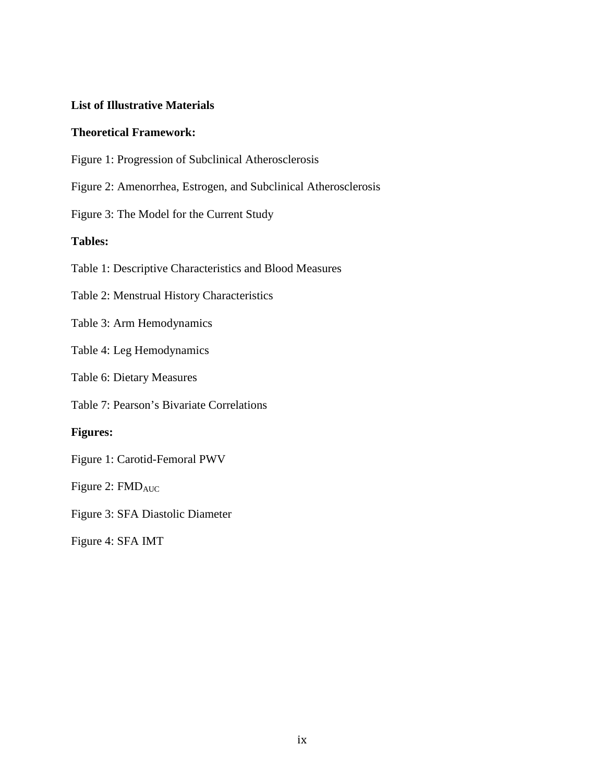## **List of Illustrative Materials**

## **Theoretical Framework:**

- Figure 1: Progression of Subclinical Atherosclerosis
- Figure 2: Amenorrhea, Estrogen, and Subclinical Atherosclerosis
- Figure 3: The Model for the Current Study

## **Tables:**

Table 1: Descriptive Characteristics and Blood Measures

Table 2: Menstrual History Characteristics

- Table 3: Arm Hemodynamics
- Table 4: Leg Hemodynamics

Table 6: Dietary Measures

Table 7: Pearson's Bivariate Correlations

## **Figures:**

Figure 1: Carotid-Femoral PWV

Figure 2: FMD<sub>AUC</sub>

Figure 3: SFA Diastolic Diameter

Figure 4: SFA IMT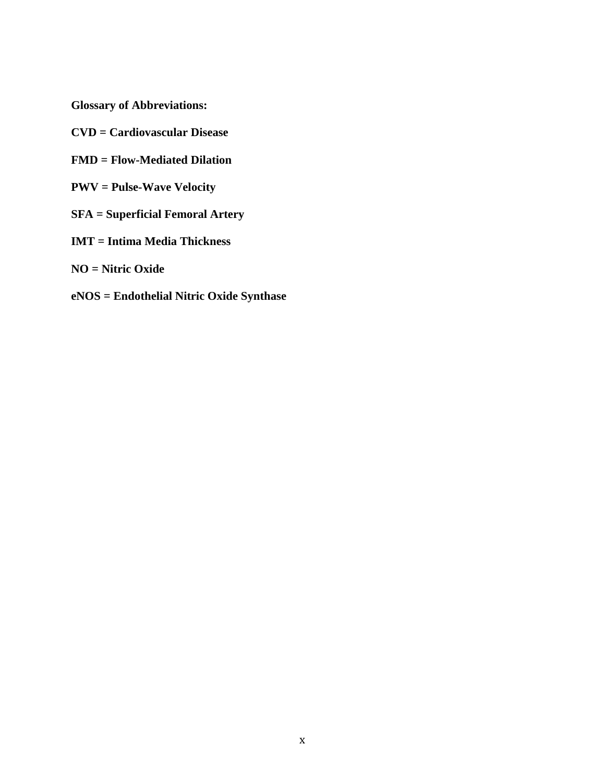**Glossary of Abbreviations:** 

- **CVD = Cardiovascular Disease**
- **FMD = Flow-Mediated Dilation**
- **PWV = Pulse-Wave Velocity**
- **SFA = Superficial Femoral Artery**
- **IMT = Intima Media Thickness**
- **NO = Nitric Oxide**
- **eNOS = Endothelial Nitric Oxide Synthase**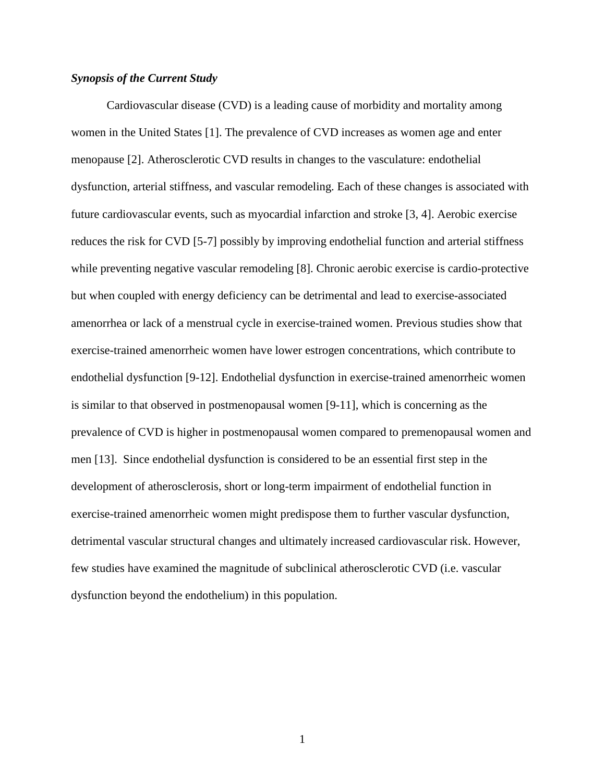#### *Synopsis of the Current Study*

Cardiovascular disease (CVD) is a leading cause of morbidity and mortality among women in the United States [1]. The prevalence of CVD increases as women age and enter menopause [2]. Atherosclerotic CVD results in changes to the vasculature: endothelial dysfunction, arterial stiffness, and vascular remodeling. Each of these changes is associated with future cardiovascular events, such as myocardial infarction and stroke [3, 4]. Aerobic exercise reduces the risk for CVD [5-7] possibly by improving endothelial function and arterial stiffness while preventing negative vascular remodeling [8]. Chronic aerobic exercise is cardio-protective but when coupled with energy deficiency can be detrimental and lead to exercise-associated amenorrhea or lack of a menstrual cycle in exercise-trained women. Previous studies show that exercise-trained amenorrheic women have lower estrogen concentrations, which contribute to endothelial dysfunction [9-12]. Endothelial dysfunction in exercise-trained amenorrheic women is similar to that observed in postmenopausal women [9-11], which is concerning as the prevalence of CVD is higher in postmenopausal women compared to premenopausal women and men [13]. Since endothelial dysfunction is considered to be an essential first step in the development of atherosclerosis, short or long-term impairment of endothelial function in exercise-trained amenorrheic women might predispose them to further vascular dysfunction, detrimental vascular structural changes and ultimately increased cardiovascular risk. However, few studies have examined the magnitude of subclinical atherosclerotic CVD (i.e. vascular dysfunction beyond the endothelium) in this population.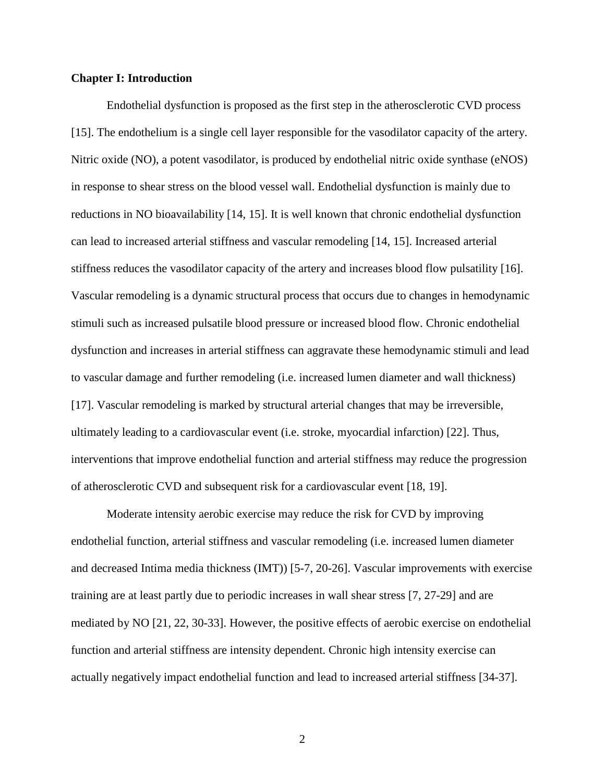#### **Chapter I: Introduction**

Endothelial dysfunction is proposed as the first step in the atherosclerotic CVD process [15]. The endothelium is a single cell layer responsible for the vasodilator capacity of the artery. Nitric oxide (NO), a potent vasodilator, is produced by endothelial nitric oxide synthase (eNOS) in response to shear stress on the blood vessel wall. Endothelial dysfunction is mainly due to reductions in NO bioavailability [14, 15]. It is well known that chronic endothelial dysfunction can lead to increased arterial stiffness and vascular remodeling [14, 15]. Increased arterial stiffness reduces the vasodilator capacity of the artery and increases blood flow pulsatility [16]. Vascular remodeling is a dynamic structural process that occurs due to changes in hemodynamic stimuli such as increased pulsatile blood pressure or increased blood flow. Chronic endothelial dysfunction and increases in arterial stiffness can aggravate these hemodynamic stimuli and lead to vascular damage and further remodeling (i.e. increased lumen diameter and wall thickness) [17]. Vascular remodeling is marked by structural arterial changes that may be irreversible, ultimately leading to a cardiovascular event (i.e. stroke, myocardial infarction) [22]. Thus, interventions that improve endothelial function and arterial stiffness may reduce the progression of atherosclerotic CVD and subsequent risk for a cardiovascular event [18, 19].

Moderate intensity aerobic exercise may reduce the risk for CVD by improving endothelial function, arterial stiffness and vascular remodeling (i.e. increased lumen diameter and decreased Intima media thickness (IMT)) [5-7, 20-26]. Vascular improvements with exercise training are at least partly due to periodic increases in wall shear stress [7, 27-29] and are mediated by NO [21, 22, 30-33]. However, the positive effects of aerobic exercise on endothelial function and arterial stiffness are intensity dependent. Chronic high intensity exercise can actually negatively impact endothelial function and lead to increased arterial stiffness [34-37].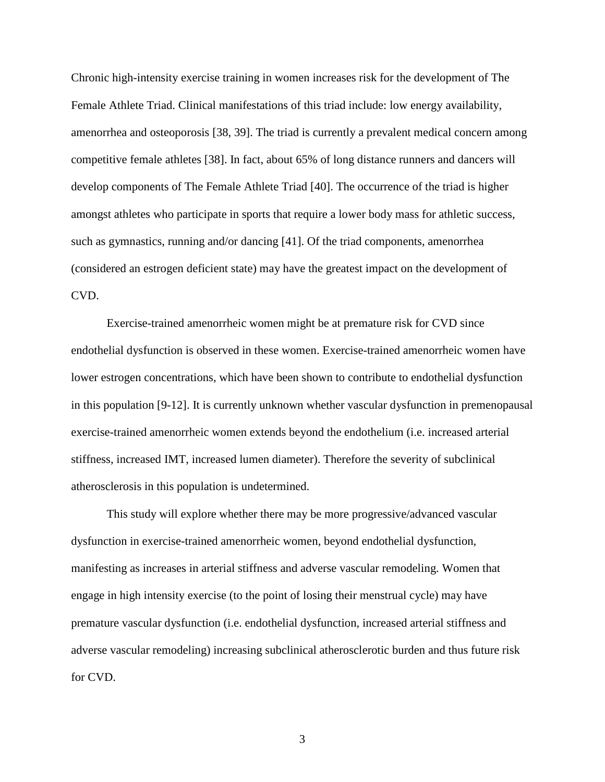Chronic high-intensity exercise training in women increases risk for the development of The Female Athlete Triad. Clinical manifestations of this triad include: low energy availability, amenorrhea and osteoporosis [38, 39]. The triad is currently a prevalent medical concern among competitive female athletes [38]. In fact, about 65% of long distance runners and dancers will develop components of The Female Athlete Triad [40]. The occurrence of the triad is higher amongst athletes who participate in sports that require a lower body mass for athletic success, such as gymnastics, running and/or dancing [41]. Of the triad components, amenorrhea (considered an estrogen deficient state) may have the greatest impact on the development of CVD.

Exercise-trained amenorrheic women might be at premature risk for CVD since endothelial dysfunction is observed in these women. Exercise-trained amenorrheic women have lower estrogen concentrations, which have been shown to contribute to endothelial dysfunction in this population [9-12]. It is currently unknown whether vascular dysfunction in premenopausal exercise-trained amenorrheic women extends beyond the endothelium (i.e. increased arterial stiffness, increased IMT, increased lumen diameter). Therefore the severity of subclinical atherosclerosis in this population is undetermined.

This study will explore whether there may be more progressive/advanced vascular dysfunction in exercise-trained amenorrheic women, beyond endothelial dysfunction, manifesting as increases in arterial stiffness and adverse vascular remodeling. Women that engage in high intensity exercise (to the point of losing their menstrual cycle) may have premature vascular dysfunction (i.e. endothelial dysfunction, increased arterial stiffness and adverse vascular remodeling) increasing subclinical atherosclerotic burden and thus future risk for CVD.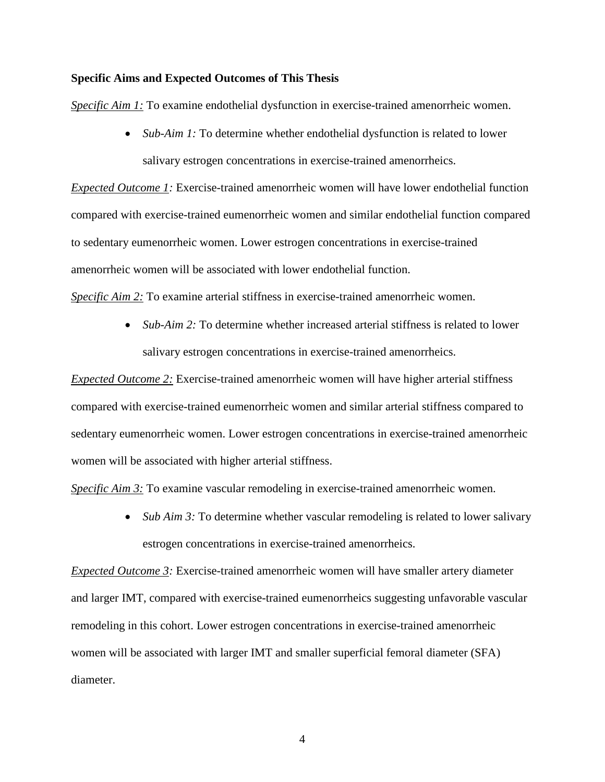#### **Specific Aims and Expected Outcomes of This Thesis**

*Specific Aim 1:* To examine endothelial dysfunction in exercise-trained amenorrheic women.

• *Sub-Aim 1:* To determine whether endothelial dysfunction is related to lower salivary estrogen concentrations in exercise-trained amenorrheics.

*Expected Outcome 1:* Exercise-trained amenorrheic women will have lower endothelial function compared with exercise-trained eumenorrheic women and similar endothelial function compared to sedentary eumenorrheic women. Lower estrogen concentrations in exercise-trained amenorrheic women will be associated with lower endothelial function.

*Specific Aim 2:* To examine arterial stiffness in exercise-trained amenorrheic women.

• *Sub-Aim 2:* To determine whether increased arterial stiffness is related to lower salivary estrogen concentrations in exercise-trained amenorrheics.

*Expected Outcome 2:* Exercise-trained amenorrheic women will have higher arterial stiffness compared with exercise-trained eumenorrheic women and similar arterial stiffness compared to sedentary eumenorrheic women. Lower estrogen concentrations in exercise-trained amenorrheic women will be associated with higher arterial stiffness.

*Specific Aim 3:* To examine vascular remodeling in exercise-trained amenorrheic women.

• *Sub Aim 3:* To determine whether vascular remodeling is related to lower salivary estrogen concentrations in exercise-trained amenorrheics.

*Expected Outcome 3:* Exercise-trained amenorrheic women will have smaller artery diameter and larger IMT, compared with exercise-trained eumenorrheics suggesting unfavorable vascular remodeling in this cohort. Lower estrogen concentrations in exercise-trained amenorrheic women will be associated with larger IMT and smaller superficial femoral diameter (SFA) diameter.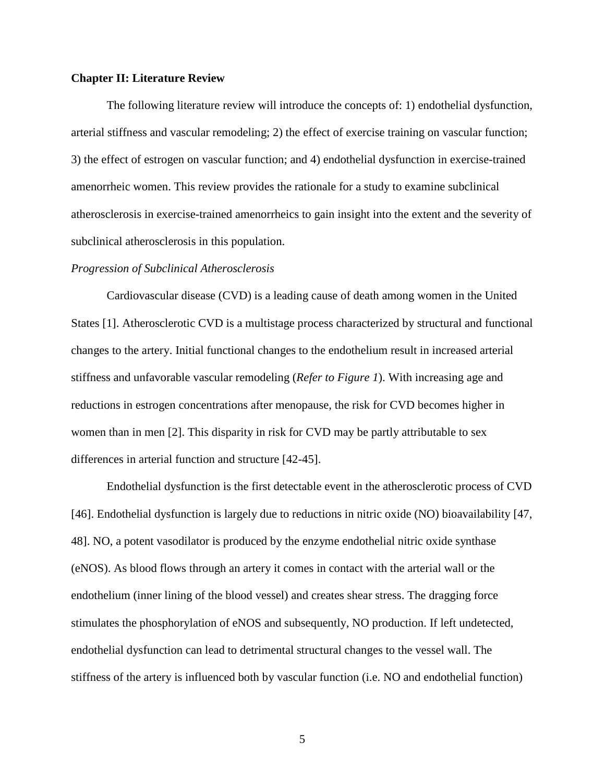#### **Chapter II: Literature Review**

The following literature review will introduce the concepts of: 1) endothelial dysfunction, arterial stiffness and vascular remodeling; 2) the effect of exercise training on vascular function; 3) the effect of estrogen on vascular function; and 4) endothelial dysfunction in exercise-trained amenorrheic women. This review provides the rationale for a study to examine subclinical atherosclerosis in exercise-trained amenorrheics to gain insight into the extent and the severity of subclinical atherosclerosis in this population.

#### *Progression of Subclinical Atherosclerosis*

Cardiovascular disease (CVD) is a leading cause of death among women in the United States [1]. Atherosclerotic CVD is a multistage process characterized by structural and functional changes to the artery. Initial functional changes to the endothelium result in increased arterial stiffness and unfavorable vascular remodeling (*Refer to Figure 1*). With increasing age and reductions in estrogen concentrations after menopause, the risk for CVD becomes higher in women than in men [2]. This disparity in risk for CVD may be partly attributable to sex differences in arterial function and structure [42-45].

Endothelial dysfunction is the first detectable event in the atherosclerotic process of CVD [46]. Endothelial dysfunction is largely due to reductions in nitric oxide (NO) bioavailability [47, 48]. NO, a potent vasodilator is produced by the enzyme endothelial nitric oxide synthase (eNOS). As blood flows through an artery it comes in contact with the arterial wall or the endothelium (inner lining of the blood vessel) and creates shear stress. The dragging force stimulates the phosphorylation of eNOS and subsequently, NO production. If left undetected, endothelial dysfunction can lead to detrimental structural changes to the vessel wall. The stiffness of the artery is influenced both by vascular function (i.e. NO and endothelial function)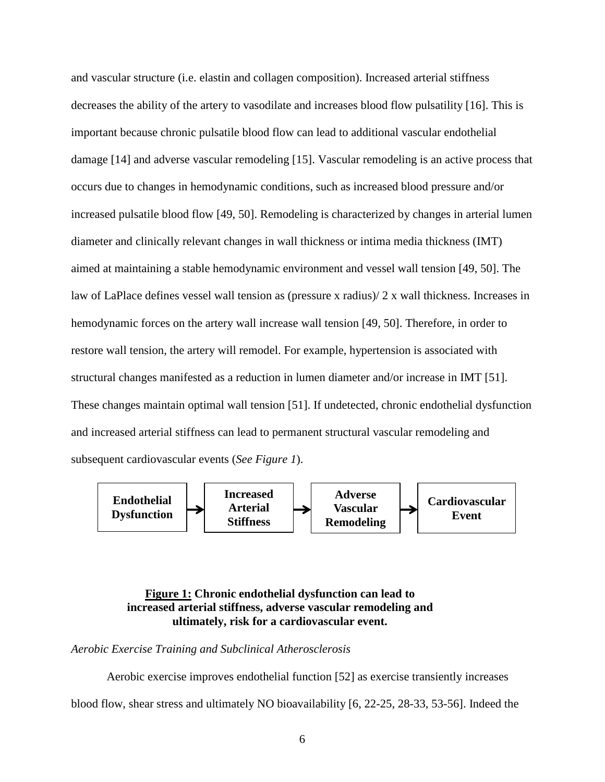and vascular structure (i.e. elastin and collagen composition). Increased arterial stiffness decreases the ability of the artery to vasodilate and increases blood flow pulsatility [16]. This is important because chronic pulsatile blood flow can lead to additional vascular endothelial damage [14] and adverse vascular remodeling [15]. Vascular remodeling is an active process that occurs due to changes in hemodynamic conditions, such as increased blood pressure and/or increased pulsatile blood flow [49, 50]. Remodeling is characterized by changes in arterial lumen diameter and clinically relevant changes in wall thickness or intima media thickness (IMT) aimed at maintaining a stable hemodynamic environment and vessel wall tension [49, 50]. The law of LaPlace defines vessel wall tension as (pressure x radius)/ 2 x wall thickness. Increases in hemodynamic forces on the artery wall increase wall tension [49, 50]. Therefore, in order to restore wall tension, the artery will remodel. For example, hypertension is associated with structural changes manifested as a reduction in lumen diameter and/or increase in IMT [51]. These changes maintain optimal wall tension [51]. If undetected, chronic endothelial dysfunction and increased arterial stiffness can lead to permanent structural vascular remodeling and subsequent cardiovascular events (*See Figure 1*).



## **Figure 1: Chronic endothelial dysfunction can lead to increased arterial stiffness, adverse vascular remodeling and ultimately, risk for a cardiovascular event.**

*Aerobic Exercise Training and Subclinical Atherosclerosis* 

Aerobic exercise improves endothelial function [52] as exercise transiently increases blood flow, shear stress and ultimately NO bioavailability [6, 22-25, 28-33, 53-56]. Indeed the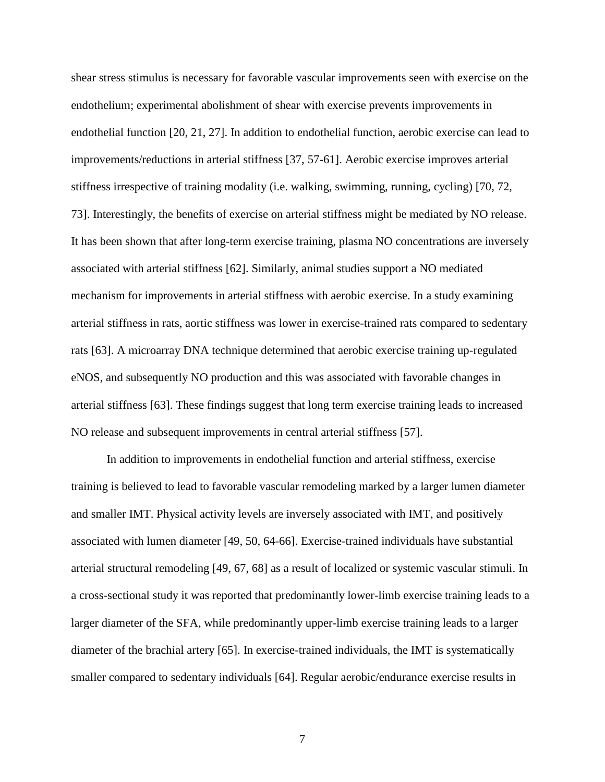shear stress stimulus is necessary for favorable vascular improvements seen with exercise on the endothelium; experimental abolishment of shear with exercise prevents improvements in endothelial function [20, 21, 27]. In addition to endothelial function, aerobic exercise can lead to improvements/reductions in arterial stiffness [37, 57-61]. Aerobic exercise improves arterial stiffness irrespective of training modality (i.e. walking, swimming, running, cycling) [70, 72, 73]. Interestingly, the benefits of exercise on arterial stiffness might be mediated by NO release. It has been shown that after long-term exercise training, plasma NO concentrations are inversely associated with arterial stiffness [62]. Similarly, animal studies support a NO mediated mechanism for improvements in arterial stiffness with aerobic exercise. In a study examining arterial stiffness in rats, aortic stiffness was lower in exercise-trained rats compared to sedentary rats [63]. A microarray DNA technique determined that aerobic exercise training up-regulated eNOS, and subsequently NO production and this was associated with favorable changes in arterial stiffness [63]. These findings suggest that long term exercise training leads to increased NO release and subsequent improvements in central arterial stiffness [57].

In addition to improvements in endothelial function and arterial stiffness, exercise training is believed to lead to favorable vascular remodeling marked by a larger lumen diameter and smaller IMT. Physical activity levels are inversely associated with IMT, and positively associated with lumen diameter [49, 50, 64-66]. Exercise-trained individuals have substantial arterial structural remodeling [49, 67, 68] as a result of localized or systemic vascular stimuli. In a cross-sectional study it was reported that predominantly lower-limb exercise training leads to a larger diameter of the SFA, while predominantly upper-limb exercise training leads to a larger diameter of the brachial artery [65]. In exercise-trained individuals, the IMT is systematically smaller compared to sedentary individuals [64]. Regular aerobic/endurance exercise results in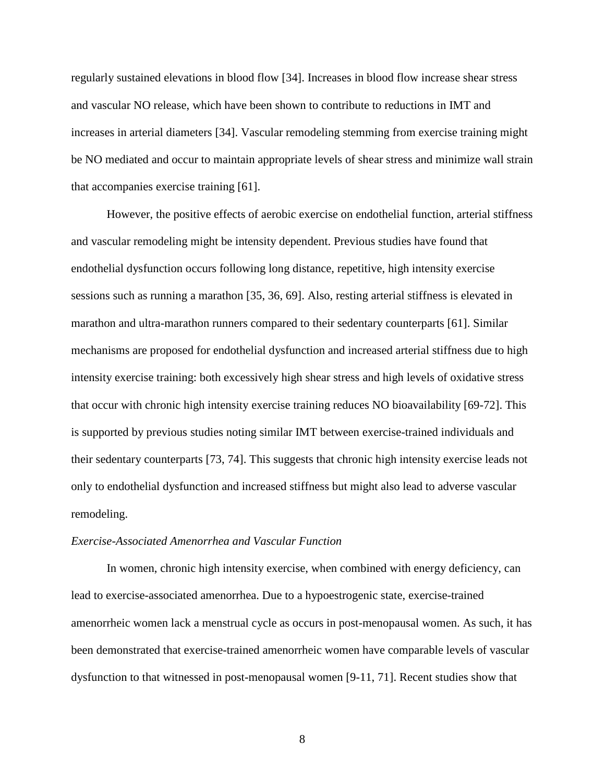regularly sustained elevations in blood flow [34]. Increases in blood flow increase shear stress and vascular NO release, which have been shown to contribute to reductions in IMT and increases in arterial diameters [34]. Vascular remodeling stemming from exercise training might be NO mediated and occur to maintain appropriate levels of shear stress and minimize wall strain that accompanies exercise training [61].

However, the positive effects of aerobic exercise on endothelial function, arterial stiffness and vascular remodeling might be intensity dependent. Previous studies have found that endothelial dysfunction occurs following long distance, repetitive, high intensity exercise sessions such as running a marathon [35, 36, 69]. Also, resting arterial stiffness is elevated in marathon and ultra-marathon runners compared to their sedentary counterparts [61]. Similar mechanisms are proposed for endothelial dysfunction and increased arterial stiffness due to high intensity exercise training: both excessively high shear stress and high levels of oxidative stress that occur with chronic high intensity exercise training reduces NO bioavailability [69-72]. This is supported by previous studies noting similar IMT between exercise-trained individuals and their sedentary counterparts [73, 74]. This suggests that chronic high intensity exercise leads not only to endothelial dysfunction and increased stiffness but might also lead to adverse vascular remodeling.

#### *Exercise-Associated Amenorrhea and Vascular Function*

In women, chronic high intensity exercise, when combined with energy deficiency, can lead to exercise-associated amenorrhea. Due to a hypoestrogenic state, exercise-trained amenorrheic women lack a menstrual cycle as occurs in post-menopausal women. As such, it has been demonstrated that exercise-trained amenorrheic women have comparable levels of vascular dysfunction to that witnessed in post-menopausal women [9-11, 71]. Recent studies show that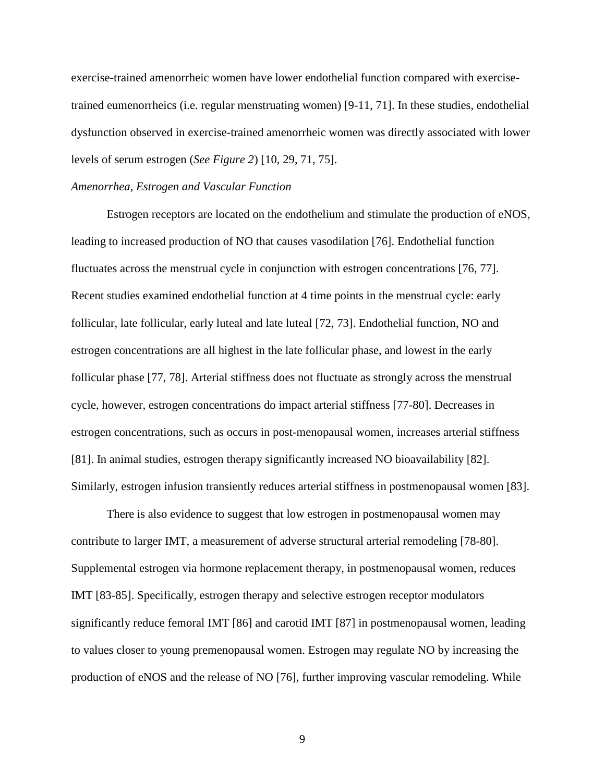exercise-trained amenorrheic women have lower endothelial function compared with exercisetrained eumenorrheics (i.e. regular menstruating women) [9-11, 71]. In these studies, endothelial dysfunction observed in exercise-trained amenorrheic women was directly associated with lower levels of serum estrogen (*See Figure 2*) [10, 29, 71, 75].

#### *Amenorrhea, Estrogen and Vascular Function*

Estrogen receptors are located on the endothelium and stimulate the production of eNOS, leading to increased production of NO that causes vasodilation [76]. Endothelial function fluctuates across the menstrual cycle in conjunction with estrogen concentrations [76, 77]. Recent studies examined endothelial function at 4 time points in the menstrual cycle: early follicular, late follicular, early luteal and late luteal [72, 73]. Endothelial function, NO and estrogen concentrations are all highest in the late follicular phase, and lowest in the early follicular phase [77, 78]. Arterial stiffness does not fluctuate as strongly across the menstrual cycle, however, estrogen concentrations do impact arterial stiffness [77-80]. Decreases in estrogen concentrations, such as occurs in post-menopausal women, increases arterial stiffness [81]. In animal studies, estrogen therapy significantly increased NO bioavailability [82]. Similarly, estrogen infusion transiently reduces arterial stiffness in postmenopausal women [83].

There is also evidence to suggest that low estrogen in postmenopausal women may contribute to larger IMT, a measurement of adverse structural arterial remodeling [78-80]. Supplemental estrogen via hormone replacement therapy, in postmenopausal women, reduces IMT [83-85]. Specifically, estrogen therapy and selective estrogen receptor modulators significantly reduce femoral IMT [86] and carotid IMT [87] in postmenopausal women, leading to values closer to young premenopausal women. Estrogen may regulate NO by increasing the production of eNOS and the release of NO [76], further improving vascular remodeling. While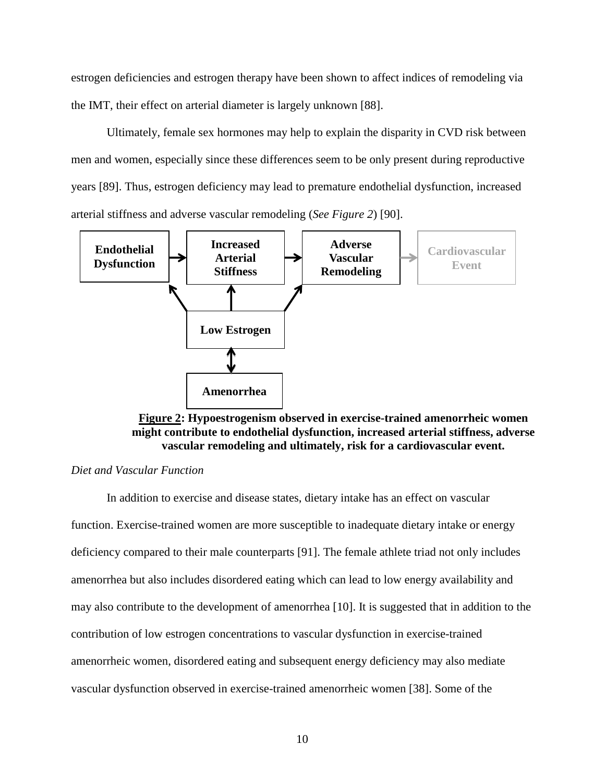estrogen deficiencies and estrogen therapy have been shown to affect indices of remodeling via the IMT, their effect on arterial diameter is largely unknown [88].

Ultimately, female sex hormones may help to explain the disparity in CVD risk between men and women, especially since these differences seem to be only present during reproductive years [89]. Thus, estrogen deficiency may lead to premature endothelial dysfunction, increased arterial stiffness and adverse vascular remodeling (*See Figure 2*) [90].



**Figure 2: Hypoestrogenism observed in exercise-trained amenorrheic women might contribute to endothelial dysfunction, increased arterial stiffness, adverse vascular remodeling and ultimately, risk for a cardiovascular event.** 

#### *Diet and Vascular Function*

In addition to exercise and disease states, dietary intake has an effect on vascular function. Exercise-trained women are more susceptible to inadequate dietary intake or energy deficiency compared to their male counterparts [91]. The female athlete triad not only includes amenorrhea but also includes disordered eating which can lead to low energy availability and may also contribute to the development of amenorrhea [10]. It is suggested that in addition to the contribution of low estrogen concentrations to vascular dysfunction in exercise-trained amenorrheic women, disordered eating and subsequent energy deficiency may also mediate vascular dysfunction observed in exercise-trained amenorrheic women [38]. Some of the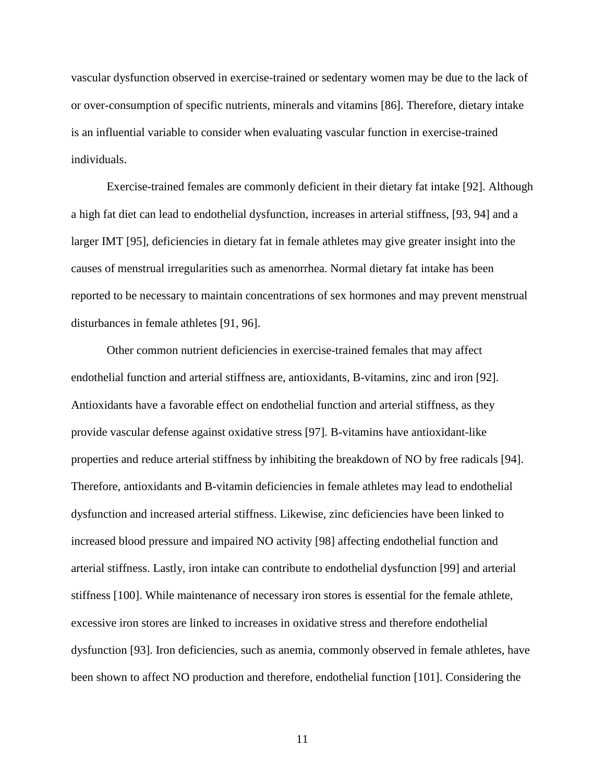vascular dysfunction observed in exercise-trained or sedentary women may be due to the lack of or over-consumption of specific nutrients, minerals and vitamins [86]. Therefore, dietary intake is an influential variable to consider when evaluating vascular function in exercise-trained individuals.

Exercise-trained females are commonly deficient in their dietary fat intake [92]. Although a high fat diet can lead to endothelial dysfunction, increases in arterial stiffness, [93, 94] and a larger IMT [95], deficiencies in dietary fat in female athletes may give greater insight into the causes of menstrual irregularities such as amenorrhea. Normal dietary fat intake has been reported to be necessary to maintain concentrations of sex hormones and may prevent menstrual disturbances in female athletes [91, 96].

Other common nutrient deficiencies in exercise-trained females that may affect endothelial function and arterial stiffness are, antioxidants, B-vitamins, zinc and iron [92]. Antioxidants have a favorable effect on endothelial function and arterial stiffness, as they provide vascular defense against oxidative stress [97]. B-vitamins have antioxidant-like properties and reduce arterial stiffness by inhibiting the breakdown of NO by free radicals [94]. Therefore, antioxidants and B-vitamin deficiencies in female athletes may lead to endothelial dysfunction and increased arterial stiffness. Likewise, zinc deficiencies have been linked to increased blood pressure and impaired NO activity [98] affecting endothelial function and arterial stiffness. Lastly, iron intake can contribute to endothelial dysfunction [99] and arterial stiffness [100]. While maintenance of necessary iron stores is essential for the female athlete, excessive iron stores are linked to increases in oxidative stress and therefore endothelial dysfunction [93]. Iron deficiencies, such as anemia, commonly observed in female athletes, have been shown to affect NO production and therefore, endothelial function [101]. Considering the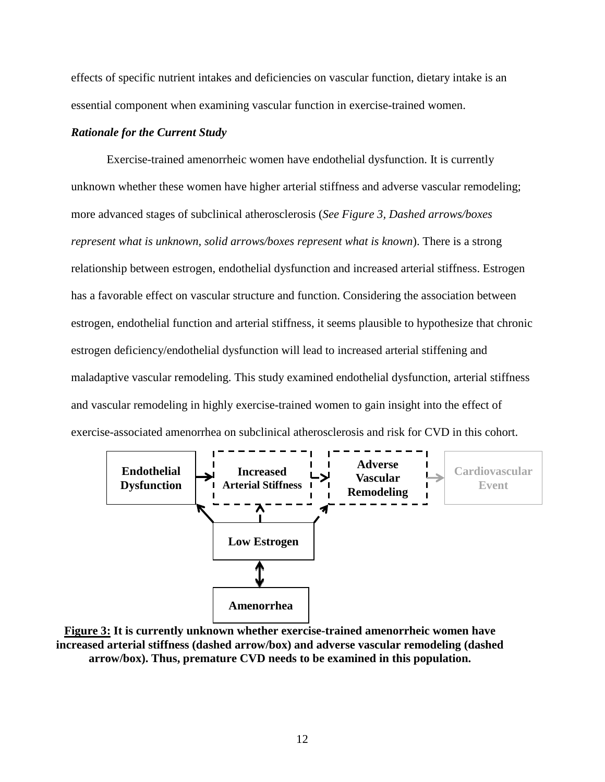effects of specific nutrient intakes and deficiencies on vascular function, dietary intake is an essential component when examining vascular function in exercise-trained women.

#### *Rationale for the Current Study*

Exercise-trained amenorrheic women have endothelial dysfunction. It is currently unknown whether these women have higher arterial stiffness and adverse vascular remodeling; more advanced stages of subclinical atherosclerosis (*See Figure 3, Dashed arrows/boxes represent what is unknown, solid arrows/boxes represent what is known*). There is a strong relationship between estrogen, endothelial dysfunction and increased arterial stiffness. Estrogen has a favorable effect on vascular structure and function. Considering the association between estrogen, endothelial function and arterial stiffness, it seems plausible to hypothesize that chronic estrogen deficiency/endothelial dysfunction will lead to increased arterial stiffening and maladaptive vascular remodeling. This study examined endothelial dysfunction, arterial stiffness and vascular remodeling in highly exercise-trained women to gain insight into the effect of exercise-associated amenorrhea on subclinical atherosclerosis and risk for CVD in this cohort.



**Figure 3: It is currently unknown whether exercise-trained amenorrheic women have increased arterial stiffness (dashed arrow/box) and adverse vascular remodeling (dashed arrow/box). Thus, premature CVD needs to be examined in this population.**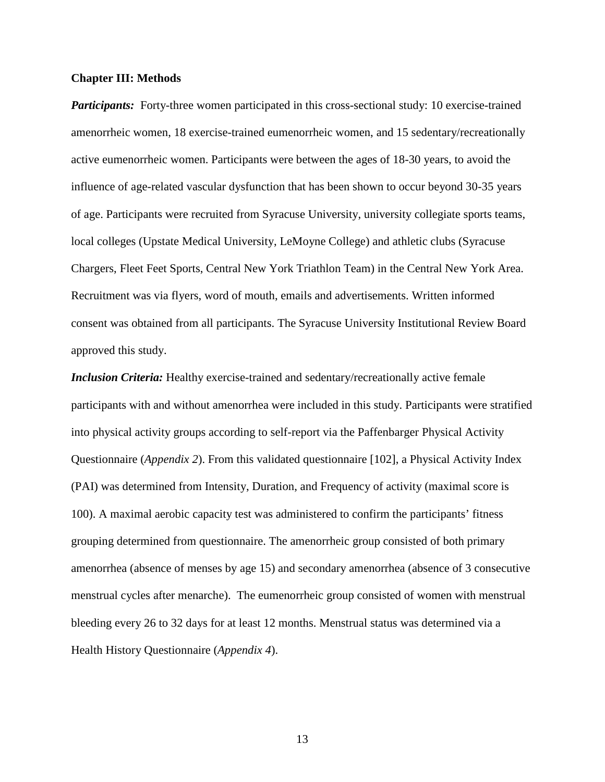#### **Chapter III: Methods**

*Participants:* Forty-three women participated in this cross-sectional study: 10 exercise-trained amenorrheic women, 18 exercise-trained eumenorrheic women, and 15 sedentary/recreationally active eumenorrheic women. Participants were between the ages of 18-30 years, to avoid the influence of age-related vascular dysfunction that has been shown to occur beyond 30-35 years of age. Participants were recruited from Syracuse University, university collegiate sports teams, local colleges (Upstate Medical University, LeMoyne College) and athletic clubs (Syracuse Chargers, Fleet Feet Sports, Central New York Triathlon Team) in the Central New York Area. Recruitment was via flyers, word of mouth, emails and advertisements. Written informed consent was obtained from all participants. The Syracuse University Institutional Review Board approved this study.

*Inclusion Criteria:* Healthy exercise-trained and sedentary/recreationally active female participants with and without amenorrhea were included in this study. Participants were stratified into physical activity groups according to self-report via the Paffenbarger Physical Activity Questionnaire (*Appendix 2*). From this validated questionnaire [102], a Physical Activity Index (PAI) was determined from Intensity, Duration, and Frequency of activity (maximal score is 100). A maximal aerobic capacity test was administered to confirm the participants' fitness grouping determined from questionnaire. The amenorrheic group consisted of both primary amenorrhea (absence of menses by age 15) and secondary amenorrhea (absence of 3 consecutive menstrual cycles after menarche). The eumenorrheic group consisted of women with menstrual bleeding every 26 to 32 days for at least 12 months. Menstrual status was determined via a Health History Questionnaire (*Appendix 4*).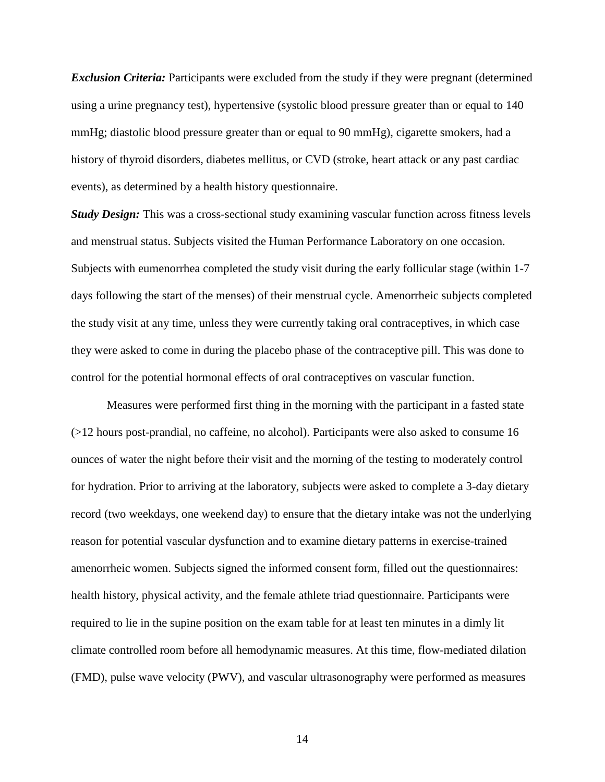*Exclusion Criteria:* Participants were excluded from the study if they were pregnant (determined using a urine pregnancy test), hypertensive (systolic blood pressure greater than or equal to 140 mmHg; diastolic blood pressure greater than or equal to 90 mmHg), cigarette smokers, had a history of thyroid disorders, diabetes mellitus, or CVD (stroke, heart attack or any past cardiac events), as determined by a health history questionnaire.

*Study Design:* This was a cross-sectional study examining vascular function across fitness levels and menstrual status. Subjects visited the Human Performance Laboratory on one occasion. Subjects with eumenorrhea completed the study visit during the early follicular stage (within 1-7 days following the start of the menses) of their menstrual cycle. Amenorrheic subjects completed the study visit at any time, unless they were currently taking oral contraceptives, in which case they were asked to come in during the placebo phase of the contraceptive pill. This was done to control for the potential hormonal effects of oral contraceptives on vascular function.

Measures were performed first thing in the morning with the participant in a fasted state (>12 hours post-prandial, no caffeine, no alcohol). Participants were also asked to consume 16 ounces of water the night before their visit and the morning of the testing to moderately control for hydration. Prior to arriving at the laboratory, subjects were asked to complete a 3-day dietary record (two weekdays, one weekend day) to ensure that the dietary intake was not the underlying reason for potential vascular dysfunction and to examine dietary patterns in exercise-trained amenorrheic women. Subjects signed the informed consent form, filled out the questionnaires: health history, physical activity, and the female athlete triad questionnaire. Participants were required to lie in the supine position on the exam table for at least ten minutes in a dimly lit climate controlled room before all hemodynamic measures. At this time, flow-mediated dilation (FMD), pulse wave velocity (PWV), and vascular ultrasonography were performed as measures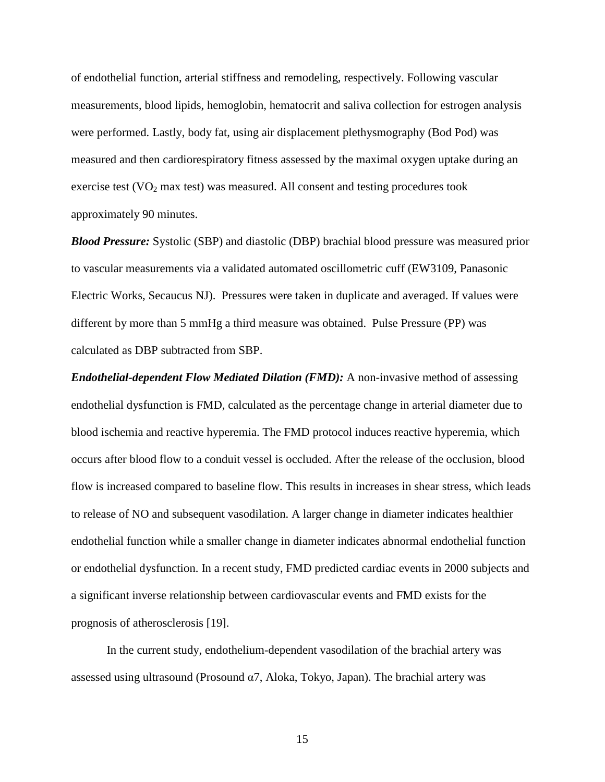of endothelial function, arterial stiffness and remodeling, respectively. Following vascular measurements, blood lipids, hemoglobin, hematocrit and saliva collection for estrogen analysis were performed. Lastly, body fat, using air displacement plethysmography (Bod Pod) was measured and then cardiorespiratory fitness assessed by the maximal oxygen uptake during an exercise test  $(VO<sub>2</sub> max test)$  was measured. All consent and testing procedures took approximately 90 minutes.

*Blood Pressure:* Systolic (SBP) and diastolic (DBP) brachial blood pressure was measured prior to vascular measurements via a validated automated oscillometric cuff (EW3109, Panasonic Electric Works, Secaucus NJ). Pressures were taken in duplicate and averaged. If values were different by more than 5 mmHg a third measure was obtained. Pulse Pressure (PP) was calculated as DBP subtracted from SBP.

*Endothelial-dependent Flow Mediated Dilation (FMD):* A non-invasive method of assessing endothelial dysfunction is FMD, calculated as the percentage change in arterial diameter due to blood ischemia and reactive hyperemia. The FMD protocol induces reactive hyperemia, which occurs after blood flow to a conduit vessel is occluded. After the release of the occlusion, blood flow is increased compared to baseline flow. This results in increases in shear stress, which leads to release of NO and subsequent vasodilation. A larger change in diameter indicates healthier endothelial function while a smaller change in diameter indicates abnormal endothelial function or endothelial dysfunction. In a recent study, FMD predicted cardiac events in 2000 subjects and a significant inverse relationship between cardiovascular events and FMD exists for the prognosis of atherosclerosis [19].

In the current study, endothelium-dependent vasodilation of the brachial artery was assessed using ultrasound (Prosound  $\alpha$ 7, Aloka, Tokyo, Japan). The brachial artery was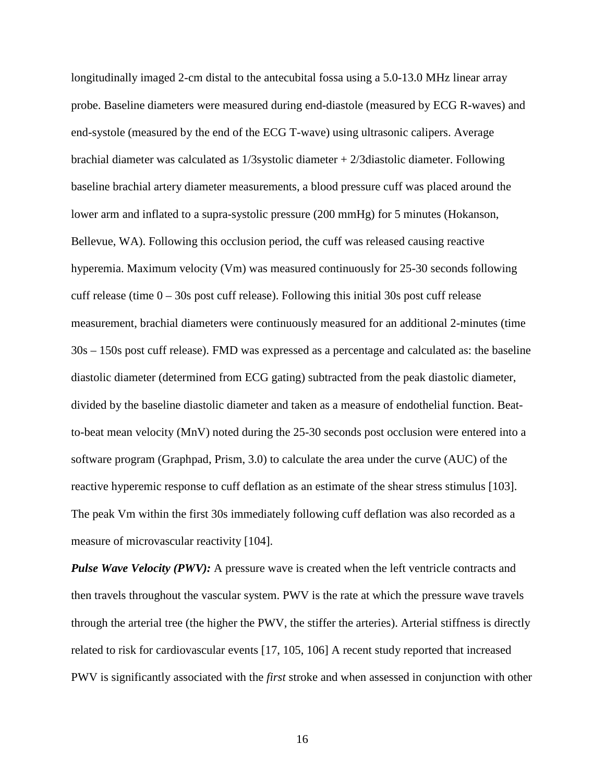longitudinally imaged 2-cm distal to the antecubital fossa using a 5.0-13.0 MHz linear array probe. Baseline diameters were measured during end-diastole (measured by ECG R-waves) and end-systole (measured by the end of the ECG T-wave) using ultrasonic calipers. Average brachial diameter was calculated as 1/3systolic diameter + 2/3diastolic diameter. Following baseline brachial artery diameter measurements, a blood pressure cuff was placed around the lower arm and inflated to a supra-systolic pressure (200 mmHg) for 5 minutes (Hokanson, Bellevue, WA). Following this occlusion period, the cuff was released causing reactive hyperemia. Maximum velocity (Vm) was measured continuously for 25-30 seconds following cuff release (time  $0 - 30s$  post cuff release). Following this initial 30s post cuff release measurement, brachial diameters were continuously measured for an additional 2-minutes (time 30s – 150s post cuff release). FMD was expressed as a percentage and calculated as: the baseline diastolic diameter (determined from ECG gating) subtracted from the peak diastolic diameter, divided by the baseline diastolic diameter and taken as a measure of endothelial function. Beatto-beat mean velocity (MnV) noted during the 25-30 seconds post occlusion were entered into a software program (Graphpad, Prism, 3.0) to calculate the area under the curve (AUC) of the reactive hyperemic response to cuff deflation as an estimate of the shear stress stimulus [103]. The peak Vm within the first 30s immediately following cuff deflation was also recorded as a measure of microvascular reactivity [104].

*Pulse Wave Velocity (PWV):* A pressure wave is created when the left ventricle contracts and then travels throughout the vascular system. PWV is the rate at which the pressure wave travels through the arterial tree (the higher the PWV, the stiffer the arteries). Arterial stiffness is directly related to risk for cardiovascular events [17, 105, 106] A recent study reported that increased PWV is significantly associated with the *first* stroke and when assessed in conjunction with other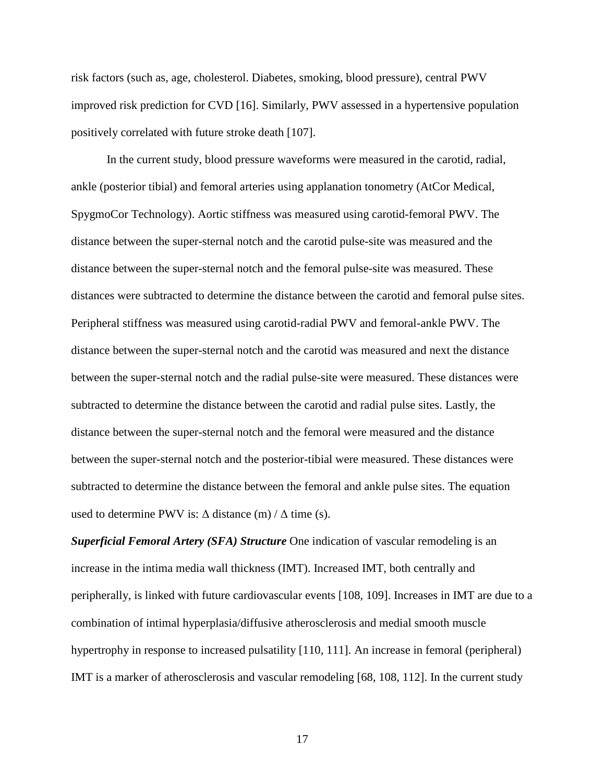risk factors (such as, age, cholesterol. Diabetes, smoking, blood pressure), central PWV improved risk prediction for CVD [16]. Similarly, PWV assessed in a hypertensive population positively correlated with future stroke death [107].

In the current study, blood pressure waveforms were measured in the carotid, radial, ankle (posterior tibial) and femoral arteries using applanation tonometry (AtCor Medical, SpygmoCor Technology). Aortic stiffness was measured using carotid-femoral PWV. The distance between the super-sternal notch and the carotid pulse-site was measured and the distance between the super-sternal notch and the femoral pulse-site was measured. These distances were subtracted to determine the distance between the carotid and femoral pulse sites. Peripheral stiffness was measured using carotid-radial PWV and femoral-ankle PWV. The distance between the super-sternal notch and the carotid was measured and next the distance between the super-sternal notch and the radial pulse-site were measured. These distances were subtracted to determine the distance between the carotid and radial pulse sites. Lastly, the distance between the super-sternal notch and the femoral were measured and the distance between the super-sternal notch and the posterior-tibial were measured. These distances were subtracted to determine the distance between the femoral and ankle pulse sites. The equation used to determine PWV is:  $\Delta$  distance (m) /  $\Delta$  time (s).

*Superficial Femoral Artery (SFA) Structure* One indication of vascular remodeling is an increase in the intima media wall thickness (IMT). Increased IMT, both centrally and peripherally, is linked with future cardiovascular events [108, 109]. Increases in IMT are due to a combination of intimal hyperplasia/diffusive atherosclerosis and medial smooth muscle hypertrophy in response to increased pulsatility [110, 111]. An increase in femoral (peripheral) IMT is a marker of atherosclerosis and vascular remodeling [68, 108, 112]. In the current study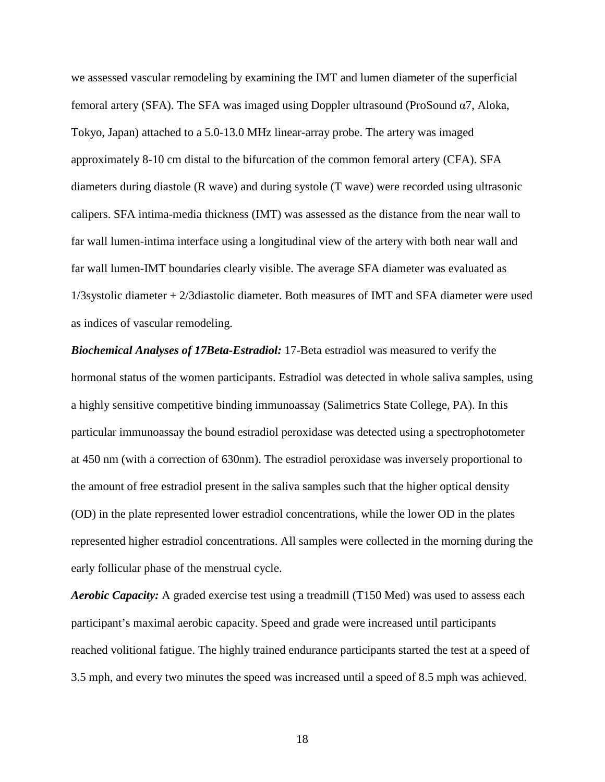we assessed vascular remodeling by examining the IMT and lumen diameter of the superficial femoral artery (SFA). The SFA was imaged using Doppler ultrasound (ProSound α7, Aloka, Tokyo, Japan) attached to a 5.0-13.0 MHz linear-array probe. The artery was imaged approximately 8-10 cm distal to the bifurcation of the common femoral artery (CFA). SFA diameters during diastole (R wave) and during systole (T wave) were recorded using ultrasonic calipers. SFA intima-media thickness (IMT) was assessed as the distance from the near wall to far wall lumen-intima interface using a longitudinal view of the artery with both near wall and far wall lumen-IMT boundaries clearly visible. The average SFA diameter was evaluated as 1/3systolic diameter + 2/3diastolic diameter. Both measures of IMT and SFA diameter were used as indices of vascular remodeling.

*Biochemical Analyses of 17Beta-Estradiol:* 17-Beta estradiol was measured to verify the hormonal status of the women participants. Estradiol was detected in whole saliva samples, using a highly sensitive competitive binding immunoassay (Salimetrics State College, PA). In this particular immunoassay the bound estradiol peroxidase was detected using a spectrophotometer at 450 nm (with a correction of 630nm). The estradiol peroxidase was inversely proportional to the amount of free estradiol present in the saliva samples such that the higher optical density (OD) in the plate represented lower estradiol concentrations, while the lower OD in the plates represented higher estradiol concentrations. All samples were collected in the morning during the early follicular phase of the menstrual cycle.

*Aerobic Capacity:* A graded exercise test using a treadmill (T150 Med) was used to assess each participant's maximal aerobic capacity. Speed and grade were increased until participants reached volitional fatigue. The highly trained endurance participants started the test at a speed of 3.5 mph, and every two minutes the speed was increased until a speed of 8.5 mph was achieved.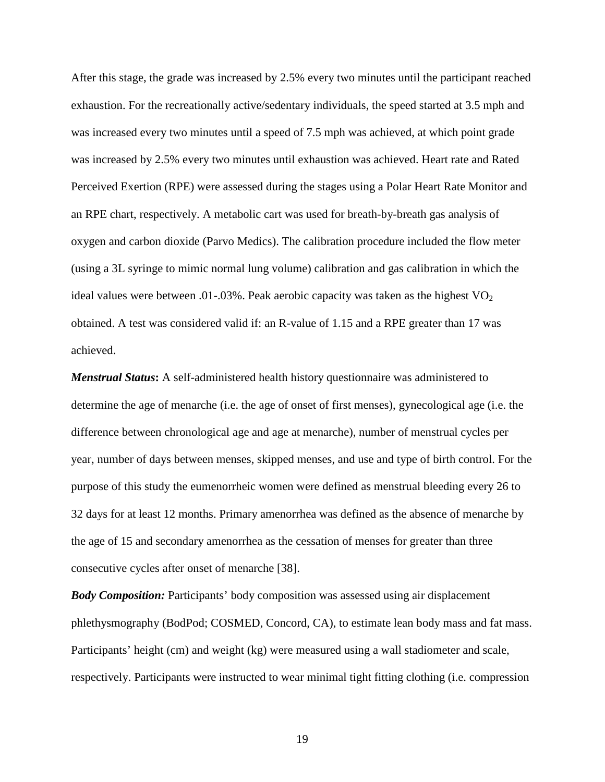After this stage, the grade was increased by 2.5% every two minutes until the participant reached exhaustion. For the recreationally active/sedentary individuals, the speed started at 3.5 mph and was increased every two minutes until a speed of 7.5 mph was achieved, at which point grade was increased by 2.5% every two minutes until exhaustion was achieved. Heart rate and Rated Perceived Exertion (RPE) were assessed during the stages using a Polar Heart Rate Monitor and an RPE chart, respectively. A metabolic cart was used for breath-by-breath gas analysis of oxygen and carbon dioxide (Parvo Medics). The calibration procedure included the flow meter (using a 3L syringe to mimic normal lung volume) calibration and gas calibration in which the ideal values were between .01-.03%. Peak aerobic capacity was taken as the highest  $VO<sub>2</sub>$ obtained. A test was considered valid if: an R-value of 1.15 and a RPE greater than 17 was achieved.

*Menstrual Status***:** A self-administered health history questionnaire was administered to determine the age of menarche (i.e. the age of onset of first menses), gynecological age (i.e. the difference between chronological age and age at menarche), number of menstrual cycles per year, number of days between menses, skipped menses, and use and type of birth control. For the purpose of this study the eumenorrheic women were defined as menstrual bleeding every 26 to 32 days for at least 12 months. Primary amenorrhea was defined as the absence of menarche by the age of 15 and secondary amenorrhea as the cessation of menses for greater than three consecutive cycles after onset of menarche [38].

*Body Composition:* Participants' body composition was assessed using air displacement phlethysmography (BodPod; COSMED, Concord, CA), to estimate lean body mass and fat mass. Participants' height (cm) and weight (kg) were measured using a wall stadiometer and scale, respectively. Participants were instructed to wear minimal tight fitting clothing (i.e. compression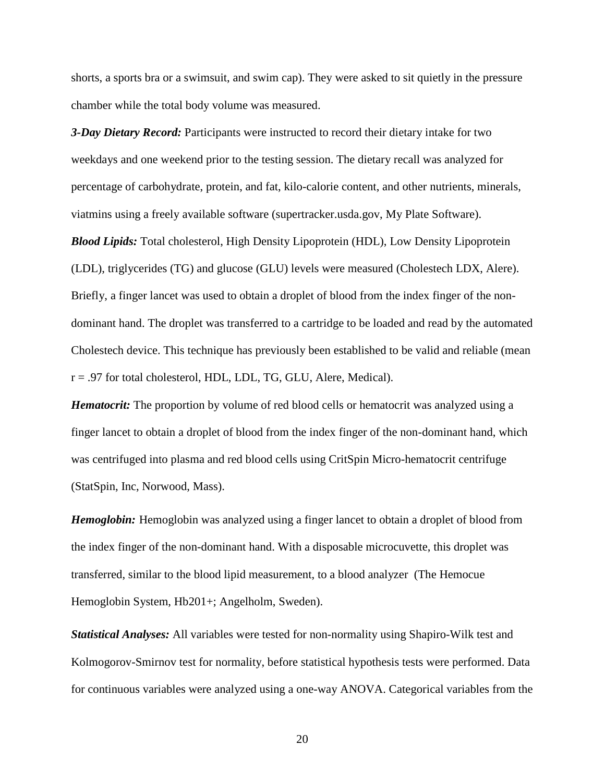shorts, a sports bra or a swimsuit, and swim cap). They were asked to sit quietly in the pressure chamber while the total body volume was measured.

*3-Day Dietary Record:* Participants were instructed to record their dietary intake for two weekdays and one weekend prior to the testing session. The dietary recall was analyzed for percentage of carbohydrate, protein, and fat, kilo-calorie content, and other nutrients, minerals, viatmins using a freely available software (supertracker.usda.gov, My Plate Software).

*Blood Lipids:* Total cholesterol, High Density Lipoprotein (HDL), Low Density Lipoprotein (LDL), triglycerides (TG) and glucose (GLU) levels were measured (Cholestech LDX, Alere). Briefly, a finger lancet was used to obtain a droplet of blood from the index finger of the nondominant hand. The droplet was transferred to a cartridge to be loaded and read by the automated Cholestech device. This technique has previously been established to be valid and reliable (mean r = .97 for total cholesterol, HDL, LDL, TG, GLU, Alere, Medical).

*Hematocrit:* The proportion by volume of red blood cells or hematocrit was analyzed using a finger lancet to obtain a droplet of blood from the index finger of the non-dominant hand, which was centrifuged into plasma and red blood cells using CritSpin Micro-hematocrit centrifuge (StatSpin, Inc, Norwood, Mass).

*Hemoglobin:* Hemoglobin was analyzed using a finger lancet to obtain a droplet of blood from the index finger of the non-dominant hand. With a disposable microcuvette, this droplet was transferred, similar to the blood lipid measurement, to a blood analyzer (The Hemocue Hemoglobin System, Hb201+; Angelholm, Sweden).

*Statistical Analyses:* All variables were tested for non-normality using Shapiro-Wilk test and Kolmogorov-Smirnov test for normality, before statistical hypothesis tests were performed. Data for continuous variables were analyzed using a one-way ANOVA. Categorical variables from the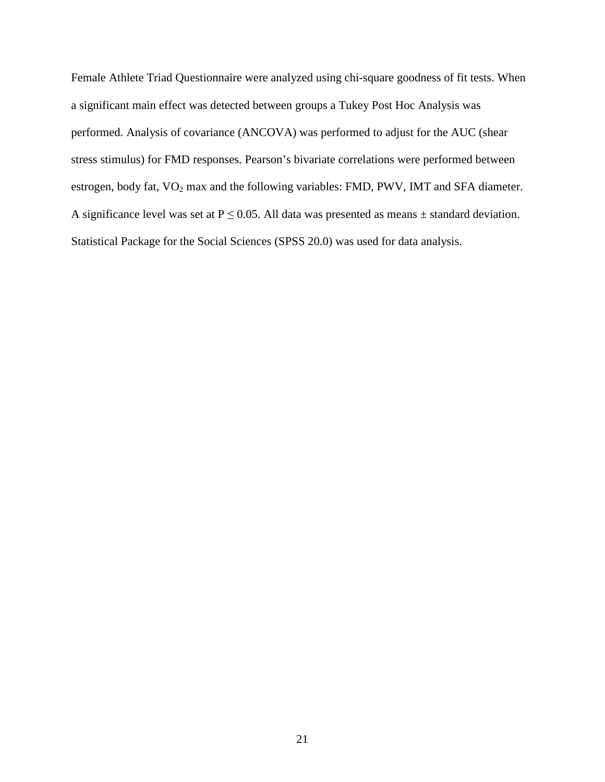Female Athlete Triad Questionnaire were analyzed using chi-square goodness of fit tests. When a significant main effect was detected between groups a Tukey Post Hoc Analysis was performed. Analysis of covariance (ANCOVA) was performed to adjust for the AUC (shear stress stimulus) for FMD responses. Pearson's bivariate correlations were performed between estrogen, body fat, VO<sub>2</sub> max and the following variables: FMD, PWV, IMT and SFA diameter. A significance level was set at  $P \le 0.05$ . All data was presented as means  $\pm$  standard deviation. Statistical Package for the Social Sciences (SPSS 20.0) was used for data analysis.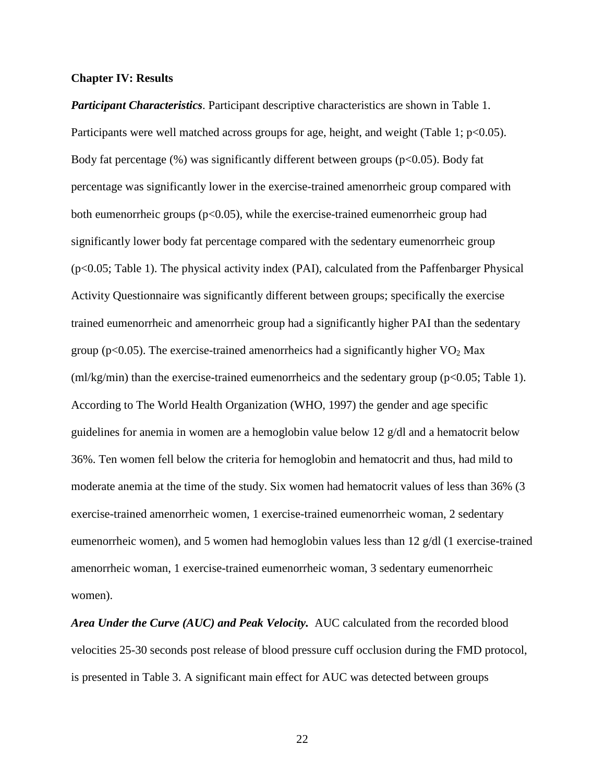#### **Chapter IV: Results**

*Participant Characteristics*. Participant descriptive characteristics are shown in Table 1. Participants were well matched across groups for age, height, and weight (Table 1;  $p<0.05$ ). Body fat percentage  $(\%)$  was significantly different between groups (p<0.05). Body fat percentage was significantly lower in the exercise-trained amenorrheic group compared with both eumenorrheic groups ( $p<0.05$ ), while the exercise-trained eumenorrheic group had significantly lower body fat percentage compared with the sedentary eumenorrheic group (p<0.05; Table 1). The physical activity index (PAI), calculated from the Paffenbarger Physical Activity Questionnaire was significantly different between groups; specifically the exercise trained eumenorrheic and amenorrheic group had a significantly higher PAI than the sedentary group ( $p<0.05$ ). The exercise-trained amenorrheics had a significantly higher  $VO<sub>2</sub>$  Max  $(m\frac{lg}{m})$  than the exercise-trained eumenorrheics and the sedentary group (p<0.05; Table 1). According to The World Health Organization (WHO, 1997) the gender and age specific guidelines for anemia in women are a hemoglobin value below 12 g/dl and a hematocrit below 36%. Ten women fell below the criteria for hemoglobin and hematocrit and thus, had mild to moderate anemia at the time of the study. Six women had hematocrit values of less than 36% (3 exercise-trained amenorrheic women, 1 exercise-trained eumenorrheic woman, 2 sedentary eumenorrheic women), and 5 women had hemoglobin values less than 12 g/dl (1 exercise-trained amenorrheic woman, 1 exercise-trained eumenorrheic woman, 3 sedentary eumenorrheic women).

*Area Under the Curve (AUC) and Peak Velocity.* AUC calculated from the recorded blood velocities 25-30 seconds post release of blood pressure cuff occlusion during the FMD protocol, is presented in Table 3. A significant main effect for AUC was detected between groups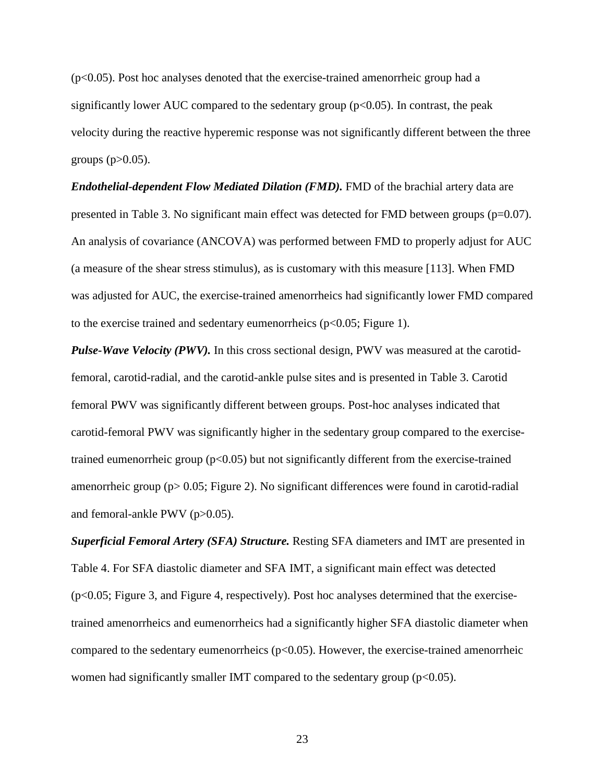$(p<0.05)$ . Post hoc analyses denoted that the exercise-trained amenorrheic group had a significantly lower AUC compared to the sedentary group  $(p<0.05)$ . In contrast, the peak velocity during the reactive hyperemic response was not significantly different between the three groups  $(p>0.05)$ .

*Endothelial-dependent Flow Mediated Dilation (FMD).* FMD of the brachial artery data are presented in Table 3. No significant main effect was detected for FMD between groups (p=0.07). An analysis of covariance (ANCOVA) was performed between FMD to properly adjust for AUC (a measure of the shear stress stimulus), as is customary with this measure [113]. When FMD was adjusted for AUC, the exercise-trained amenorrheics had significantly lower FMD compared to the exercise trained and sedentary eumenorrheics ( $p<0.05$ ; Figure 1).

*Pulse-Wave Velocity (PWV).* In this cross sectional design, PWV was measured at the carotidfemoral, carotid-radial, and the carotid-ankle pulse sites and is presented in Table 3. Carotid femoral PWV was significantly different between groups. Post-hoc analyses indicated that carotid-femoral PWV was significantly higher in the sedentary group compared to the exercisetrained eumenorrheic group  $(p<0.05)$  but not significantly different from the exercise-trained amenorrheic group (p> 0.05; Figure 2). No significant differences were found in carotid-radial and femoral-ankle PWV (p>0.05).

*Superficial Femoral Artery (SFA) Structure.* Resting SFA diameters and IMT are presented in Table 4. For SFA diastolic diameter and SFA IMT, a significant main effect was detected (p<0.05; Figure 3, and Figure 4, respectively). Post hoc analyses determined that the exercisetrained amenorrheics and eumenorrheics had a significantly higher SFA diastolic diameter when compared to the sedentary eumenorrheics  $(p<0.05)$ . However, the exercise-trained amenorrheic women had significantly smaller IMT compared to the sedentary group  $(p<0.05)$ .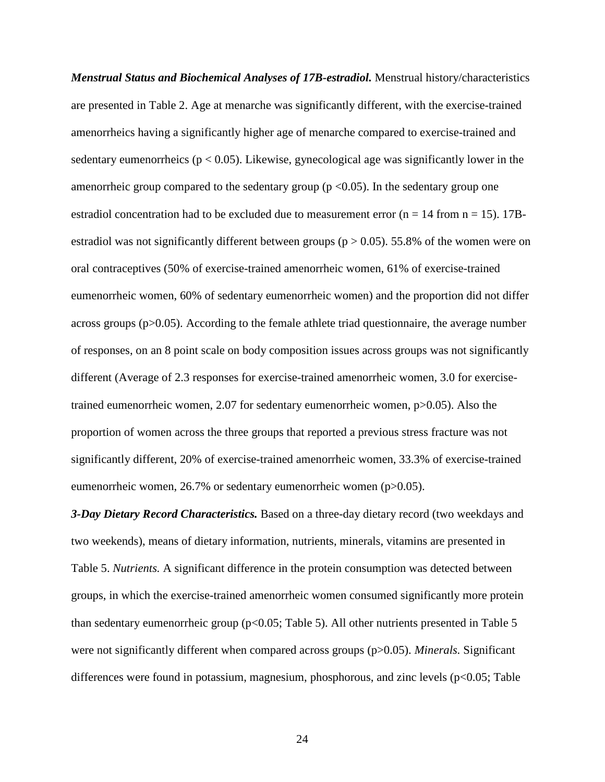*Menstrual Status and Biochemical Analyses of 17B-estradiol.* Menstrual history/characteristics are presented in Table 2. Age at menarche was significantly different, with the exercise-trained amenorrheics having a significantly higher age of menarche compared to exercise-trained and sedentary eumenorrheics ( $p < 0.05$ ). Likewise, gynecological age was significantly lower in the amenorrheic group compared to the sedentary group ( $p \le 0.05$ ). In the sedentary group one estradiol concentration had to be excluded due to measurement error ( $n = 14$  from  $n = 15$ ). 17Bestradiol was not significantly different between groups ( $p > 0.05$ ). 55.8% of the women were on oral contraceptives (50% of exercise-trained amenorrheic women, 61% of exercise-trained eumenorrheic women, 60% of sedentary eumenorrheic women) and the proportion did not differ across groups  $(p>0.05)$ . According to the female athlete triad questionnaire, the average number of responses, on an 8 point scale on body composition issues across groups was not significantly different (Average of 2.3 responses for exercise-trained amenorrheic women, 3.0 for exercisetrained eumenorrheic women, 2.07 for sedentary eumenorrheic women, p>0.05). Also the proportion of women across the three groups that reported a previous stress fracture was not significantly different, 20% of exercise-trained amenorrheic women, 33.3% of exercise-trained eumenorrheic women, 26.7% or sedentary eumenorrheic women (p>0.05).

*3-Day Dietary Record Characteristics.* Based on a three-day dietary record (two weekdays and two weekends), means of dietary information, nutrients, minerals, vitamins are presented in Table 5. *Nutrients.* A significant difference in the protein consumption was detected between groups, in which the exercise-trained amenorrheic women consumed significantly more protein than sedentary eumenorrheic group ( $p<0.05$ ; Table 5). All other nutrients presented in Table 5 were not significantly different when compared across groups (p>0.05). *Minerals.* Significant differences were found in potassium, magnesium, phosphorous, and zinc levels  $(p<0.05;$  Table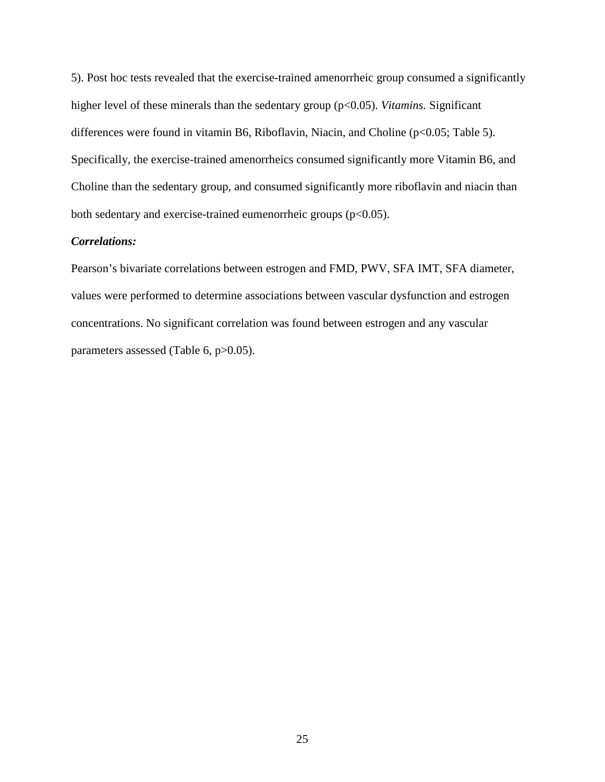5). Post hoc tests revealed that the exercise-trained amenorrheic group consumed a significantly higher level of these minerals than the sedentary group (p<0.05). *Vitamins*. Significant differences were found in vitamin B6, Riboflavin, Niacin, and Choline (p<0.05; Table 5). Specifically, the exercise-trained amenorrheics consumed significantly more Vitamin B6, and Choline than the sedentary group, and consumed significantly more riboflavin and niacin than both sedentary and exercise-trained eumenorrheic groups (p<0.05).

## *Correlations:*

Pearson's bivariate correlations between estrogen and FMD, PWV, SFA IMT, SFA diameter, values were performed to determine associations between vascular dysfunction and estrogen concentrations. No significant correlation was found between estrogen and any vascular parameters assessed (Table 6, p>0.05).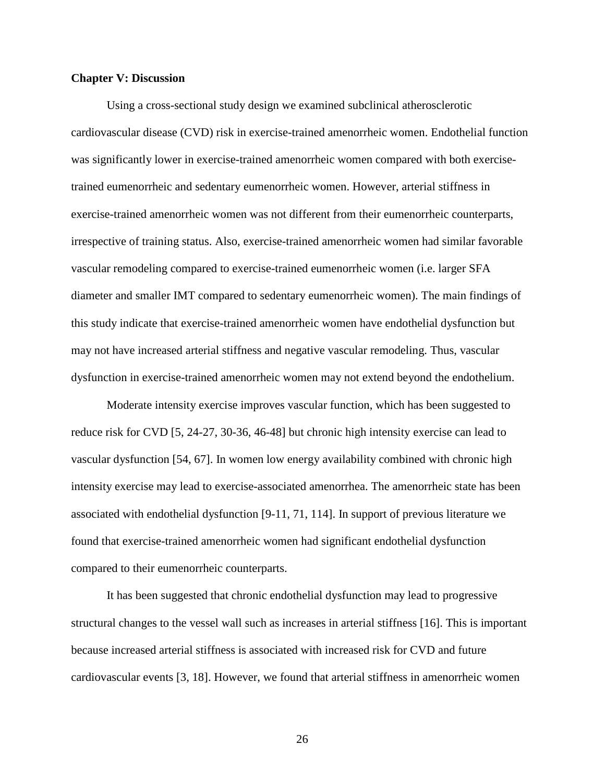#### **Chapter V: Discussion**

Using a cross-sectional study design we examined subclinical atherosclerotic cardiovascular disease (CVD) risk in exercise-trained amenorrheic women. Endothelial function was significantly lower in exercise-trained amenorrheic women compared with both exercisetrained eumenorrheic and sedentary eumenorrheic women. However, arterial stiffness in exercise-trained amenorrheic women was not different from their eumenorrheic counterparts, irrespective of training status. Also, exercise-trained amenorrheic women had similar favorable vascular remodeling compared to exercise-trained eumenorrheic women (i.e. larger SFA diameter and smaller IMT compared to sedentary eumenorrheic women). The main findings of this study indicate that exercise-trained amenorrheic women have endothelial dysfunction but may not have increased arterial stiffness and negative vascular remodeling. Thus, vascular dysfunction in exercise-trained amenorrheic women may not extend beyond the endothelium.

Moderate intensity exercise improves vascular function, which has been suggested to reduce risk for CVD [5, 24-27, 30-36, 46-48] but chronic high intensity exercise can lead to vascular dysfunction [54, 67]. In women low energy availability combined with chronic high intensity exercise may lead to exercise-associated amenorrhea. The amenorrheic state has been associated with endothelial dysfunction [9-11, 71, 114]. In support of previous literature we found that exercise-trained amenorrheic women had significant endothelial dysfunction compared to their eumenorrheic counterparts.

It has been suggested that chronic endothelial dysfunction may lead to progressive structural changes to the vessel wall such as increases in arterial stiffness [16]. This is important because increased arterial stiffness is associated with increased risk for CVD and future cardiovascular events [3, 18]. However, we found that arterial stiffness in amenorrheic women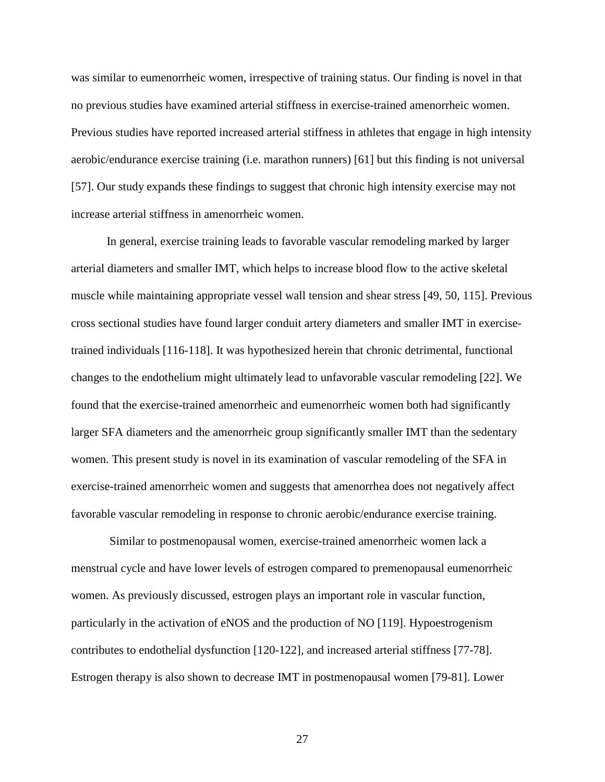was similar to eumenorrheic women, irrespective of training status. Our finding is novel in that no previous studies have examined arterial stiffness in exercise-trained amenorrheic women. Previous studies have reported increased arterial stiffness in athletes that engage in high intensity aerobic/endurance exercise training (i.e. marathon runners) [61] but this finding is not universal [57]. Our study expands these findings to suggest that chronic high intensity exercise may not increase arterial stiffness in amenorrheic women.

In general, exercise training leads to favorable vascular remodeling marked by larger arterial diameters and smaller IMT, which helps to increase blood flow to the active skeletal muscle while maintaining appropriate vessel wall tension and shear stress [49, 50, 115]. Previous cross sectional studies have found larger conduit artery diameters and smaller IMT in exercisetrained individuals [116-118]. It was hypothesized herein that chronic detrimental, functional changes to the endothelium might ultimately lead to unfavorable vascular remodeling [22]. We found that the exercise-trained amenorrheic and eumenorrheic women both had significantly larger SFA diameters and the amenorrheic group significantly smaller IMT than the sedentary women. This present study is novel in its examination of vascular remodeling of the SFA in exercise-trained amenorrheic women and suggests that amenorrhea does not negatively affect favorable vascular remodeling in response to chronic aerobic/endurance exercise training.

 Similar to postmenopausal women, exercise-trained amenorrheic women lack a menstrual cycle and have lower levels of estrogen compared to premenopausal eumenorrheic women. As previously discussed, estrogen plays an important role in vascular function, particularly in the activation of eNOS and the production of NO [119]. Hypoestrogenism contributes to endothelial dysfunction [120-122], and increased arterial stiffness [77-78]. Estrogen therapy is also shown to decrease IMT in postmenopausal women [79-81]. Lower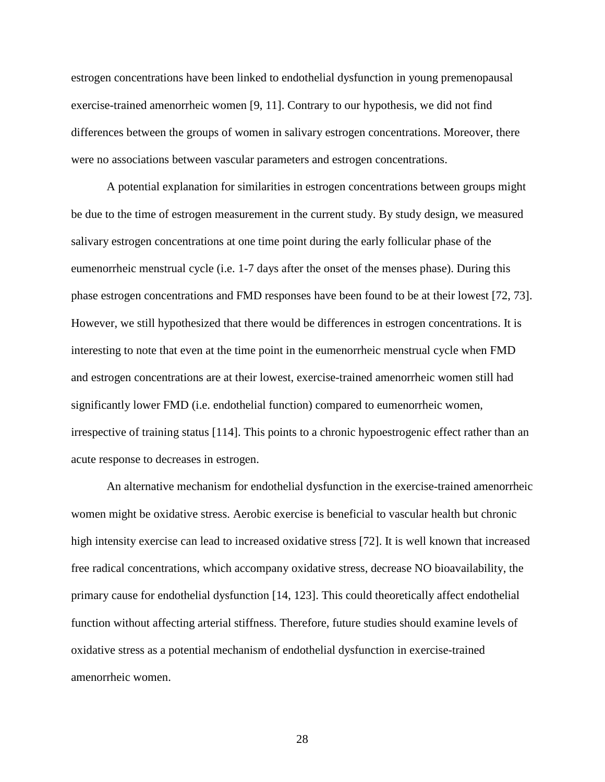estrogen concentrations have been linked to endothelial dysfunction in young premenopausal exercise-trained amenorrheic women [9, 11]. Contrary to our hypothesis, we did not find differences between the groups of women in salivary estrogen concentrations. Moreover, there were no associations between vascular parameters and estrogen concentrations.

A potential explanation for similarities in estrogen concentrations between groups might be due to the time of estrogen measurement in the current study. By study design, we measured salivary estrogen concentrations at one time point during the early follicular phase of the eumenorrheic menstrual cycle (i.e. 1-7 days after the onset of the menses phase). During this phase estrogen concentrations and FMD responses have been found to be at their lowest [72, 73]. However, we still hypothesized that there would be differences in estrogen concentrations. It is interesting to note that even at the time point in the eumenorrheic menstrual cycle when FMD and estrogen concentrations are at their lowest, exercise-trained amenorrheic women still had significantly lower FMD (i.e. endothelial function) compared to eumenorrheic women, irrespective of training status [114]. This points to a chronic hypoestrogenic effect rather than an acute response to decreases in estrogen.

An alternative mechanism for endothelial dysfunction in the exercise-trained amenorrheic women might be oxidative stress. Aerobic exercise is beneficial to vascular health but chronic high intensity exercise can lead to increased oxidative stress [72]. It is well known that increased free radical concentrations, which accompany oxidative stress, decrease NO bioavailability, the primary cause for endothelial dysfunction [14, 123]. This could theoretically affect endothelial function without affecting arterial stiffness. Therefore, future studies should examine levels of oxidative stress as a potential mechanism of endothelial dysfunction in exercise-trained amenorrheic women.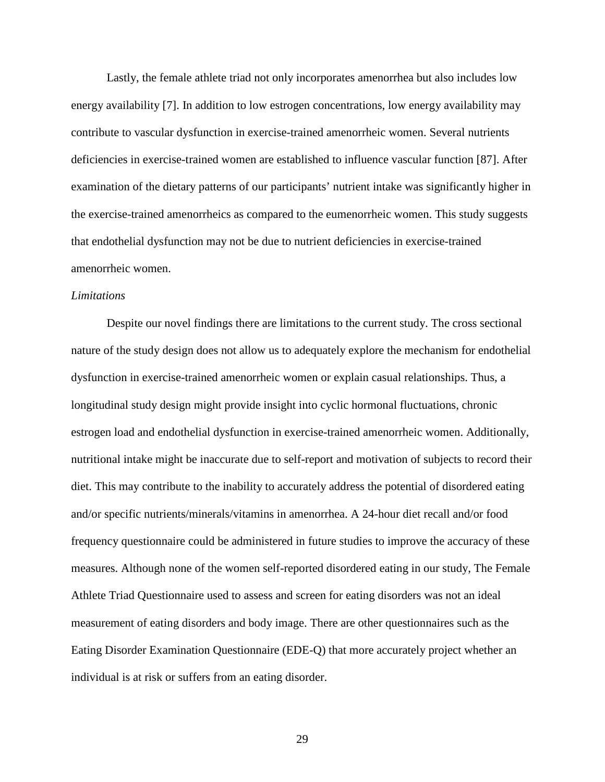Lastly, the female athlete triad not only incorporates amenorrhea but also includes low energy availability [7]. In addition to low estrogen concentrations, low energy availability may contribute to vascular dysfunction in exercise-trained amenorrheic women. Several nutrients deficiencies in exercise-trained women are established to influence vascular function [87]. After examination of the dietary patterns of our participants' nutrient intake was significantly higher in the exercise-trained amenorrheics as compared to the eumenorrheic women. This study suggests that endothelial dysfunction may not be due to nutrient deficiencies in exercise-trained amenorrheic women.

#### *Limitations*

 Despite our novel findings there are limitations to the current study. The cross sectional nature of the study design does not allow us to adequately explore the mechanism for endothelial dysfunction in exercise-trained amenorrheic women or explain casual relationships. Thus, a longitudinal study design might provide insight into cyclic hormonal fluctuations, chronic estrogen load and endothelial dysfunction in exercise-trained amenorrheic women. Additionally, nutritional intake might be inaccurate due to self-report and motivation of subjects to record their diet. This may contribute to the inability to accurately address the potential of disordered eating and/or specific nutrients/minerals/vitamins in amenorrhea. A 24-hour diet recall and/or food frequency questionnaire could be administered in future studies to improve the accuracy of these measures. Although none of the women self-reported disordered eating in our study, The Female Athlete Triad Questionnaire used to assess and screen for eating disorders was not an ideal measurement of eating disorders and body image. There are other questionnaires such as the Eating Disorder Examination Questionnaire (EDE-Q) that more accurately project whether an individual is at risk or suffers from an eating disorder.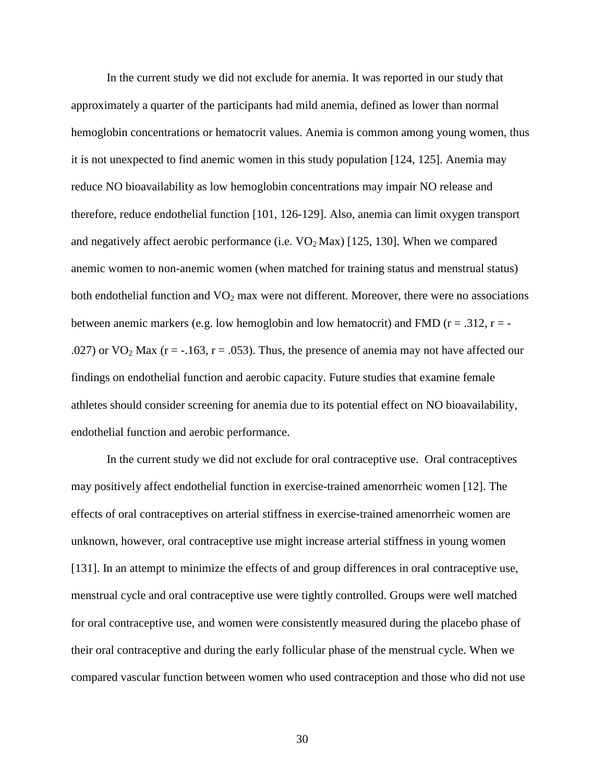In the current study we did not exclude for anemia. It was reported in our study that approximately a quarter of the participants had mild anemia, defined as lower than normal hemoglobin concentrations or hematocrit values. Anemia is common among young women, thus it is not unexpected to find anemic women in this study population [124, 125]. Anemia may reduce NO bioavailability as low hemoglobin concentrations may impair NO release and therefore, reduce endothelial function [101, 126-129]. Also, anemia can limit oxygen transport and negatively affect aerobic performance (i.e.  $VO<sub>2</sub> Max$ ) [125, 130]. When we compared anemic women to non-anemic women (when matched for training status and menstrual status) both endothelial function and VO<sub>2</sub> max were not different. Moreover, there were no associations between anemic markers (e.g. low hemoglobin and low hematocrit) and FMD ( $r = .312$ ,  $r = -$ .027) or  $VO_2$  Max (r = -.163, r = .053). Thus, the presence of anemia may not have affected our findings on endothelial function and aerobic capacity. Future studies that examine female athletes should consider screening for anemia due to its potential effect on NO bioavailability, endothelial function and aerobic performance.

In the current study we did not exclude for oral contraceptive use. Oral contraceptives may positively affect endothelial function in exercise-trained amenorrheic women [12]. The effects of oral contraceptives on arterial stiffness in exercise-trained amenorrheic women are unknown, however, oral contraceptive use might increase arterial stiffness in young women [131]. In an attempt to minimize the effects of and group differences in oral contraceptive use, menstrual cycle and oral contraceptive use were tightly controlled. Groups were well matched for oral contraceptive use, and women were consistently measured during the placebo phase of their oral contraceptive and during the early follicular phase of the menstrual cycle. When we compared vascular function between women who used contraception and those who did not use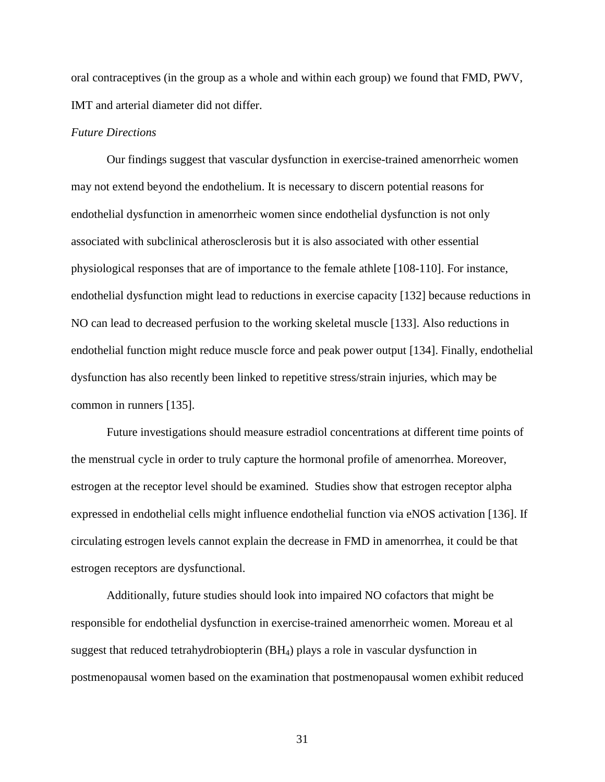oral contraceptives (in the group as a whole and within each group) we found that FMD, PWV, IMT and arterial diameter did not differ.

#### *Future Directions*

Our findings suggest that vascular dysfunction in exercise-trained amenorrheic women may not extend beyond the endothelium. It is necessary to discern potential reasons for endothelial dysfunction in amenorrheic women since endothelial dysfunction is not only associated with subclinical atherosclerosis but it is also associated with other essential physiological responses that are of importance to the female athlete [108-110]. For instance, endothelial dysfunction might lead to reductions in exercise capacity [132] because reductions in NO can lead to decreased perfusion to the working skeletal muscle [133]. Also reductions in endothelial function might reduce muscle force and peak power output [134]. Finally, endothelial dysfunction has also recently been linked to repetitive stress/strain injuries, which may be common in runners [135].

Future investigations should measure estradiol concentrations at different time points of the menstrual cycle in order to truly capture the hormonal profile of amenorrhea. Moreover, estrogen at the receptor level should be examined. Studies show that estrogen receptor alpha expressed in endothelial cells might influence endothelial function via eNOS activation [136]. If circulating estrogen levels cannot explain the decrease in FMD in amenorrhea, it could be that estrogen receptors are dysfunctional.

Additionally, future studies should look into impaired NO cofactors that might be responsible for endothelial dysfunction in exercise-trained amenorrheic women. Moreau et al suggest that reduced tetrahydrobiopterin (BH4) plays a role in vascular dysfunction in postmenopausal women based on the examination that postmenopausal women exhibit reduced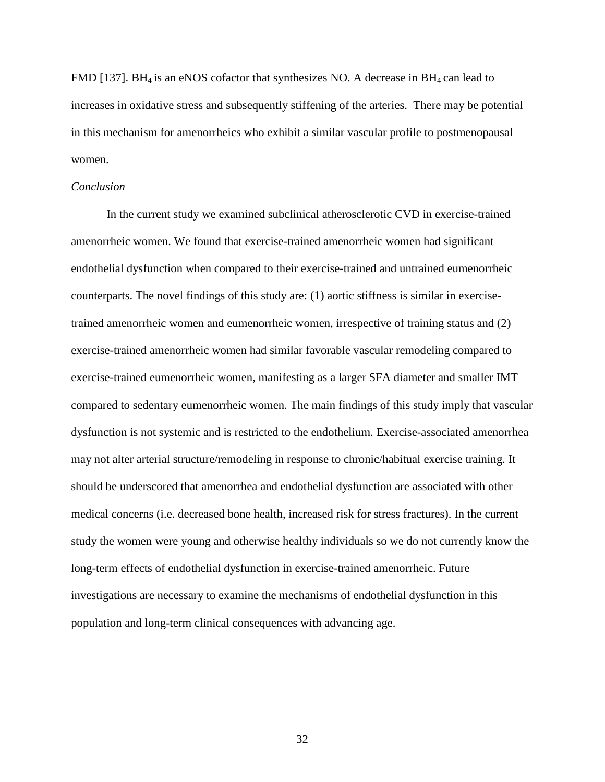FMD [137]. BH<sub>4</sub> is an eNOS cofactor that synthesizes NO. A decrease in BH<sub>4</sub> can lead to increases in oxidative stress and subsequently stiffening of the arteries. There may be potential in this mechanism for amenorrheics who exhibit a similar vascular profile to postmenopausal women.

#### *Conclusion*

In the current study we examined subclinical atherosclerotic CVD in exercise-trained amenorrheic women. We found that exercise-trained amenorrheic women had significant endothelial dysfunction when compared to their exercise-trained and untrained eumenorrheic counterparts. The novel findings of this study are: (1) aortic stiffness is similar in exercisetrained amenorrheic women and eumenorrheic women, irrespective of training status and (2) exercise-trained amenorrheic women had similar favorable vascular remodeling compared to exercise-trained eumenorrheic women, manifesting as a larger SFA diameter and smaller IMT compared to sedentary eumenorrheic women. The main findings of this study imply that vascular dysfunction is not systemic and is restricted to the endothelium. Exercise-associated amenorrhea may not alter arterial structure/remodeling in response to chronic/habitual exercise training. It should be underscored that amenorrhea and endothelial dysfunction are associated with other medical concerns (i.e. decreased bone health, increased risk for stress fractures). In the current study the women were young and otherwise healthy individuals so we do not currently know the long-term effects of endothelial dysfunction in exercise-trained amenorrheic. Future investigations are necessary to examine the mechanisms of endothelial dysfunction in this population and long-term clinical consequences with advancing age.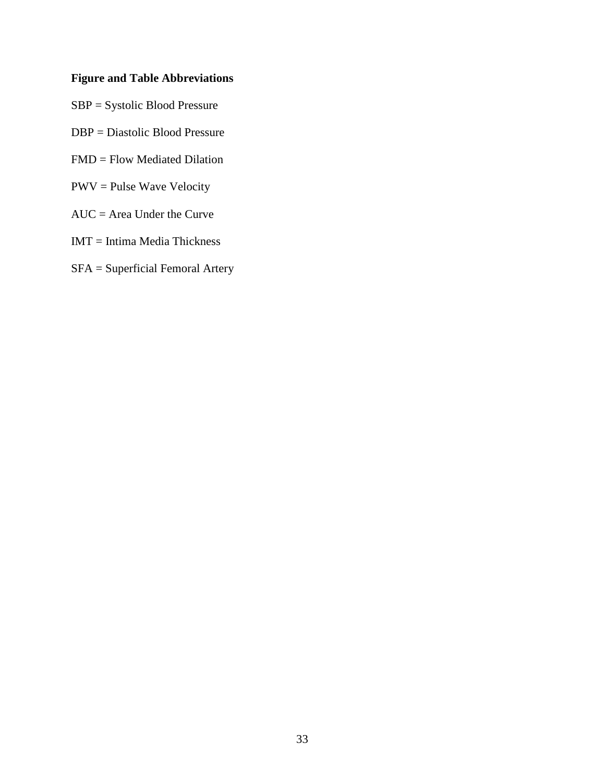# **Figure and Table Abbreviations**

- SBP = Systolic Blood Pressure
- DBP = Diastolic Blood Pressure
- FMD = Flow Mediated Dilation
- PWV = Pulse Wave Velocity
- AUC = Area Under the Curve
- IMT = Intima Media Thickness
- SFA = Superficial Femoral Artery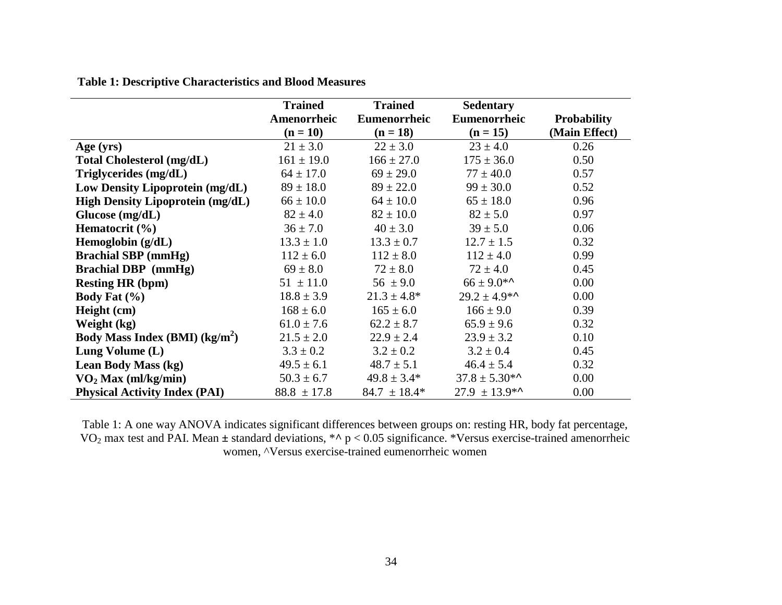|  | <b>Table 1: Descriptive Characteristics and Blood Measures</b> |  |
|--|----------------------------------------------------------------|--|
|--|----------------------------------------------------------------|--|

|                                            | <b>Trained</b>  | <b>Trained</b>   | <b>Sedentary</b>   |                    |
|--------------------------------------------|-----------------|------------------|--------------------|--------------------|
|                                            | Amenorrheic     | Eumenorrheic     | Eumenorrheic       | <b>Probability</b> |
|                                            | $(n = 10)$      | $(n = 18)$       | $(n = 15)$         | (Main Effect)      |
| Age $(yrs)$                                | $21 \pm 3.0$    | $22 \pm 3.0$     | $23 \pm 4.0$       | 0.26               |
| <b>Total Cholesterol (mg/dL)</b>           | $161 \pm 19.0$  | $166 \pm 27.0$   | $175 \pm 36.0$     | 0.50               |
| Triglycerides (mg/dL)                      | $64 \pm 17.0$   | $69 \pm 29.0$    | $77 \pm 40.0$      | 0.57               |
| Low Density Lipoprotein (mg/dL)            | $89 \pm 18.0$   | $89 \pm 22.0$    | $99 \pm 30.0$      | 0.52               |
| <b>High Density Lipoprotein (mg/dL)</b>    | $66 \pm 10.0$   | $64 \pm 10.0$    | $65 \pm 18.0$      | 0.96               |
| Glucose $(mg/dL)$                          | $82 \pm 4.0$    | $82 \pm 10.0$    | $82 \pm 5.0$       | 0.97               |
| Hematocrit (%)                             | $36 \pm 7.0$    | $40 \pm 3.0$     | $39 \pm 5.0$       | 0.06               |
| Hemoglobin $(g/dL)$                        | $13.3 \pm 1.0$  | $13.3 \pm 0.7$   | $12.7 \pm 1.5$     | 0.32               |
| <b>Brachial SBP</b> (mmHg)                 | $112 \pm 6.0$   | $112 \pm 8.0$    | $112 \pm 4.0$      | 0.99               |
| <b>Brachial DBP</b> (mmHg)                 | $69 \pm 8.0$    | $72 \pm 8.0$     | $72 \pm 4.0$       | 0.45               |
| <b>Resting HR (bpm)</b>                    | $51 \pm 11.0$   | $56 \pm 9.0$     | $66 \pm 9.0$ *^    | 0.00               |
| Body Fat $(\% )$                           | $18.8 \pm 3.9$  | $21.3 \pm 4.8^*$ | $29.2 \pm 4.9$ *^  | 0.00               |
| Height (cm)                                | $168 \pm 6.0$   | $165 \pm 6.0$    | $166 \pm 9.0$      | 0.39               |
| Weight (kg)                                | $61.0 \pm 7.6$  | $62.2 \pm 8.7$   | $65.9 \pm 9.6$     | 0.32               |
| Body Mass Index (BMI) (kg/m <sup>2</sup> ) | $21.5 \pm 2.0$  | $22.9 \pm 2.4$   | $23.9 \pm 3.2$     | 0.10               |
| Lung Volume (L)                            | $3.3 \pm 0.2$   | $3.2 \pm 0.2$    | $3.2 \pm 0.4$      | 0.45               |
| Lean Body Mass (kg)                        | $49.5 \pm 6.1$  | $48.7 \pm 5.1$   | $46.4 \pm 5.4$     | 0.32               |
| $\rm{VO}_2$ Max (ml/kg/min)                | $50.3 \pm 6.7$  | $49.8 \pm 3.4*$  | $37.8 \pm 5.30$ *^ | 0.00               |
| <b>Physical Activity Index (PAI)</b>       | $88.8 \pm 17.8$ | $84.7 \pm 18.4*$ | $27.9 \pm 13.9$ *^ | 0.00               |

Table 1: A one way ANOVA indicates significant differences between groups on: resting HR, body fat percentage,  $VO<sub>2</sub>$  max test and PAI. Mean  $\pm$  standard deviations, \*^ p < 0.05 significance. \*Versus exercise-trained women, ^Versus exercise-trained eumenorrheic women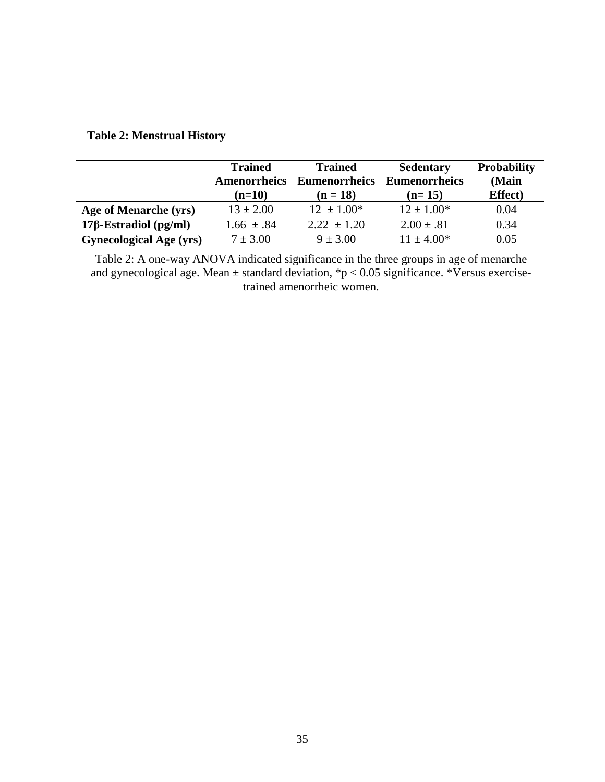|                                | <b>Trained</b><br><b>Amenorrheics</b><br>$(n=10)$ | <b>Trained</b><br><b>Eumenorrheics</b><br>$(n = 18)$ | <b>Sedentary</b><br><b>Eumenorrheics</b><br>$(n=15)$ | <b>Probability</b><br>(Main<br><b>Effect</b> ) |
|--------------------------------|---------------------------------------------------|------------------------------------------------------|------------------------------------------------------|------------------------------------------------|
| Age of Menarche (yrs)          | $13 \pm 2.00$                                     | $12 \pm 1.00^*$                                      | $12 \pm 1.00*$                                       | 0.04                                           |
| $17\beta$ -Estradiol (pg/ml)   | $1.66 \pm .84$                                    | $2.22 \pm 1.20$                                      | $2.00 \pm .81$                                       | 0.34                                           |
| <b>Gynecological Age (yrs)</b> | $7 \pm 3.00$                                      | $9 \pm 3.00$                                         | $11 \pm 4.00*$                                       | 0.05                                           |

# **Table 2: Menstrual History**

Table 2: A one-way ANOVA indicated significance in the three groups in age of menarche and gynecological age. Mean ± standard deviation, \*p < 0.05 significance. \*Versus exercisetrained amenorrheic women.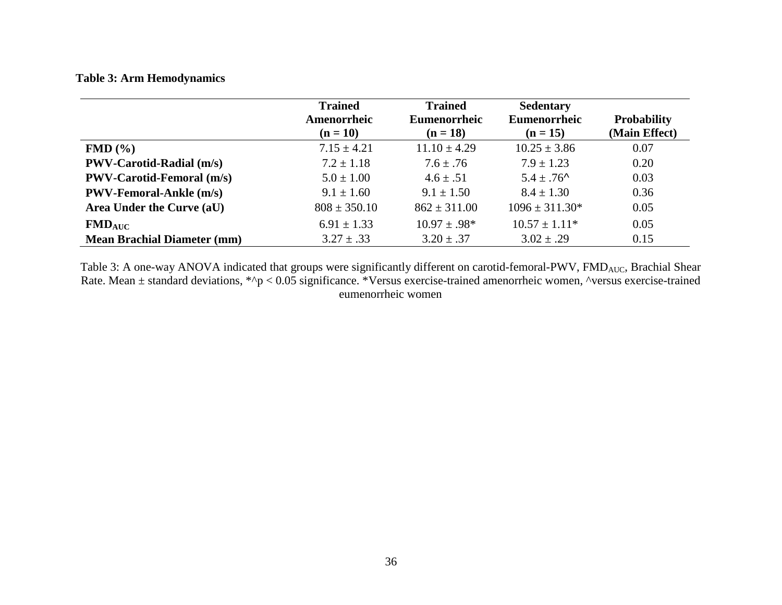## **Table 3: Arm Hemodynamics**

|                                    | <b>Trained</b><br>Amenorrheic<br>$(n = 10)$ | <b>Trained</b><br><b>Eumenorrheic</b><br>$(n = 18)$ | <b>Sedentary</b><br>Eumenorrheic<br>$(n = 15)$ | <b>Probability</b><br>(Main Effect) |
|------------------------------------|---------------------------------------------|-----------------------------------------------------|------------------------------------------------|-------------------------------------|
| FMD(%)                             | $7.15 \pm 4.21$                             | $11.10 \pm 4.29$                                    | $10.25 \pm 3.86$                               | 0.07                                |
| <b>PWV-Carotid-Radial (m/s)</b>    | $7.2 \pm 1.18$                              | $7.6 \pm .76$                                       | $7.9 \pm 1.23$                                 | 0.20                                |
| <b>PWV-Carotid-Femoral (m/s)</b>   | $5.0 \pm 1.00$                              | $4.6 \pm .51$                                       | $5.4 \pm .76$ <sup>^</sup>                     | 0.03                                |
| <b>PWV-Femoral-Ankle (m/s)</b>     | $9.1 \pm 1.60$                              | $9.1 \pm 1.50$                                      | $8.4 \pm 1.30$                                 | 0.36                                |
| Area Under the Curve (aU)          | $808 \pm 350.10$                            | $862 \pm 311.00$                                    | $1096 \pm 311.30*$                             | 0.05                                |
| $FMD_{AUC}$                        | $6.91 \pm 1.33$                             | $10.97 \pm .98^*$                                   | $10.57 \pm 1.11^*$                             | 0.05                                |
| <b>Mean Brachial Diameter (mm)</b> | $3.27 \pm .33$                              | $3.20 \pm .37$                                      | $3.02 \pm .29$                                 | 0.15                                |

Table 3: A one-way ANOVA indicated that groups were significantly different on carotid-femoral-PWV,  $FMD_{AUC}$ , Brachial Shear Rate. Mean ± standard deviations, \*^p < 0.05 significance. \*Versus exercise-trained amenorrheic women, ^versus exercise-trained eumenorrheic women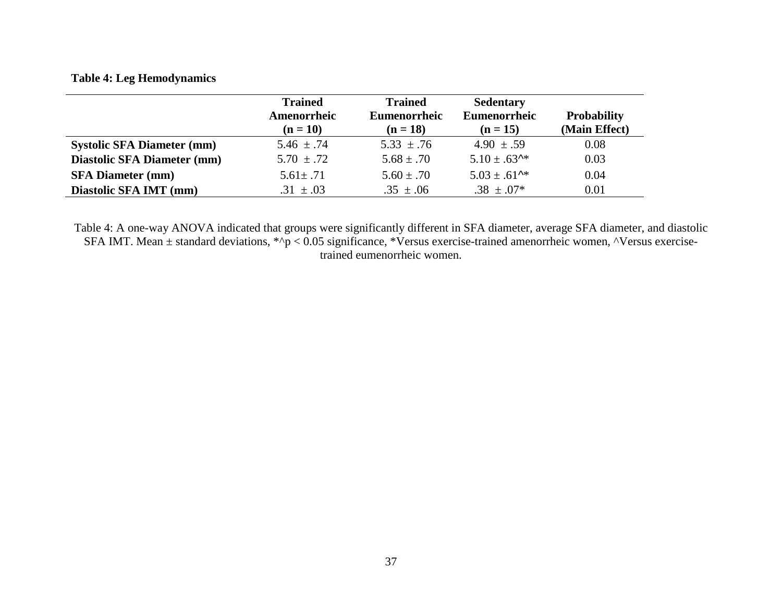## **Table 4: Leg Hemodynamics**

|                                    | <b>Trained</b><br>Amenorrheic<br>$(n = 10)$ | <b>Trained</b><br>Eumenorrheic<br>$(n = 18)$ | <b>Sedentary</b><br>Eumenorrheic<br>$(n = 15)$ | <b>Probability</b><br>(Main Effect) |
|------------------------------------|---------------------------------------------|----------------------------------------------|------------------------------------------------|-------------------------------------|
| <b>Systolic SFA Diameter (mm)</b>  | $5.46 \pm .74$                              | $5.33 \pm .76$                               | $4.90 \pm .59$                                 | 0.08                                |
| <b>Diastolic SFA Diameter (mm)</b> | $5.70 \pm .72$                              | $5.68 \pm .70$                               | $5.10 \pm .63$ <sup>**</sup>                   | 0.03                                |
| <b>SFA Diameter (mm)</b>           | $5.61 \pm .71$                              | $5.60 \pm .70$                               | $5.03 \pm .61$ <sup>**</sup>                   | 0.04                                |
| Diastolic SFA IMT (mm)             | $.31 \pm .03$                               | $.35 \pm .06$                                | $.38 \pm .07*$                                 | 0.01                                |

Table 4: A one-way ANOVA indicated that groups were significantly different in SFA diameter, average SFA diameter, and diastolic SFA IMT. Mean  $\pm$  standard deviations, \*^p < 0.05 significance, \*Versus exercise-trained am trained eumenorrheic women.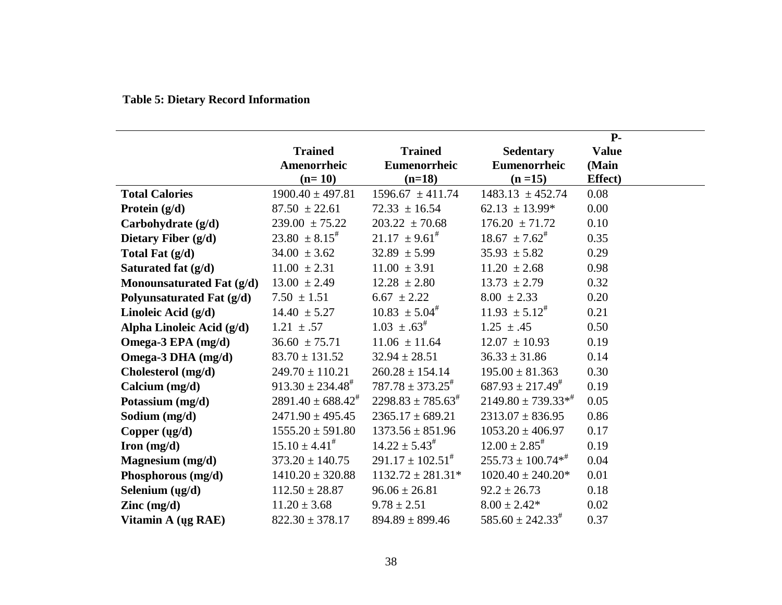# **Table 5: Dietary Record Information**

|                                          |                                 |                                 |                                 | $P-$            |
|------------------------------------------|---------------------------------|---------------------------------|---------------------------------|-----------------|
|                                          | <b>Trained</b>                  | <b>Trained</b>                  | <b>Sedentary</b>                | <b>Value</b>    |
|                                          | Amenorrheic                     | Eumenorrheic                    | Eumenorrheic                    | (Main           |
|                                          | $(n=10)$                        | $(n=18)$                        | $(n=15)$                        | <b>Effect</b> ) |
| <b>Total Calories</b>                    | $1900.40 \pm 497.81$            | $1596.67 \pm 411.74$            | $1483.13 \pm 452.74$            | 0.08            |
| Protein $(g/d)$                          | $87.50 \pm 22.61$               | $72.33 \pm 16.54$               | $62.13 \pm 13.99*$              | 0.00            |
| Carbohydrate (g/d)                       | $239.00 \pm 75.22$              | $203.22 \pm 70.68$              | $176.20 \pm 71.72$              | 0.10            |
| Dietary Fiber $(g/d)$                    | $23.80 \pm 8.15^{\text{*}}$     | $21.17 \pm 9.61^{\text{\#}}$    | $18.67 \pm 7.62^{\text{\#}}$    | 0.35            |
| Total Fat $(g/d)$                        | $34.00 \pm 3.62$                | $32.89 \pm 5.99$                | $35.93 \pm 5.82$                | 0.29            |
| Saturated fat $(g/d)$                    | $11.00 \pm 2.31$                | $11.00 \pm 3.91$                | $11.20 \pm 2.68$                | 0.98            |
| Monounsaturated Fat (g/d)                | $13.00 \pm 2.49$                | $12.28 \pm 2.80$                | $13.73 \pm 2.79$                | 0.32            |
| Polyunsaturated Fat (g/d)                | $7.50 \pm 1.51$                 | $6.67 \pm 2.22$                 | $8.00 \pm 2.33$                 | 0.20            |
| Linoleic Acid $(g/d)$                    | $14.40 \pm 5.27$                | $10.83 \pm 5.04^{\#}$           | $11.93 \pm 5.12^{\text{\#}}$    | 0.21            |
| Alpha Linoleic Acid (g/d)                | $1.21 \pm .57$                  | $1.03 \pm .63^{\#}$             | $1.25 \pm .45$                  | 0.50            |
| Omega-3 EPA (mg/d)                       | $36.60 \pm 75.71$               | $11.06 \pm 11.64$               | $12.07 \pm 10.93$               | 0.19            |
| Omega-3 DHA (mg/d)                       | $83.70 \pm 131.52$              | $32.94 \pm 28.51$               | $36.33 \pm 31.86$               | 0.14            |
| Cholesterol (mg/d)                       | $249.70 \pm 110.21$             | $260.28 \pm 154.14$             | $195.00 \pm 81.363$             | 0.30            |
| Calcium (mg/d)                           | $913.30 \pm 234.48^{\#}$        | $787.78 \pm 373.25^{\text{\#}}$ | $687.93 \pm 217.49^{\text{\#}}$ | 0.19            |
| Potassium (mg/d)                         | $2891.40 \pm 688.42^{\text{*}}$ | $2298.83 \pm 785.63^{\text{*}}$ | $2149.80 \pm 739.33**$          | 0.05            |
| Sodium (mg/d)                            | $2471.90 \pm 495.45$            | $2365.17 \pm 689.21$            | $2313.07 \pm 836.95$            | 0.86            |
| Copper $(ug/d)$                          | $1555.20 \pm 591.80$            | $1373.56 \pm 851.96$            | $1053.20 \pm 406.97$            | 0.17            |
| Iron $(mg/d)$                            | $15.10 \pm 4.41^{\#}$           | $14.22 \pm 5.43^{\text{\#}}$    | $12.00 \pm 2.85^{\text{*}}$     | 0.19            |
| Magnesium (mg/d)                         | $373.20 \pm 140.75$             | $291.17 \pm 102.51^{\#}$        | $255.73 \pm 100.74**$           | 0.04            |
| Phosphorous (mg/d)                       | $1410.20 \pm 320.88$            | $1132.72 \pm 281.31*$           | $1020.40 \pm 240.20*$           | 0.01            |
| Selenium $(ug/d)$                        | $112.50 \pm 28.87$              | $96.06 \pm 26.81$               | $92.2 \pm 26.73$                | 0.18            |
| $\text{Zinc} \left( \text{mg/d} \right)$ | $11.20 \pm 3.68$                | $9.78 \pm 2.51$                 | $8.00 \pm 2.42*$                | 0.02            |
| Vitamin A (ug RAE)                       | $822.30 \pm 378.17$             | $894.89 \pm 899.46$             | $585.60 \pm 242.33^{\text{\#}}$ | 0.37            |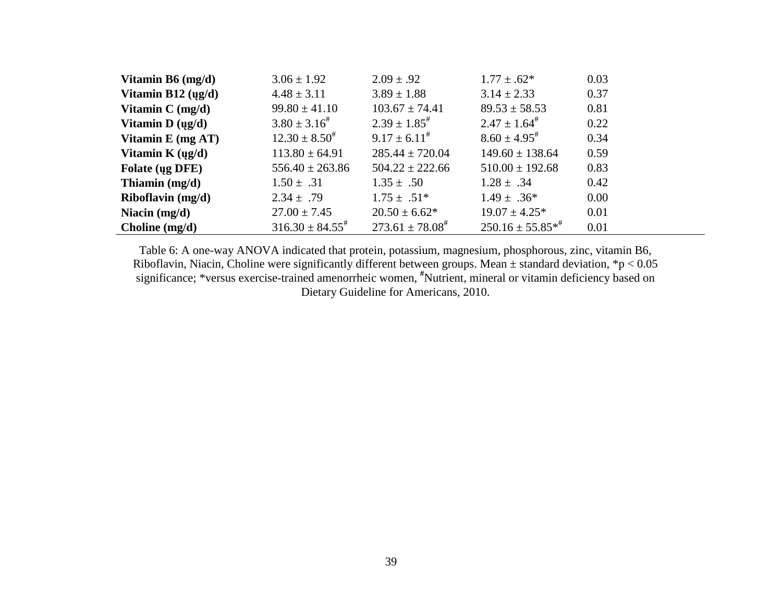| Vitamin B6 $(mg/d)$                    | $3.06 \pm 1.92$         | $2.09 \pm .92$                | $1.77 \pm .62*$              | 0.03 |
|----------------------------------------|-------------------------|-------------------------------|------------------------------|------|
| Vitamin B12 $(\mu g/d)$                | $4.48 \pm 3.11$         | $3.89 \pm 1.88$               | $3.14 \pm 2.33$              | 0.37 |
| Vitamin $C$ (mg/d)                     | $99.80 \pm 41.10$       | $103.67 \pm 74.41$            | $89.53 \pm 58.53$            | 0.81 |
| Vitamin $D (ug/d)$                     | $3.80 \pm 3.16^{\#}$    | $2.39 \pm 1.85$ <sup>#</sup>  | $2.47 \pm 1.64^{\#}$         | 0.22 |
| Vitamin $E$ (mg AT)                    | $12.30 \pm 8.50^{\#}$   | $9.17 \pm 6.11^{\#}$          | $8.60 \pm 4.95$ <sup>#</sup> | 0.34 |
| Vitamin K $\left(\frac{u g}{d}\right)$ | $113.80 \pm 64.91$      | $285.44 \pm 720.04$           | $149.60 \pm 138.64$          | 0.59 |
| Folate (ug DFE)                        | $556.40 \pm 263.86$     | $504.22 \pm 222.66$           | $510.00 \pm 192.68$          | 0.83 |
| Thiamin $(mg/d)$                       | $1.50 \pm .31$          | $1.35 \pm .50$                | $1.28 \pm .34$               | 0.42 |
| Riboflavin $(mg/d)$                    | $2.34 \pm .79$          | $1.75 \pm .51*$               | $1.49 \pm .36^*$             | 0.00 |
| Niacin $(mg/d)$                        | $27.00 \pm 7.45$        | $20.50 \pm 6.62*$             | $19.07 \pm 4.25^*$           | 0.01 |
| Choline $(mg/d)$                       | $316.30 \pm 84.55^{\#}$ | $273.61 \pm 78.08^{\text{*}}$ | $250.16 \pm 55.85^{*}$       | 0.01 |

Table 6: A one-way ANOVA indicated that protein, potassium, magnesium, phosphorous, zinc, vitamin B6, Riboflavin, Niacin, Choline were significantly different between groups. Mean  $\pm$  standard deviation, \*p < 0.05 significance; \*versus exercise-trained amenorrheic women, \*Nutrient, mineral or vitamin deficiency based on Dietary Guideline for Americans, 2010.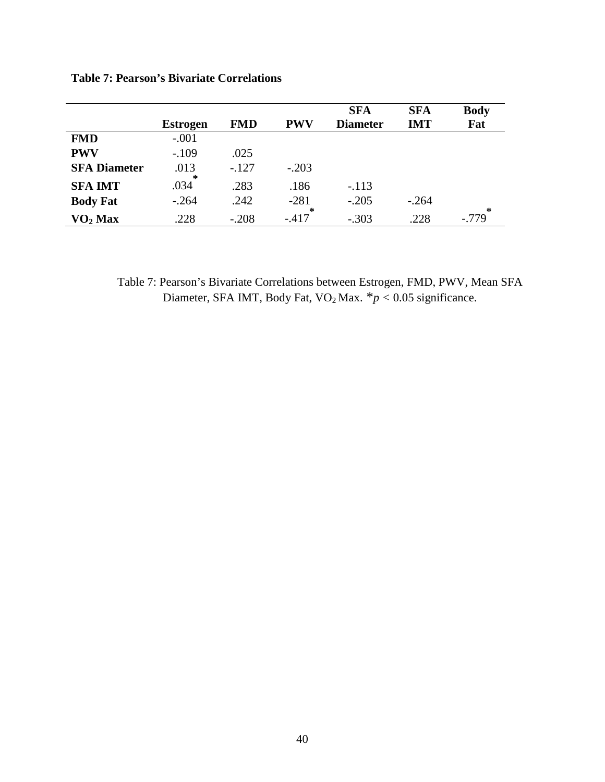|                             |                 |            |             | <b>SFA</b>      | <b>SFA</b> | <b>Body</b> |
|-----------------------------|-----------------|------------|-------------|-----------------|------------|-------------|
|                             | <b>Estrogen</b> | <b>FMD</b> | <b>PWV</b>  | <b>Diameter</b> | <b>IMT</b> | Fat         |
| <b>FMD</b>                  | $-.001$         |            |             |                 |            |             |
| <b>PWV</b>                  | $-.109$         | .025       |             |                 |            |             |
| <b>SFA Diameter</b>         | .013            | $-.127$    | $-.203$     |                 |            |             |
| <b>SFA IMT</b>              | ∗<br>.034       | .283       | .186        | $-.113$         |            |             |
| <b>Body Fat</b>             | $-.264$         | .242       | $-281$<br>∗ | $-.205$         | $-.264$    | *           |
| $\mathbf{VO}_2\mathbf{Max}$ | .228            | $-.208$    | $-.417$     | $-.303$         | .228       | $-.779$     |

**Table 7: Pearson's Bivariate Correlations**

Table 7: Pearson's Bivariate Correlations between Estrogen, FMD, PWV, Mean SFA Diameter, SFA IMT, Body Fat,  $VO<sub>2</sub>$  Max.  $*p < 0.05$  significance.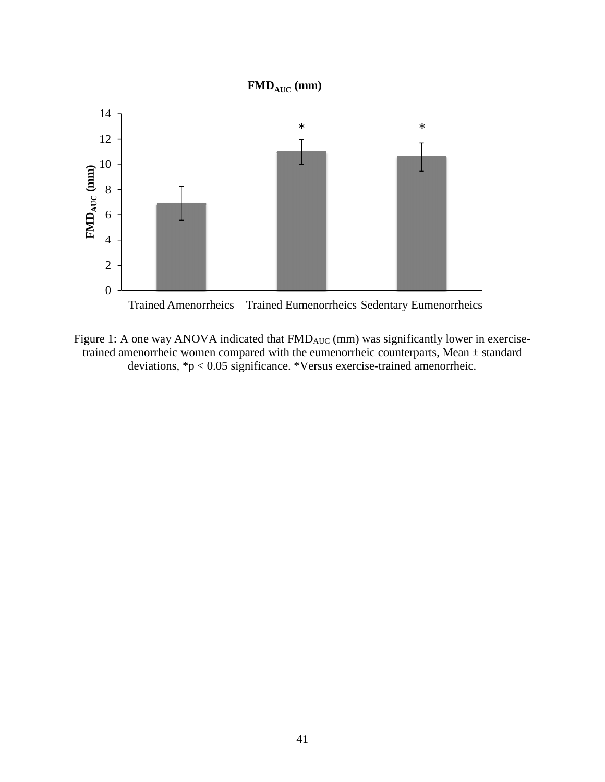

Figure 1: A one way ANOVA indicated that  $FMD_{AUC}$  (mm) was significantly lower in exercisetrained amenorrheic women compared with the eumenorrheic counterparts, Mean  $\pm$  standard deviations, \*p < 0.05 significance. \*Versus exercise-trained amenorrheic.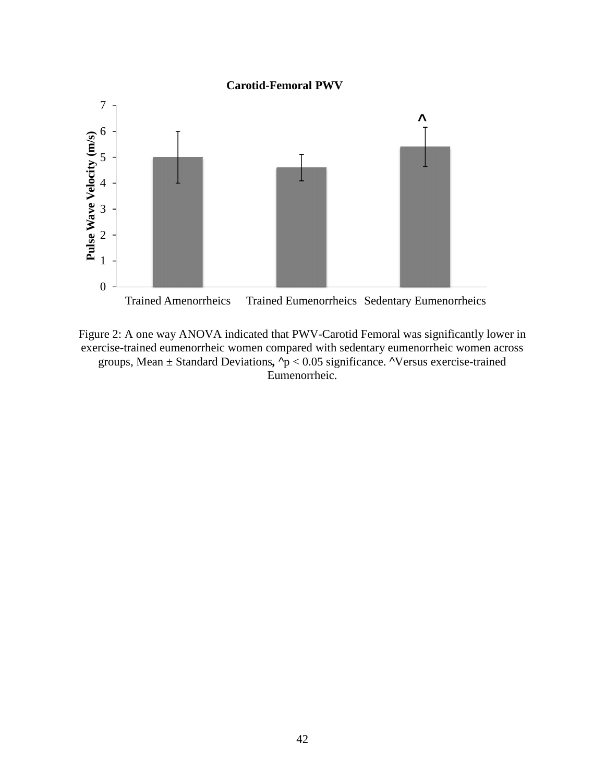#### **Carotid-Femoral PWV**



Figure 2: A one way ANOVA indicated that PWV-Carotid Femoral was significantly lower in exercise-trained eumenorrheic women compared with sedentary eumenorrheic women across groups, Mean  $\pm$  Standard Deviations,  $\gamma$  < 0.05 significance.  $\gamma$ Versus exercise-trained Eumenorrheic.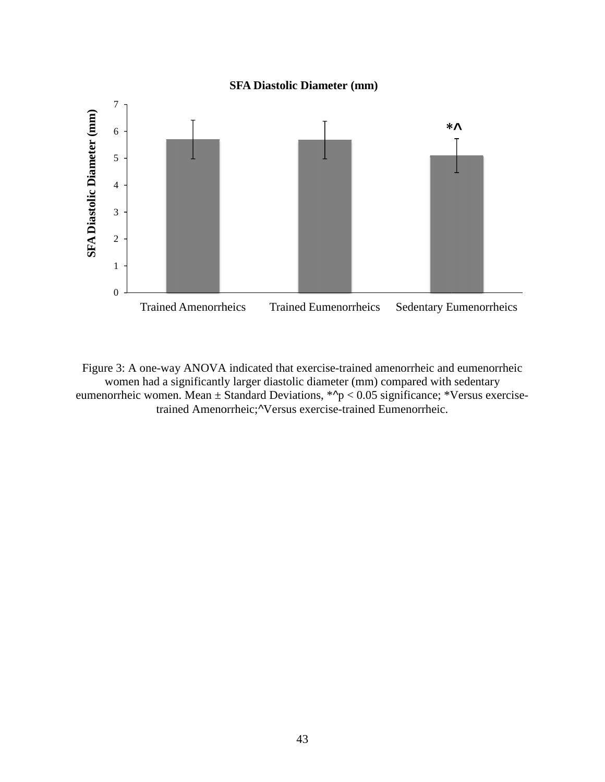# **SFA Diastolic Diameter (mm)**



Figure 3: A one-way ANOVA indicated that exercise-trained amenorrheic and eumenorrheic women had a significantly larger diastolic diameter (mm) compared with sedentary Figure 3: A one-way ANOVA indicated that exercise-trained amenorrheic and eumenorrheic women had a significantly larger diastolic diameter (mm) compared with sedentary eumenorrheic women. Mean  $\pm$  Standard Deviations,  $*\$ trained Amenorrheic; Versus exercise-trained Eumenorrheic.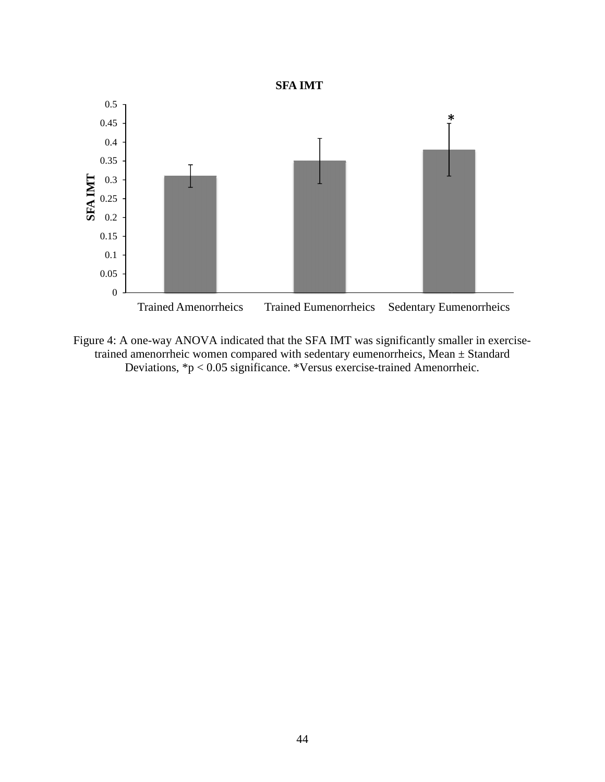



Figure 4: A one-way ANOVA indicated that the SFA IMT was significantly smaller in exercisetrained amenorrheic women compared with sedentary eumenorrheics, Mean  $\pm$  Standard Deviations, \*p < 0.05 significance. \*Versus exercise-trained Amenorrheic.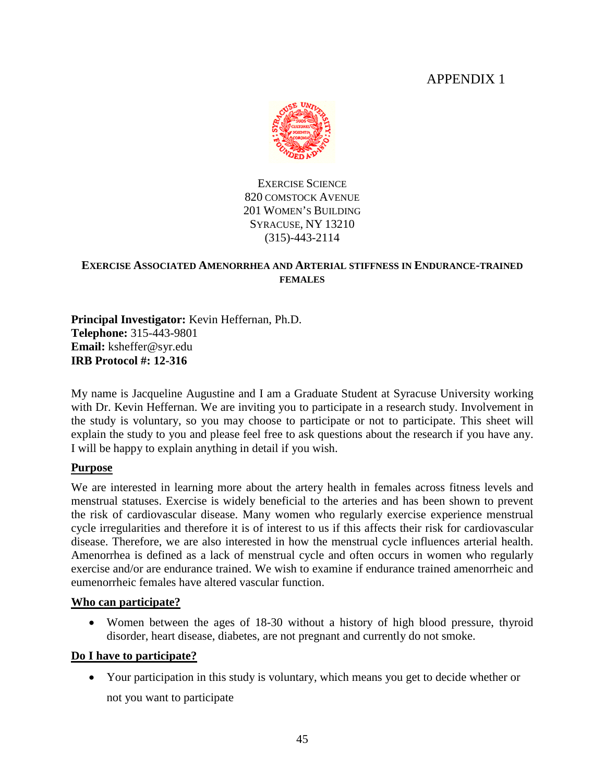# APPENDIX 1



EXERCISE SCIENCE 820 COMSTOCK AVENUE 201 WOMEN'S BUILDING SYRACUSE, NY 13210 (315)-443-2114

## **EXERCISE ASSOCIATED AMENORRHEA AND ARTERIAL STIFFNESS IN ENDURANCE-TRAINED FEMALES**

**Principal Investigator:** Kevin Heffernan, Ph.D. **Telephone:** 315-443-9801 **Email:** ksheffer@syr.edu **IRB Protocol #: 12-316** 

My name is Jacqueline Augustine and I am a Graduate Student at Syracuse University working with Dr. Kevin Heffernan. We are inviting you to participate in a research study. Involvement in the study is voluntary, so you may choose to participate or not to participate. This sheet will explain the study to you and please feel free to ask questions about the research if you have any. I will be happy to explain anything in detail if you wish.

# **Purpose**

We are interested in learning more about the artery health in females across fitness levels and menstrual statuses. Exercise is widely beneficial to the arteries and has been shown to prevent the risk of cardiovascular disease. Many women who regularly exercise experience menstrual cycle irregularities and therefore it is of interest to us if this affects their risk for cardiovascular disease. Therefore, we are also interested in how the menstrual cycle influences arterial health. Amenorrhea is defined as a lack of menstrual cycle and often occurs in women who regularly exercise and/or are endurance trained. We wish to examine if endurance trained amenorrheic and eumenorrheic females have altered vascular function.

#### **Who can participate?**

• Women between the ages of 18-30 without a history of high blood pressure, thyroid disorder, heart disease, diabetes, are not pregnant and currently do not smoke.

# **Do I have to participate?**

• Your participation in this study is voluntary, which means you get to decide whether or not you want to participate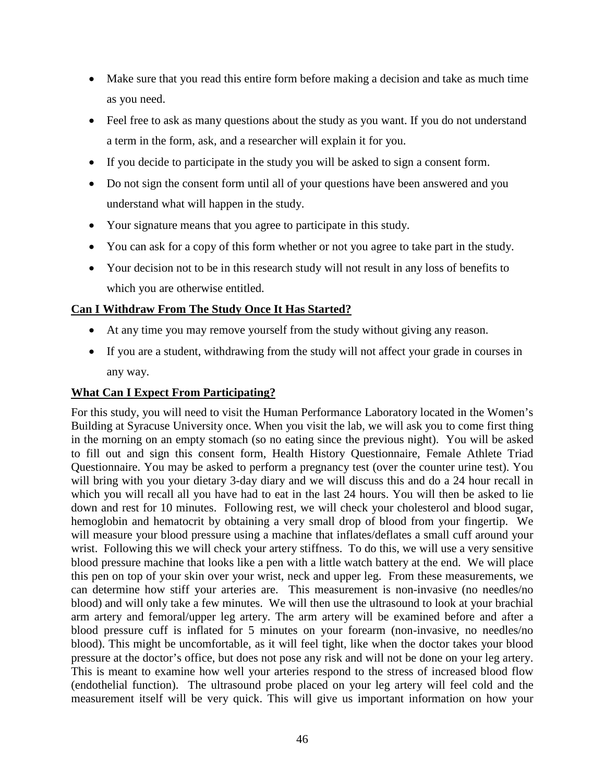- Make sure that you read this entire form before making a decision and take as much time as you need.
- Feel free to ask as many questions about the study as you want. If you do not understand a term in the form, ask, and a researcher will explain it for you.
- If you decide to participate in the study you will be asked to sign a consent form.
- Do not sign the consent form until all of your questions have been answered and you understand what will happen in the study.
- Your signature means that you agree to participate in this study.
- You can ask for a copy of this form whether or not you agree to take part in the study.
- Your decision not to be in this research study will not result in any loss of benefits to which you are otherwise entitled.

# **Can I Withdraw From The Study Once It Has Started?**

- At any time you may remove yourself from the study without giving any reason.
- If you are a student, withdrawing from the study will not affect your grade in courses in any way.

# **What Can I Expect From Participating?**

For this study, you will need to visit the Human Performance Laboratory located in the Women's Building at Syracuse University once. When you visit the lab, we will ask you to come first thing in the morning on an empty stomach (so no eating since the previous night). You will be asked to fill out and sign this consent form, Health History Questionnaire, Female Athlete Triad Questionnaire. You may be asked to perform a pregnancy test (over the counter urine test). You will bring with you your dietary 3-day diary and we will discuss this and do a 24 hour recall in which you will recall all you have had to eat in the last 24 hours. You will then be asked to lie down and rest for 10 minutes. Following rest, we will check your cholesterol and blood sugar, hemoglobin and hematocrit by obtaining a very small drop of blood from your fingertip. We will measure your blood pressure using a machine that inflates/deflates a small cuff around your wrist. Following this we will check your artery stiffness. To do this, we will use a very sensitive blood pressure machine that looks like a pen with a little watch battery at the end. We will place this pen on top of your skin over your wrist, neck and upper leg. From these measurements, we can determine how stiff your arteries are. This measurement is non-invasive (no needles/no blood) and will only take a few minutes. We will then use the ultrasound to look at your brachial arm artery and femoral/upper leg artery. The arm artery will be examined before and after a blood pressure cuff is inflated for 5 minutes on your forearm (non-invasive, no needles/no blood). This might be uncomfortable, as it will feel tight, like when the doctor takes your blood pressure at the doctor's office, but does not pose any risk and will not be done on your leg artery. This is meant to examine how well your arteries respond to the stress of increased blood flow (endothelial function). The ultrasound probe placed on your leg artery will feel cold and the measurement itself will be very quick. This will give us important information on how your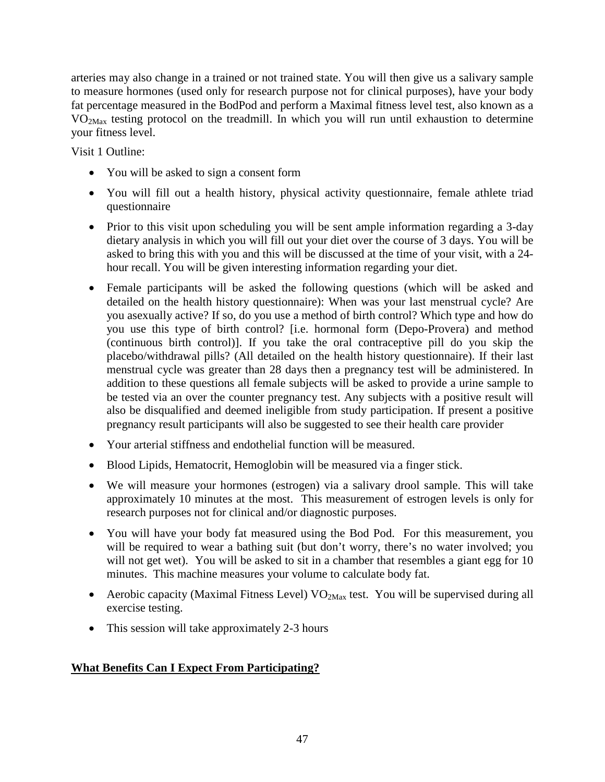arteries may also change in a trained or not trained state. You will then give us a salivary sample to measure hormones (used only for research purpose not for clinical purposes), have your body fat percentage measured in the BodPod and perform a Maximal fitness level test, also known as a VO2Max testing protocol on the treadmill. In which you will run until exhaustion to determine your fitness level.

Visit 1 Outline:

- You will be asked to sign a consent form
- You will fill out a health history, physical activity questionnaire, female athlete triad questionnaire
- Prior to this visit upon scheduling you will be sent ample information regarding a 3-day dietary analysis in which you will fill out your diet over the course of 3 days. You will be asked to bring this with you and this will be discussed at the time of your visit, with a 24 hour recall. You will be given interesting information regarding your diet.
- Female participants will be asked the following questions (which will be asked and detailed on the health history questionnaire): When was your last menstrual cycle? Are you asexually active? If so, do you use a method of birth control? Which type and how do you use this type of birth control? [i.e. hormonal form (Depo-Provera) and method (continuous birth control)]. If you take the oral contraceptive pill do you skip the placebo/withdrawal pills? (All detailed on the health history questionnaire). If their last menstrual cycle was greater than 28 days then a pregnancy test will be administered. In addition to these questions all female subjects will be asked to provide a urine sample to be tested via an over the counter pregnancy test. Any subjects with a positive result will also be disqualified and deemed ineligible from study participation. If present a positive pregnancy result participants will also be suggested to see their health care provider
- Your arterial stiffness and endothelial function will be measured.
- Blood Lipids, Hematocrit, Hemoglobin will be measured via a finger stick.
- We will measure your hormones (estrogen) via a salivary drool sample. This will take approximately 10 minutes at the most. This measurement of estrogen levels is only for research purposes not for clinical and/or diagnostic purposes.
- You will have your body fat measured using the Bod Pod. For this measurement, you will be required to wear a bathing suit (but don't worry, there's no water involved; you will not get wet). You will be asked to sit in a chamber that resembles a giant egg for 10 minutes. This machine measures your volume to calculate body fat.
- Aerobic capacity (Maximal Fitness Level)  $VO<sub>2Max</sub>$  test. You will be supervised during all exercise testing.
- This session will take approximately 2-3 hours

# **What Benefits Can I Expect From Participating?**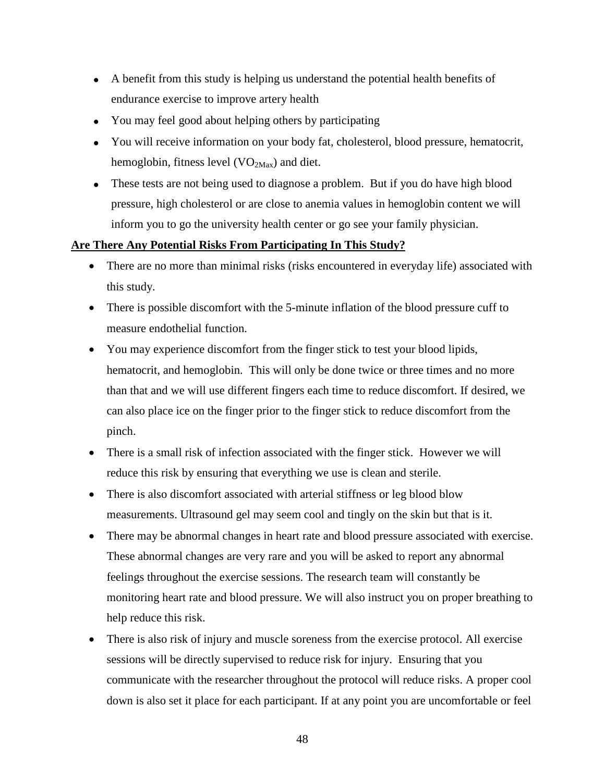- A benefit from this study is helping us understand the potential health benefits of endurance exercise to improve artery health
- You may feel good about helping others by participating
- You will receive information on your body fat, cholesterol, blood pressure, hematocrit, hemoglobin, fitness level  $(VO<sub>2Max</sub>)$  and diet.
- These tests are not being used to diagnose a problem. But if you do have high blood pressure, high cholesterol or are close to anemia values in hemoglobin content we will inform you to go the university health center or go see your family physician.

## **Are There Any Potential Risks From Participating In This Study?**

- There are no more than minimal risks (risks encountered in everyday life) associated with this study.
- There is possible discomfort with the 5-minute inflation of the blood pressure cuff to measure endothelial function.
- You may experience discomfort from the finger stick to test your blood lipids, hematocrit, and hemoglobin. This will only be done twice or three times and no more than that and we will use different fingers each time to reduce discomfort. If desired, we can also place ice on the finger prior to the finger stick to reduce discomfort from the pinch.
- There is a small risk of infection associated with the finger stick. However we will reduce this risk by ensuring that everything we use is clean and sterile.
- There is also discomfort associated with arterial stiffness or leg blood blow measurements. Ultrasound gel may seem cool and tingly on the skin but that is it.
- There may be abnormal changes in heart rate and blood pressure associated with exercise. These abnormal changes are very rare and you will be asked to report any abnormal feelings throughout the exercise sessions. The research team will constantly be monitoring heart rate and blood pressure. We will also instruct you on proper breathing to help reduce this risk.
- There is also risk of injury and muscle soreness from the exercise protocol. All exercise sessions will be directly supervised to reduce risk for injury. Ensuring that you communicate with the researcher throughout the protocol will reduce risks. A proper cool down is also set it place for each participant. If at any point you are uncomfortable or feel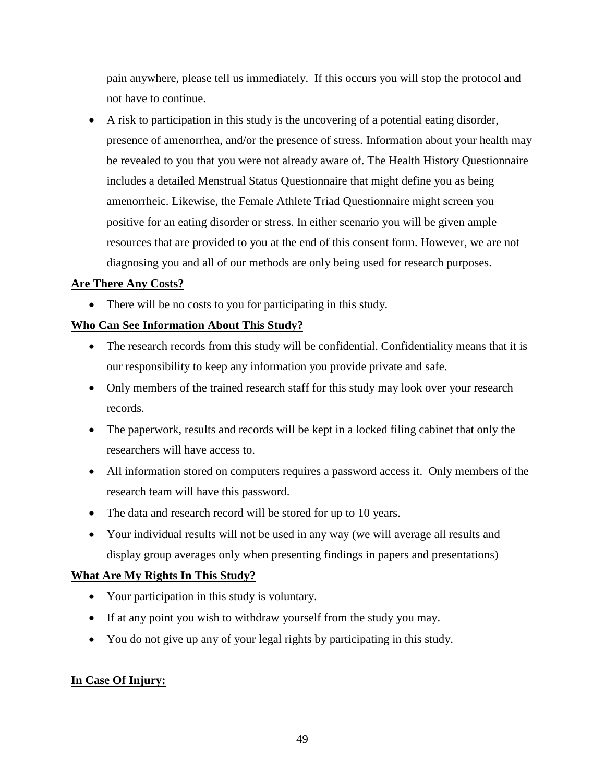pain anywhere, please tell us immediately. If this occurs you will stop the protocol and not have to continue.

• A risk to participation in this study is the uncovering of a potential eating disorder, presence of amenorrhea, and/or the presence of stress. Information about your health may be revealed to you that you were not already aware of. The Health History Questionnaire includes a detailed Menstrual Status Questionnaire that might define you as being amenorrheic. Likewise, the Female Athlete Triad Questionnaire might screen you positive for an eating disorder or stress. In either scenario you will be given ample resources that are provided to you at the end of this consent form. However, we are not diagnosing you and all of our methods are only being used for research purposes.

# **Are There Any Costs?**

• There will be no costs to you for participating in this study.

# **Who Can See Information About This Study?**

- The research records from this study will be confidential. Confidentiality means that it is our responsibility to keep any information you provide private and safe.
- Only members of the trained research staff for this study may look over your research records.
- The paperwork, results and records will be kept in a locked filing cabinet that only the researchers will have access to.
- All information stored on computers requires a password access it. Only members of the research team will have this password.
- The data and research record will be stored for up to 10 years.
- Your individual results will not be used in any way (we will average all results and display group averages only when presenting findings in papers and presentations)

#### **What Are My Rights In This Study?**

- Your participation in this study is voluntary.
- If at any point you wish to withdraw yourself from the study you may.
- You do not give up any of your legal rights by participating in this study.

#### **In Case Of Injury:**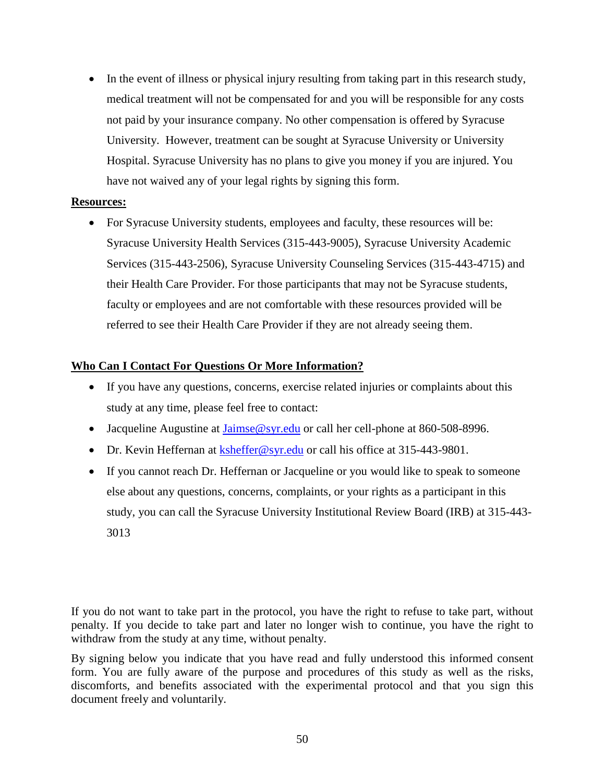• In the event of illness or physical injury resulting from taking part in this research study, medical treatment will not be compensated for and you will be responsible for any costs not paid by your insurance company. No other compensation is offered by Syracuse University. However, treatment can be sought at Syracuse University or University Hospital. Syracuse University has no plans to give you money if you are injured. You have not waived any of your legal rights by signing this form.

## **Resources:**

• For Syracuse University students, employees and faculty, these resources will be: Syracuse University Health Services (315-443-9005), Syracuse University Academic Services (315-443-2506), Syracuse University Counseling Services (315-443-4715) and their Health Care Provider. For those participants that may not be Syracuse students, faculty or employees and are not comfortable with these resources provided will be referred to see their Health Care Provider if they are not already seeing them.

# **Who Can I Contact For Questions Or More Information?**

- If you have any questions, concerns, exercise related injuries or complaints about this study at any time, please feel free to contact:
- Jacqueline Augustine at Jaimse@syr.edu or call her cell-phone at 860-508-8996.
- Dr. Kevin Heffernan at  $\frac{k \text{sheffer} @ \text{syr.edu}}{k \cdot \text{b} \cdot \text{c}}$  or call his office at 315-443-9801.
- If you cannot reach Dr. Heffernan or Jacqueline or you would like to speak to someone else about any questions, concerns, complaints, or your rights as a participant in this study, you can call the Syracuse University Institutional Review Board (IRB) at 315-443- 3013

If you do not want to take part in the protocol, you have the right to refuse to take part, without penalty. If you decide to take part and later no longer wish to continue, you have the right to withdraw from the study at any time, without penalty.

By signing below you indicate that you have read and fully understood this informed consent form. You are fully aware of the purpose and procedures of this study as well as the risks, discomforts, and benefits associated with the experimental protocol and that you sign this document freely and voluntarily.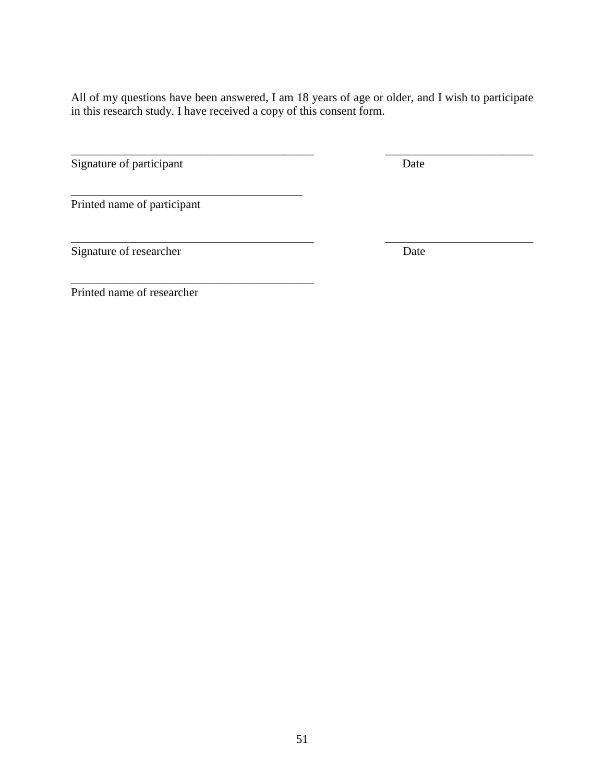All of my questions have been answered, I am 18 years of age or older, and I wish to participate in this research study. I have received a copy of this consent form.

\_\_\_\_\_\_\_\_\_\_\_\_\_\_\_\_\_\_\_\_\_\_\_\_\_\_\_\_\_\_\_\_\_\_\_\_\_\_\_\_\_ \_\_\_\_\_\_\_\_\_\_\_\_\_\_\_\_\_\_\_\_\_\_\_\_\_

\_\_\_\_\_\_\_\_\_\_\_\_\_\_\_\_\_\_\_\_\_\_\_\_\_\_\_\_\_\_\_\_\_\_\_\_\_\_\_\_\_ \_\_\_\_\_\_\_\_\_\_\_\_\_\_\_\_\_\_\_\_\_\_\_\_\_ Signature of participant Date

Printed name of participant

\_\_\_\_\_\_\_\_\_\_\_\_\_\_\_\_\_\_\_\_\_\_\_\_\_\_\_\_\_\_\_\_\_\_\_\_\_\_\_

\_\_\_\_\_\_\_\_\_\_\_\_\_\_\_\_\_\_\_\_\_\_\_\_\_\_\_\_\_\_\_\_\_\_\_\_\_\_\_\_\_

Signature of researcher Date

Printed name of researcher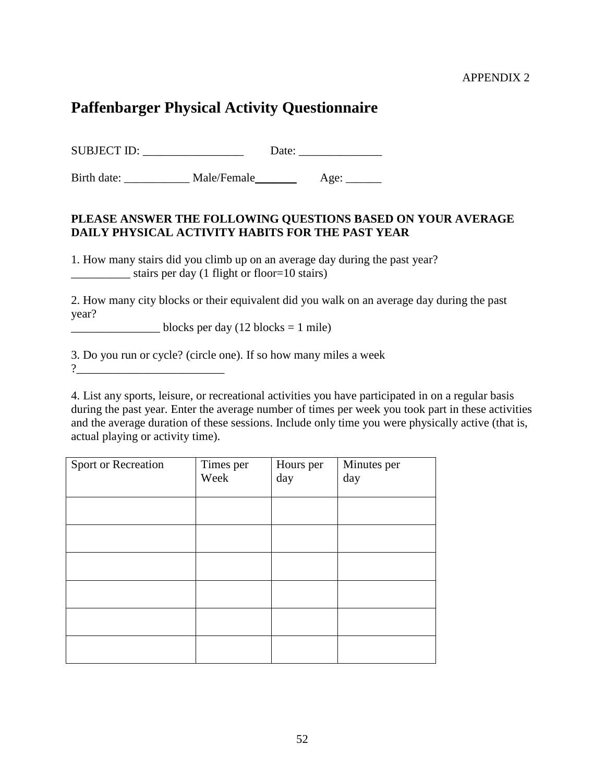#### APPENDIX 2

# **Paffenbarger Physical Activity Questionnaire**

SUBJECT ID: Date:

Birth date: Male/Female Age: \_\_\_\_\_\_

## **PLEASE ANSWER THE FOLLOWING QUESTIONS BASED ON YOUR AVERAGE DAILY PHYSICAL ACTIVITY HABITS FOR THE PAST YEAR**

1. How many stairs did you climb up on an average day during the past year? stairs per day (1 flight or floor=10 stairs)

2. How many city blocks or their equivalent did you walk on an average day during the past year?

 $\frac{1}{2}$  blocks per day (12 blocks = 1 mile)

3. Do you run or cycle? (circle one). If so how many miles a week ?

4. List any sports, leisure, or recreational activities you have participated in on a regular basis during the past year. Enter the average number of times per week you took part in these activities and the average duration of these sessions. Include only time you were physically active (that is, actual playing or activity time).

| Sport or Recreation | Times per<br>Week | Hours per<br>day | Minutes per<br>day |
|---------------------|-------------------|------------------|--------------------|
|                     |                   |                  |                    |
|                     |                   |                  |                    |
|                     |                   |                  |                    |
|                     |                   |                  |                    |
|                     |                   |                  |                    |
|                     |                   |                  |                    |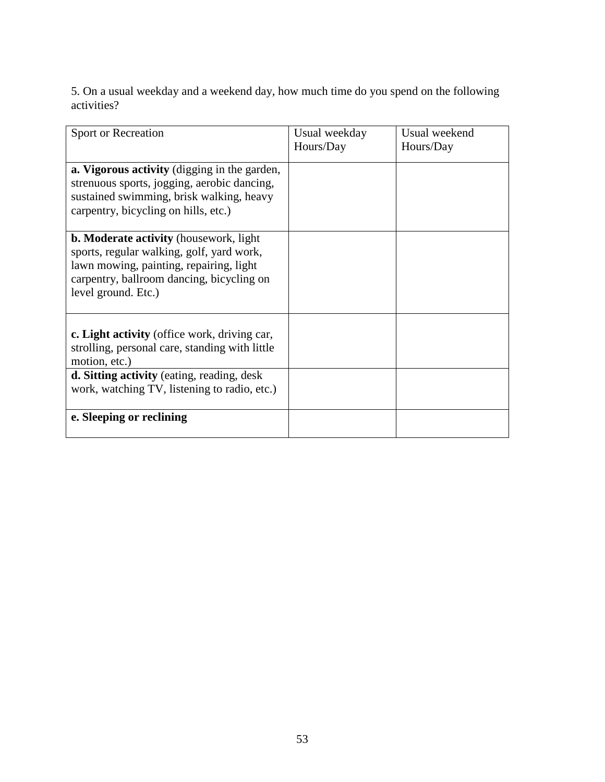5. On a usual weekday and a weekend day, how much time do you spend on the following activities?

| Sport or Recreation                                                                                                                                                                                       | Usual weekday<br>Hours/Day | Usual weekend<br>Hours/Day |
|-----------------------------------------------------------------------------------------------------------------------------------------------------------------------------------------------------------|----------------------------|----------------------------|
| a. Vigorous activity (digging in the garden,<br>strenuous sports, jogging, aerobic dancing,<br>sustained swimming, brisk walking, heavy<br>carpentry, bicycling on hills, etc.)                           |                            |                            |
| <b>b. Moderate activity</b> (housework, light<br>sports, regular walking, golf, yard work,<br>lawn mowing, painting, repairing, light<br>carpentry, ballroom dancing, bicycling on<br>level ground. Etc.) |                            |                            |
| c. Light activity (office work, driving car,<br>strolling, personal care, standing with little<br>motion, etc.)                                                                                           |                            |                            |
| d. Sitting activity (eating, reading, desk<br>work, watching TV, listening to radio, etc.)                                                                                                                |                            |                            |
| e. Sleeping or reclining                                                                                                                                                                                  |                            |                            |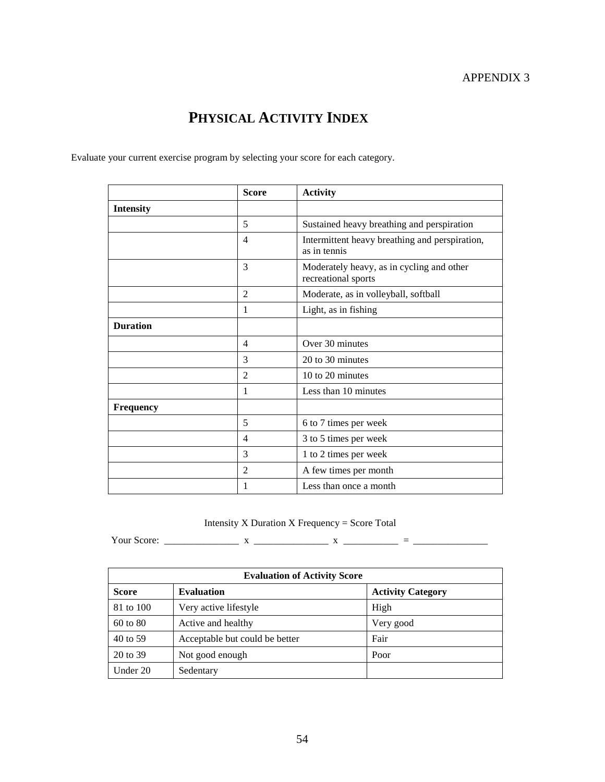# **PHYSICAL ACTIVITY INDEX**

Evaluate your current exercise program by selecting your score for each category.

|                  | <b>Score</b>   | <b>Activity</b>                                                  |
|------------------|----------------|------------------------------------------------------------------|
| <b>Intensity</b> |                |                                                                  |
|                  | 5              | Sustained heavy breathing and perspiration                       |
|                  | $\overline{4}$ | Intermittent heavy breathing and perspiration,<br>as in tennis   |
|                  | 3              | Moderately heavy, as in cycling and other<br>recreational sports |
|                  | $\overline{2}$ | Moderate, as in volleyball, softball                             |
|                  | 1              | Light, as in fishing                                             |
| <b>Duration</b>  |                |                                                                  |
|                  | $\overline{4}$ | Over 30 minutes                                                  |
|                  | 3              | 20 to 30 minutes                                                 |
|                  | $\overline{2}$ | 10 to 20 minutes                                                 |
|                  | 1              | Less than 10 minutes                                             |
| <b>Frequency</b> |                |                                                                  |
|                  | 5              | 6 to 7 times per week                                            |
|                  | 4              | 3 to 5 times per week                                            |
|                  | 3              | 1 to 2 times per week                                            |
|                  | $\overline{2}$ | A few times per month                                            |
|                  | 1              | Less than once a month                                           |

## Intensity X Duration X Frequency = Score Total

Your Score: \_\_\_\_\_\_\_\_\_\_\_\_\_\_\_ x \_\_\_\_\_\_\_\_\_\_\_\_\_\_\_ x \_\_\_\_\_\_\_\_\_\_\_ = \_\_\_\_\_\_\_\_\_\_\_\_\_\_\_

| <b>Evaluation of Activity Score</b> |                                |                          |  |
|-------------------------------------|--------------------------------|--------------------------|--|
| <b>Score</b>                        | <b>Evaluation</b>              | <b>Activity Category</b> |  |
| 81 to 100                           | Very active lifestyle          | High                     |  |
| 60 to 80                            | Active and healthy             | Very good                |  |
| 40 to 59                            | Acceptable but could be better | Fair                     |  |
| 20 to 39                            | Not good enough                | Poor                     |  |
| Under 20                            | Sedentary                      |                          |  |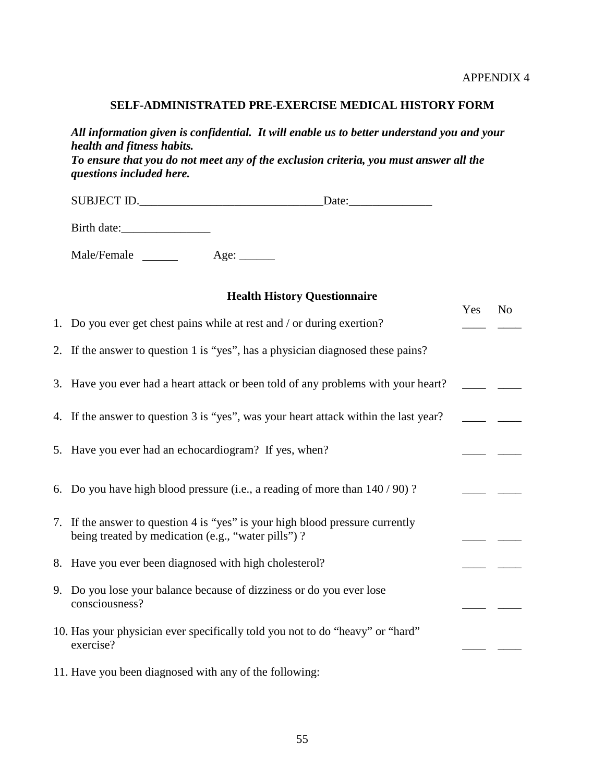#### **SELF-ADMINISTRATED PRE-EXERCISE MEDICAL HISTORY FORM**

*All information given is confidential. It will enable us to better understand you and your health and fitness habits. To ensure that you do not meet any of the exclusion criteria, you must answer all the questions included here.* 

SUBJECT ID.

Birth date:\_\_\_\_\_\_\_\_\_\_\_\_\_\_\_

Male/Female \_\_\_\_\_\_\_ Age: \_\_\_\_\_

| <b>Health History Questionnaire</b> |                                                                                                                                     |     |                |
|-------------------------------------|-------------------------------------------------------------------------------------------------------------------------------------|-----|----------------|
|                                     | 1. Do you ever get chest pains while at rest and / or during exertion?                                                              | Yes | N <sub>o</sub> |
|                                     | 2. If the answer to question 1 is "yes", has a physician diagnosed these pains?                                                     |     |                |
|                                     | 3. Have you ever had a heart attack or been told of any problems with your heart?                                                   |     |                |
|                                     | 4. If the answer to question 3 is "yes", was your heart attack within the last year?                                                |     |                |
|                                     | 5. Have you ever had an echocardiogram? If yes, when?                                                                               |     |                |
|                                     | 6. Do you have high blood pressure (i.e., a reading of more than $140/90$ )?                                                        |     |                |
|                                     | 7. If the answer to question 4 is "yes" is your high blood pressure currently<br>being treated by medication (e.g., "water pills")? |     |                |
|                                     | 8. Have you ever been diagnosed with high cholesterol?                                                                              |     |                |
|                                     | 9. Do you lose your balance because of dizziness or do you ever lose<br>consciousness?                                              |     |                |
|                                     | 10. Has your physician ever specifically told you not to do "heavy" or "hard"<br>exercise?                                          |     |                |
|                                     | 11. Have you been diagnosed with any of the following:                                                                              |     |                |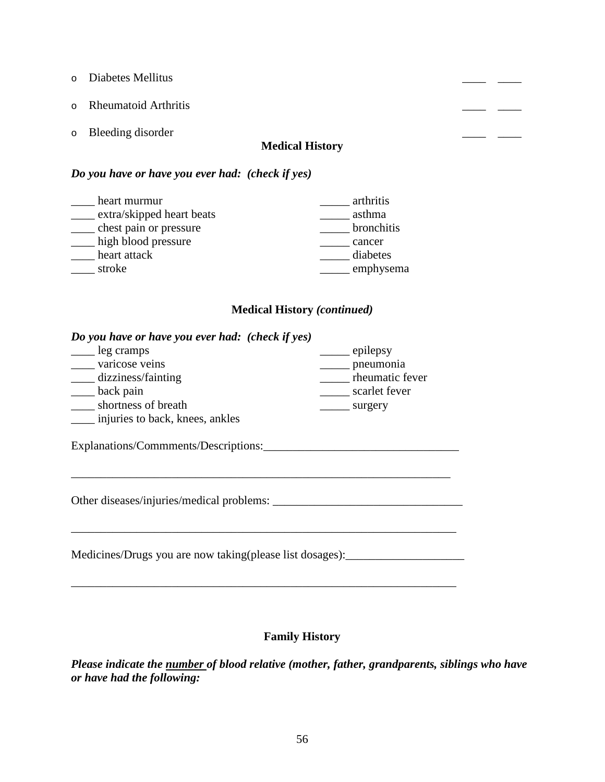- o Diabetes Mellitus **Diabetes Mellitus Diabetes Mellitus Diabetes Mellitus Diabetes**  $\frac{1}{\sqrt{1-\frac{1}{2}}}$
- o Rheumatoid Arthritis \_\_\_\_ \_\_\_\_
- o Bleeding disorder the contract of the contract of the contract of the contract of the contract of the contract of the contract of the contract of the contract of the contract of the contract of the contract of the contra

#### **Medical History**

#### *Do you have or have you ever had: (check if yes)*

| heart murmur              | arthritis  |
|---------------------------|------------|
| extra/skipped heart beats | asthma     |
| chest pain or pressure    | bronchitis |
| high blood pressure       | cancer     |
| heart attack              | diabetes   |
| stroke                    | emphysema  |

## **Medical History** *(continued)*

#### *Do you have or have you ever had: (check if yes)*

| leg cramps                      | epilepsy        |
|---------------------------------|-----------------|
| varicose veins                  | pneumonia       |
| dizziness/fainting              | rheumatic fever |
| back pain                       | scarlet fever   |
| shortness of breath             | surgery         |
| injuries to back, knees, ankles |                 |

Explanations/Commments/Descriptions:\_\_\_\_\_\_\_\_\_\_\_\_\_\_\_\_\_\_\_\_\_\_\_\_\_\_\_\_\_\_\_\_\_

Other diseases/injuries/medical problems: \_\_\_\_\_\_\_\_\_\_\_\_\_\_\_\_\_\_\_\_\_\_\_\_\_\_\_\_\_\_\_\_

Medicines/Drugs you are now taking(please list dosages):

\_\_\_\_\_\_\_\_\_\_\_\_\_\_\_\_\_\_\_\_\_\_\_\_\_\_\_\_\_\_\_\_\_\_\_\_\_\_\_\_\_\_\_\_\_\_\_\_\_\_\_\_\_\_\_\_\_\_\_\_\_\_\_\_\_

\_\_\_\_\_\_\_\_\_\_\_\_\_\_\_\_\_\_\_\_\_\_\_\_\_\_\_\_\_\_\_\_\_\_\_\_\_\_\_\_\_\_\_\_\_\_\_\_\_\_\_\_\_\_\_\_\_\_\_\_\_\_\_\_\_

#### **Family History**

 $\overline{\phantom{a}}$  ,  $\overline{\phantom{a}}$  ,  $\overline{\phantom{a}}$  ,  $\overline{\phantom{a}}$  ,  $\overline{\phantom{a}}$  ,  $\overline{\phantom{a}}$  ,  $\overline{\phantom{a}}$  ,  $\overline{\phantom{a}}$  ,  $\overline{\phantom{a}}$  ,  $\overline{\phantom{a}}$  ,  $\overline{\phantom{a}}$  ,  $\overline{\phantom{a}}$  ,  $\overline{\phantom{a}}$  ,  $\overline{\phantom{a}}$  ,  $\overline{\phantom{a}}$  ,  $\overline{\phantom{a}}$ 

*Please indicate the number of blood relative (mother, father, grandparents, siblings who have or have had the following:*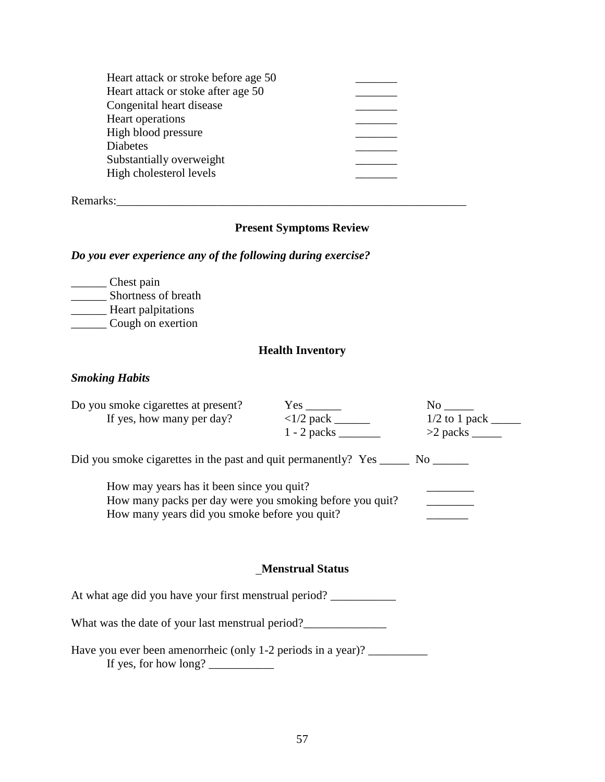| Heart attack or stroke before age 50 |  |
|--------------------------------------|--|
| Heart attack or stoke after age 50   |  |
| Congenital heart disease             |  |
| Heart operations                     |  |
| High blood pressure                  |  |
| <b>Diabetes</b>                      |  |
| Substantially overweight             |  |
| High cholesterol levels              |  |
|                                      |  |

Remarks:\_\_\_\_\_\_\_\_\_\_\_\_\_\_\_\_\_\_\_\_\_\_\_\_\_\_\_\_\_\_\_\_\_\_\_\_\_\_\_\_\_\_\_\_\_\_\_\_\_\_\_\_\_\_\_\_\_\_\_

## **Present Symptoms Review**

#### *Do you ever experience any of the following during exercise?*

\_\_\_\_\_\_ Chest pain \_\_\_\_\_\_\_\_ Shortness of breath \_\_\_\_\_\_ Heart palpitations \_\_\_\_\_\_ Cough on exertion

#### **Health Inventory**

#### *Smoking Habits*

| Do you smoke cigarettes at present?                                               | $Yes \_$                               |  |  |  |  |
|-----------------------------------------------------------------------------------|----------------------------------------|--|--|--|--|
| If yes, how many per day?                                                         | $\langle 1/2 \text{ pack }$            |  |  |  |  |
|                                                                                   | $1 - 2$ packs $\overline{\phantom{a}}$ |  |  |  |  |
| Did you smoke cigarettes in the past and quit permanently? Yes _______ No _______ |                                        |  |  |  |  |
| How may years has it been since you quit?                                         |                                        |  |  |  |  |
| How many packs per day were you smoking before you quit?                          |                                        |  |  |  |  |
| How many years did you smoke before you quit?                                     |                                        |  |  |  |  |

#### **Menstrual Status**

At what age did you have your first menstrual period? \_\_\_\_\_\_\_\_\_\_\_\_

What was the date of your last menstrual period?\_\_\_\_\_\_\_\_\_\_\_\_\_\_\_\_\_\_\_\_\_\_\_\_\_\_\_\_\_\_\_\_\_

Have you ever been amenorrheic (only 1-2 periods in a year)? \_\_\_\_\_\_\_\_\_\_\_\_\_\_\_\_\_\_\_ If yes, for how long? \_\_\_\_\_\_\_\_\_\_\_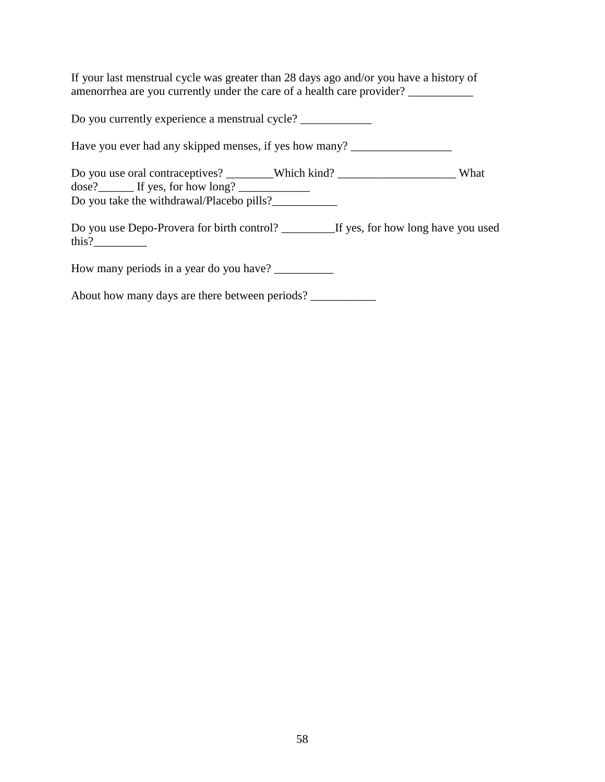If your last menstrual cycle was greater than 28 days ago and/or you have a history of amenorrhea are you currently under the care of a health care provider? \_\_\_\_\_\_\_\_\_\_

Do you currently experience a menstrual cycle? \_\_\_\_\_\_\_\_\_\_\_\_\_\_\_\_\_\_\_\_\_\_\_\_\_\_\_\_\_\_\_\_\_\_

Have you ever had any skipped menses, if yes how many? \_\_\_\_\_\_\_\_\_\_\_\_\_\_\_\_\_\_\_\_\_\_\_\_\_

Do you use oral contraceptives? \_\_\_\_\_\_\_Which kind? \_\_\_\_\_\_\_\_\_\_\_\_\_\_\_\_\_\_\_\_\_What dose?\_\_\_\_\_\_ If yes, for how long? \_\_\_\_\_\_\_\_\_\_\_\_ Do you take the withdrawal/Placebo pills?\_\_\_\_\_\_\_\_\_\_\_

Do you use Depo-Provera for birth control? \_\_\_\_\_\_\_\_\_If yes, for how long have you used this?

How many periods in a year do you have? \_\_\_\_\_\_\_\_\_\_

About how many days are there between periods? \_\_\_\_\_\_\_\_\_\_\_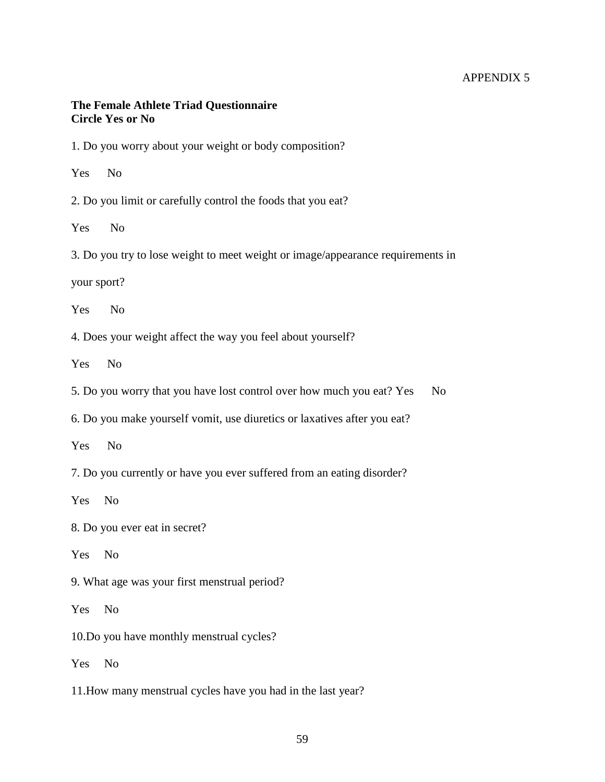#### APPENDIX 5

#### **The Female Athlete Triad Questionnaire Circle Yes or No**

1. Do you worry about your weight or body composition?

Yes No

2. Do you limit or carefully control the foods that you eat?

Yes No

3. Do you try to lose weight to meet weight or image/appearance requirements in

your sport?

Yes No

4. Does your weight affect the way you feel about yourself?

Yes No

5. Do you worry that you have lost control over how much you eat? Yes No

6. Do you make yourself vomit, use diuretics or laxatives after you eat?

Yes No

7. Do you currently or have you ever suffered from an eating disorder?

Yes No

8. Do you ever eat in secret?

Yes No

9. What age was your first menstrual period?

Yes No

10.Do you have monthly menstrual cycles?

Yes No

11.How many menstrual cycles have you had in the last year?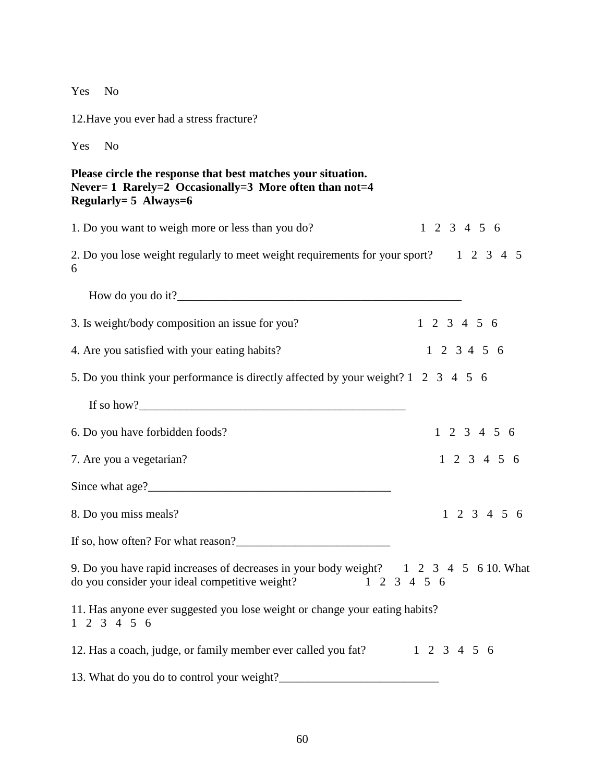Yes No

12.Have you ever had a stress fracture?

Yes No

## **Please circle the response that best matches your situation. Never= 1 Rarely=2 Occasionally=3 More often than not=4 Regularly= 5 Always=6**

| 1. Do you want to weigh more or less than you do?                                                                                                   | $1\ 2\ 3\ 4\ 5\ 6$      |  |  |  |
|-----------------------------------------------------------------------------------------------------------------------------------------------------|-------------------------|--|--|--|
| 2. Do you lose weight regularly to meet weight requirements for your sport? 1 2 3 4 5<br>6                                                          |                         |  |  |  |
|                                                                                                                                                     |                         |  |  |  |
| 3. Is weight/body composition an issue for you?                                                                                                     | $1\ 2\ 3\ 4\ 5\ 6$      |  |  |  |
| 4. Are you satisfied with your eating habits?                                                                                                       | $1\ 2\ 3\ 4\ 5\ 6$      |  |  |  |
| 5. Do you think your performance is directly affected by your weight? 1 2 3 4 5 6                                                                   |                         |  |  |  |
|                                                                                                                                                     |                         |  |  |  |
| 6. Do you have forbidden foods?                                                                                                                     | $1 \t2 \t3 \t4 \t5 \t6$ |  |  |  |
| 7. Are you a vegetarian?                                                                                                                            | $1 \t2 \t3 \t4 \t5 \t6$ |  |  |  |
|                                                                                                                                                     |                         |  |  |  |
| 8. Do you miss meals?                                                                                                                               | $1 \t2 \t3 \t4 \t5 \t6$ |  |  |  |
| If so, how often? For what reason?                                                                                                                  |                         |  |  |  |
| 9. Do you have rapid increases of decreases in your body weight? 1 2 3 4 5 6 10. What<br>do you consider your ideal competitive weight? 1 2 3 4 5 6 |                         |  |  |  |
| 11. Has anyone ever suggested you lose weight or change your eating habits?<br>$1 \t2 \t3 \t4 \t5 \t6$                                              |                         |  |  |  |
| 12. Has a coach, judge, or family member ever called you fat? 1 2 3 4 5 6                                                                           |                         |  |  |  |
|                                                                                                                                                     |                         |  |  |  |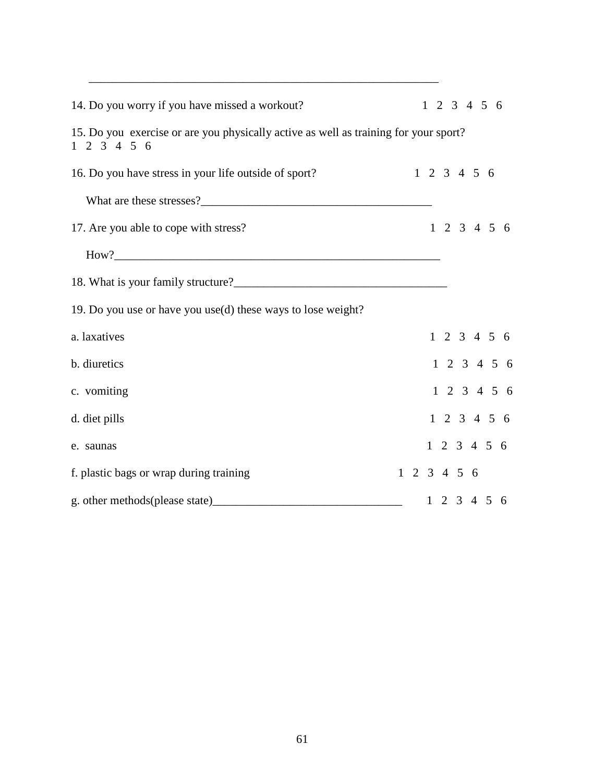| 14. Do you worry if you have missed a workout?                                                                  |  | $1 \t2 \t3 \t4 \t5 \t6$ |                         |  |  |  |                         |  |
|-----------------------------------------------------------------------------------------------------------------|--|-------------------------|-------------------------|--|--|--|-------------------------|--|
| 15. Do you exercise or are you physically active as well as training for your sport?<br>$1 \t2 \t3 \t4 \t5 \t6$ |  |                         |                         |  |  |  |                         |  |
| 16. Do you have stress in your life outside of sport?                                                           |  |                         | $1\ 2\ 3\ 4\ 5\ 6$      |  |  |  |                         |  |
|                                                                                                                 |  |                         |                         |  |  |  |                         |  |
| 17. Are you able to cope with stress?                                                                           |  |                         | $1\ 2\ 3\ 4\ 5\ 6$      |  |  |  |                         |  |
|                                                                                                                 |  |                         |                         |  |  |  |                         |  |
| 18. What is your family structure?<br><u> </u>                                                                  |  |                         |                         |  |  |  |                         |  |
| 19. Do you use or have you use(d) these ways to lose weight?                                                    |  |                         |                         |  |  |  |                         |  |
| a. laxatives                                                                                                    |  |                         | $1\ 2\ 3\ 4\ 5\ 6$      |  |  |  |                         |  |
| b. diuretics                                                                                                    |  |                         |                         |  |  |  | $1 \t2 \t3 \t4 \t5 \t6$ |  |
| c. vomiting                                                                                                     |  |                         | $1 \t2 \t3 \t4 \t5 \t6$ |  |  |  |                         |  |
| d. diet pills                                                                                                   |  |                         | $1 \t2 \t3 \t4 \t5 \t6$ |  |  |  |                         |  |
| e. saunas                                                                                                       |  |                         | $1 \t2 \t3 \t4 \t5 \t6$ |  |  |  |                         |  |
| f. plastic bags or wrap during training                                                                         |  |                         | $1 \t2 \t3 \t4 \t5 \t6$ |  |  |  |                         |  |
|                                                                                                                 |  |                         | $1\ 2\ 3\ 4\ 5\ 6$      |  |  |  |                         |  |

\_\_\_\_\_\_\_\_\_\_\_\_\_\_\_\_\_\_\_\_\_\_\_\_\_\_\_\_\_\_\_\_\_\_\_\_\_\_\_\_\_\_\_\_\_\_\_\_\_\_\_\_\_\_\_\_\_\_\_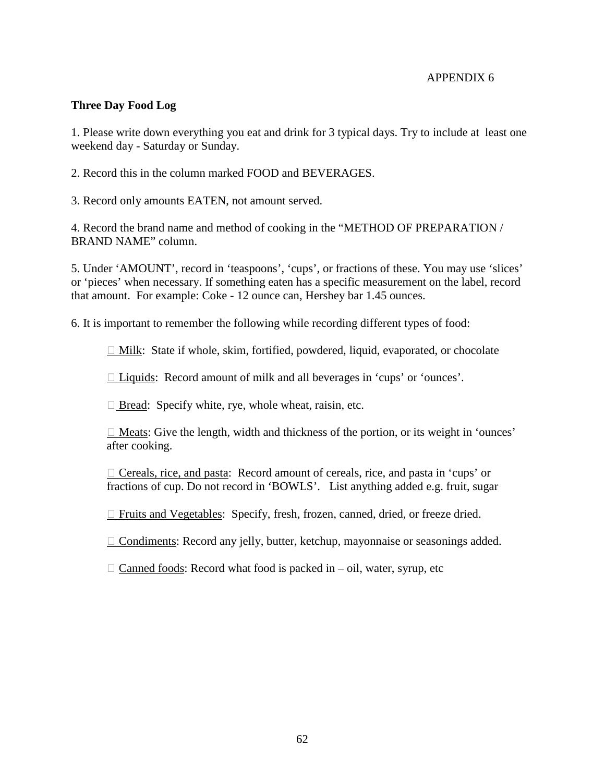#### APPENDIX 6

#### **Three Day Food Log**

1. Please write down everything you eat and drink for 3 typical days. Try to include at least one weekend day - Saturday or Sunday.

2. Record this in the column marked FOOD and BEVERAGES.

3. Record only amounts EATEN, not amount served.

4. Record the brand name and method of cooking in the "METHOD OF PREPARATION / BRAND NAME" column.

5. Under 'AMOUNT', record in 'teaspoons', 'cups', or fractions of these. You may use 'slices' or 'pieces' when necessary. If something eaten has a specific measurement on the label, record that amount. For example: Coke - 12 ounce can, Hershey bar 1.45 ounces.

6. It is important to remember the following while recording different types of food:

 $\Box$  Milk: State if whole, skim, fortified, powdered, liquid, evaporated, or chocolate

□ Liquids: Record amount of milk and all beverages in 'cups' or 'ounces'.

 $\Box$  Bread: Specify white, rye, whole wheat, raisin, etc.

 $\Box$  Meats: Give the length, width and thickness of the portion, or its weight in 'ounces' after cooking.

 $\Box$  Cereals, rice, and pasta: Record amount of cereals, rice, and pasta in 'cups' or fractions of cup. Do not record in 'BOWLS'. List anything added e.g. fruit, sugar

Fruits and Vegetables: Specify, fresh, frozen, canned, dried, or freeze dried.

 $\Box$  Condiments: Record any jelly, butter, ketchup, mayonnaise or seasonings added.

 $\Box$  Canned foods: Record what food is packed in – oil, water, syrup, etc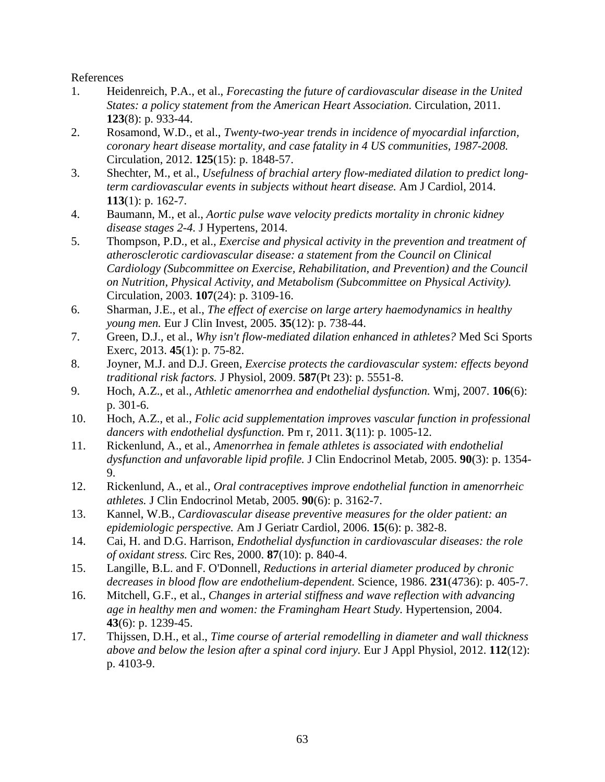References

- 1. Heidenreich, P.A., et al., *Forecasting the future of cardiovascular disease in the United States: a policy statement from the American Heart Association.* Circulation, 2011. **123**(8): p. 933-44.
- 2. Rosamond, W.D., et al., *Twenty-two-year trends in incidence of myocardial infarction, coronary heart disease mortality, and case fatality in 4 US communities, 1987-2008.* Circulation, 2012. **125**(15): p. 1848-57.
- 3. Shechter, M., et al., *Usefulness of brachial artery flow-mediated dilation to predict longterm cardiovascular events in subjects without heart disease.* Am J Cardiol, 2014. **113**(1): p. 162-7.
- 4. Baumann, M., et al., *Aortic pulse wave velocity predicts mortality in chronic kidney disease stages 2-4.* J Hypertens, 2014.
- 5. Thompson, P.D., et al., *Exercise and physical activity in the prevention and treatment of atherosclerotic cardiovascular disease: a statement from the Council on Clinical Cardiology (Subcommittee on Exercise, Rehabilitation, and Prevention) and the Council on Nutrition, Physical Activity, and Metabolism (Subcommittee on Physical Activity).* Circulation, 2003. **107**(24): p. 3109-16.
- 6. Sharman, J.E., et al., *The effect of exercise on large artery haemodynamics in healthy young men.* Eur J Clin Invest, 2005. **35**(12): p. 738-44.
- 7. Green, D.J., et al., *Why isn't flow-mediated dilation enhanced in athletes?* Med Sci Sports Exerc, 2013. **45**(1): p. 75-82.
- 8. Joyner, M.J. and D.J. Green, *Exercise protects the cardiovascular system: effects beyond traditional risk factors.* J Physiol, 2009. **587**(Pt 23): p. 5551-8.
- 9. Hoch, A.Z., et al., *Athletic amenorrhea and endothelial dysfunction.* Wmj, 2007. **106**(6): p. 301-6.
- 10. Hoch, A.Z., et al., *Folic acid supplementation improves vascular function in professional dancers with endothelial dysfunction.* Pm r, 2011. **3**(11): p. 1005-12.
- 11. Rickenlund, A., et al., *Amenorrhea in female athletes is associated with endothelial dysfunction and unfavorable lipid profile.* J Clin Endocrinol Metab, 2005. **90**(3): p. 1354- 9.
- 12. Rickenlund, A., et al., *Oral contraceptives improve endothelial function in amenorrheic athletes.* J Clin Endocrinol Metab, 2005. **90**(6): p. 3162-7.
- 13. Kannel, W.B., *Cardiovascular disease preventive measures for the older patient: an epidemiologic perspective.* Am J Geriatr Cardiol, 2006. **15**(6): p. 382-8.
- 14. Cai, H. and D.G. Harrison, *Endothelial dysfunction in cardiovascular diseases: the role of oxidant stress.* Circ Res, 2000. **87**(10): p. 840-4.
- 15. Langille, B.L. and F. O'Donnell, *Reductions in arterial diameter produced by chronic decreases in blood flow are endothelium-dependent.* Science, 1986. **231**(4736): p. 405-7.
- 16. Mitchell, G.F., et al., *Changes in arterial stiffness and wave reflection with advancing age in healthy men and women: the Framingham Heart Study.* Hypertension, 2004. **43**(6): p. 1239-45.
- 17. Thijssen, D.H., et al., *Time course of arterial remodelling in diameter and wall thickness above and below the lesion after a spinal cord injury.* Eur J Appl Physiol, 2012. **112**(12): p. 4103-9.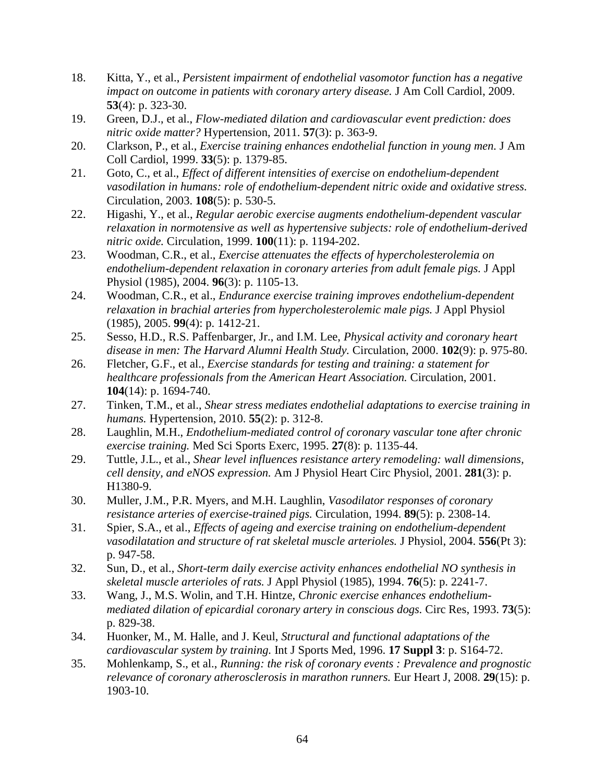- 18. Kitta, Y., et al., *Persistent impairment of endothelial vasomotor function has a negative impact on outcome in patients with coronary artery disease.* J Am Coll Cardiol, 2009. **53**(4): p. 323-30.
- 19. Green, D.J., et al., *Flow-mediated dilation and cardiovascular event prediction: does nitric oxide matter?* Hypertension, 2011. **57**(3): p. 363-9.
- 20. Clarkson, P., et al., *Exercise training enhances endothelial function in young men.* J Am Coll Cardiol, 1999. **33**(5): p. 1379-85.
- 21. Goto, C., et al., *Effect of different intensities of exercise on endothelium-dependent vasodilation in humans: role of endothelium-dependent nitric oxide and oxidative stress.* Circulation, 2003. **108**(5): p. 530-5.
- 22. Higashi, Y., et al., *Regular aerobic exercise augments endothelium-dependent vascular relaxation in normotensive as well as hypertensive subjects: role of endothelium-derived nitric oxide.* Circulation, 1999. **100**(11): p. 1194-202.
- 23. Woodman, C.R., et al., *Exercise attenuates the effects of hypercholesterolemia on endothelium-dependent relaxation in coronary arteries from adult female pigs.* J Appl Physiol (1985), 2004. **96**(3): p. 1105-13.
- 24. Woodman, C.R., et al., *Endurance exercise training improves endothelium-dependent relaxation in brachial arteries from hypercholesterolemic male pigs.* J Appl Physiol (1985), 2005. **99**(4): p. 1412-21.
- 25. Sesso, H.D., R.S. Paffenbarger, Jr., and I.M. Lee, *Physical activity and coronary heart disease in men: The Harvard Alumni Health Study.* Circulation, 2000. **102**(9): p. 975-80.
- 26. Fletcher, G.F., et al., *Exercise standards for testing and training: a statement for healthcare professionals from the American Heart Association.* Circulation, 2001. **104**(14): p. 1694-740.
- 27. Tinken, T.M., et al., *Shear stress mediates endothelial adaptations to exercise training in humans.* Hypertension, 2010. **55**(2): p. 312-8.
- 28. Laughlin, M.H., *Endothelium-mediated control of coronary vascular tone after chronic exercise training.* Med Sci Sports Exerc, 1995. **27**(8): p. 1135-44.
- 29. Tuttle, J.L., et al., *Shear level influences resistance artery remodeling: wall dimensions, cell density, and eNOS expression.* Am J Physiol Heart Circ Physiol, 2001. **281**(3): p. H1380-9.
- 30. Muller, J.M., P.R. Myers, and M.H. Laughlin, *Vasodilator responses of coronary resistance arteries of exercise-trained pigs.* Circulation, 1994. **89**(5): p. 2308-14.
- 31. Spier, S.A., et al., *Effects of ageing and exercise training on endothelium-dependent vasodilatation and structure of rat skeletal muscle arterioles.* J Physiol, 2004. **556**(Pt 3): p. 947-58.
- 32. Sun, D., et al., *Short-term daily exercise activity enhances endothelial NO synthesis in skeletal muscle arterioles of rats.* J Appl Physiol (1985), 1994. **76**(5): p. 2241-7.
- 33. Wang, J., M.S. Wolin, and T.H. Hintze, *Chronic exercise enhances endotheliummediated dilation of epicardial coronary artery in conscious dogs.* Circ Res, 1993. **73**(5): p. 829-38.
- 34. Huonker, M., M. Halle, and J. Keul, *Structural and functional adaptations of the cardiovascular system by training.* Int J Sports Med, 1996. **17 Suppl 3**: p. S164-72.
- 35. Mohlenkamp, S., et al., *Running: the risk of coronary events : Prevalence and prognostic relevance of coronary atherosclerosis in marathon runners.* Eur Heart J, 2008. **29**(15): p. 1903-10.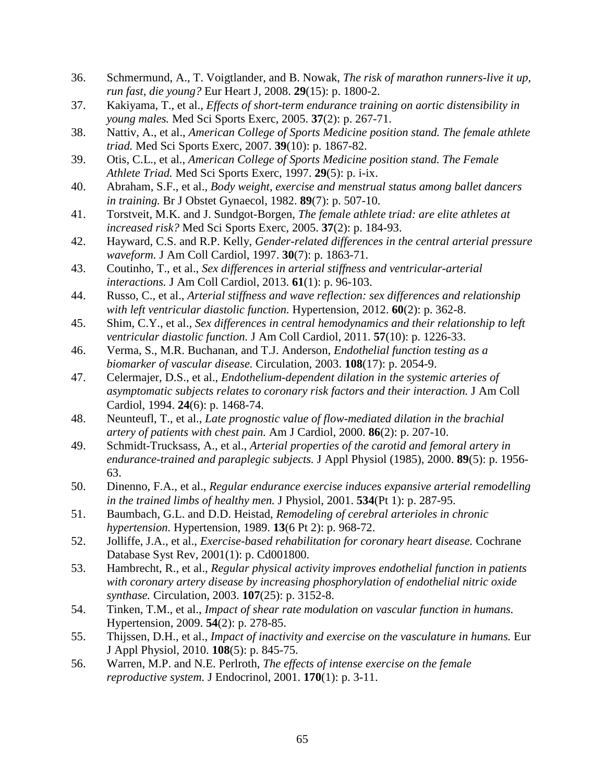- 36. Schmermund, A., T. Voigtlander, and B. Nowak, *The risk of marathon runners-live it up, run fast, die young?* Eur Heart J, 2008. **29**(15): p. 1800-2.
- 37. Kakiyama, T., et al., *Effects of short-term endurance training on aortic distensibility in young males.* Med Sci Sports Exerc, 2005. **37**(2): p. 267-71.
- 38. Nattiv, A., et al., *American College of Sports Medicine position stand. The female athlete triad.* Med Sci Sports Exerc, 2007. **39**(10): p. 1867-82.
- 39. Otis, C.L., et al., *American College of Sports Medicine position stand. The Female Athlete Triad.* Med Sci Sports Exerc, 1997. **29**(5): p. i-ix.
- 40. Abraham, S.F., et al., *Body weight, exercise and menstrual status among ballet dancers in training.* Br J Obstet Gynaecol, 1982. **89**(7): p. 507-10.
- 41. Torstveit, M.K. and J. Sundgot-Borgen, *The female athlete triad: are elite athletes at increased risk?* Med Sci Sports Exerc, 2005. **37**(2): p. 184-93.
- 42. Hayward, C.S. and R.P. Kelly, *Gender-related differences in the central arterial pressure waveform.* J Am Coll Cardiol, 1997. **30**(7): p. 1863-71.
- 43. Coutinho, T., et al., *Sex differences in arterial stiffness and ventricular-arterial interactions.* J Am Coll Cardiol, 2013. **61**(1): p. 96-103.
- 44. Russo, C., et al., *Arterial stiffness and wave reflection: sex differences and relationship with left ventricular diastolic function.* Hypertension, 2012. **60**(2): p. 362-8.
- 45. Shim, C.Y., et al., *Sex differences in central hemodynamics and their relationship to left ventricular diastolic function.* J Am Coll Cardiol, 2011. **57**(10): p. 1226-33.
- 46. Verma, S., M.R. Buchanan, and T.J. Anderson, *Endothelial function testing as a biomarker of vascular disease.* Circulation, 2003. **108**(17): p. 2054-9.
- 47. Celermajer, D.S., et al., *Endothelium-dependent dilation in the systemic arteries of asymptomatic subjects relates to coronary risk factors and their interaction.* J Am Coll Cardiol, 1994. **24**(6): p. 1468-74.
- 48. Neunteufl, T., et al., *Late prognostic value of flow-mediated dilation in the brachial artery of patients with chest pain.* Am J Cardiol, 2000. **86**(2): p. 207-10.
- 49. Schmidt-Trucksass, A., et al., *Arterial properties of the carotid and femoral artery in endurance-trained and paraplegic subjects.* J Appl Physiol (1985), 2000. **89**(5): p. 1956- 63.
- 50. Dinenno, F.A., et al., *Regular endurance exercise induces expansive arterial remodelling in the trained limbs of healthy men.* J Physiol, 2001. **534**(Pt 1): p. 287-95.
- 51. Baumbach, G.L. and D.D. Heistad, *Remodeling of cerebral arterioles in chronic hypertension.* Hypertension, 1989. **13**(6 Pt 2): p. 968-72.
- 52. Jolliffe, J.A., et al., *Exercise-based rehabilitation for coronary heart disease.* Cochrane Database Syst Rev, 2001(1): p. Cd001800.
- 53. Hambrecht, R., et al., *Regular physical activity improves endothelial function in patients with coronary artery disease by increasing phosphorylation of endothelial nitric oxide synthase.* Circulation, 2003. **107**(25): p. 3152-8.
- 54. Tinken, T.M., et al., *Impact of shear rate modulation on vascular function in humans.* Hypertension, 2009. **54**(2): p. 278-85.
- 55. Thijssen, D.H., et al., *Impact of inactivity and exercise on the vasculature in humans.* Eur J Appl Physiol, 2010. **108**(5): p. 845-75.
- 56. Warren, M.P. and N.E. Perlroth, *The effects of intense exercise on the female reproductive system.* J Endocrinol, 2001. **170**(1): p. 3-11.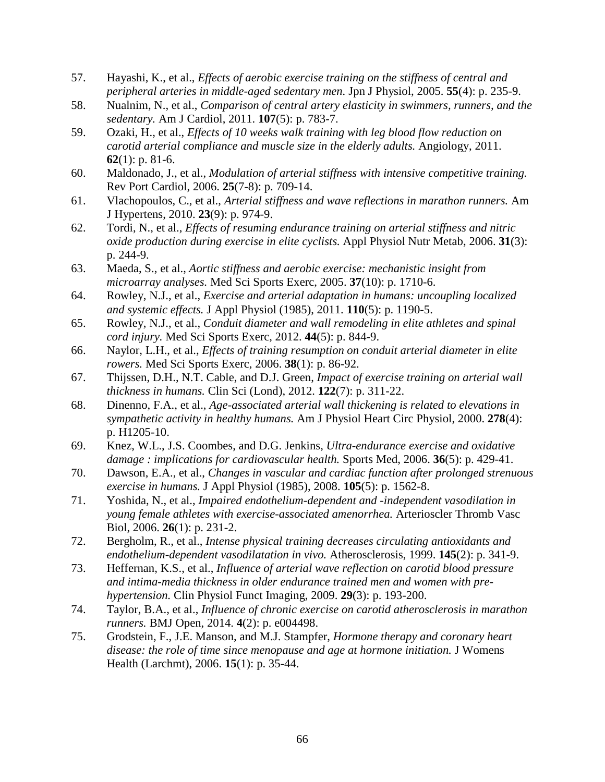- 57. Hayashi, K., et al., *Effects of aerobic exercise training on the stiffness of central and peripheral arteries in middle-aged sedentary men.* Jpn J Physiol, 2005. **55**(4): p. 235-9.
- 58. Nualnim, N., et al., *Comparison of central artery elasticity in swimmers, runners, and the sedentary.* Am J Cardiol, 2011. **107**(5): p. 783-7.
- 59. Ozaki, H., et al., *Effects of 10 weeks walk training with leg blood flow reduction on carotid arterial compliance and muscle size in the elderly adults.* Angiology, 2011. **62**(1): p. 81-6.
- 60. Maldonado, J., et al., *Modulation of arterial stiffness with intensive competitive training.* Rev Port Cardiol, 2006. **25**(7-8): p. 709-14.
- 61. Vlachopoulos, C., et al., *Arterial stiffness and wave reflections in marathon runners.* Am J Hypertens, 2010. **23**(9): p. 974-9.
- 62. Tordi, N., et al., *Effects of resuming endurance training on arterial stiffness and nitric oxide production during exercise in elite cyclists.* Appl Physiol Nutr Metab, 2006. **31**(3): p. 244-9.
- 63. Maeda, S., et al., *Aortic stiffness and aerobic exercise: mechanistic insight from microarray analyses.* Med Sci Sports Exerc, 2005. **37**(10): p. 1710-6.
- 64. Rowley, N.J., et al., *Exercise and arterial adaptation in humans: uncoupling localized and systemic effects.* J Appl Physiol (1985), 2011. **110**(5): p. 1190-5.
- 65. Rowley, N.J., et al., *Conduit diameter and wall remodeling in elite athletes and spinal cord injury.* Med Sci Sports Exerc, 2012. **44**(5): p. 844-9.
- 66. Naylor, L.H., et al., *Effects of training resumption on conduit arterial diameter in elite rowers.* Med Sci Sports Exerc, 2006. **38**(1): p. 86-92.
- 67. Thijssen, D.H., N.T. Cable, and D.J. Green, *Impact of exercise training on arterial wall thickness in humans.* Clin Sci (Lond), 2012. **122**(7): p. 311-22.
- 68. Dinenno, F.A., et al., *Age-associated arterial wall thickening is related to elevations in sympathetic activity in healthy humans.* Am J Physiol Heart Circ Physiol, 2000. **278**(4): p. H1205-10.
- 69. Knez, W.L., J.S. Coombes, and D.G. Jenkins, *Ultra-endurance exercise and oxidative damage : implications for cardiovascular health.* Sports Med, 2006. **36**(5): p. 429-41.
- 70. Dawson, E.A., et al., *Changes in vascular and cardiac function after prolonged strenuous exercise in humans.* J Appl Physiol (1985), 2008. **105**(5): p. 1562-8.
- 71. Yoshida, N., et al., *Impaired endothelium-dependent and -independent vasodilation in young female athletes with exercise-associated amenorrhea.* Arterioscler Thromb Vasc Biol, 2006. **26**(1): p. 231-2.
- 72. Bergholm, R., et al., *Intense physical training decreases circulating antioxidants and endothelium-dependent vasodilatation in vivo.* Atherosclerosis, 1999. **145**(2): p. 341-9.
- 73. Heffernan, K.S., et al., *Influence of arterial wave reflection on carotid blood pressure and intima-media thickness in older endurance trained men and women with prehypertension.* Clin Physiol Funct Imaging, 2009. **29**(3): p. 193-200.
- 74. Taylor, B.A., et al., *Influence of chronic exercise on carotid atherosclerosis in marathon runners.* BMJ Open, 2014. **4**(2): p. e004498.
- 75. Grodstein, F., J.E. Manson, and M.J. Stampfer, *Hormone therapy and coronary heart disease: the role of time since menopause and age at hormone initiation.* J Womens Health (Larchmt), 2006. **15**(1): p. 35-44.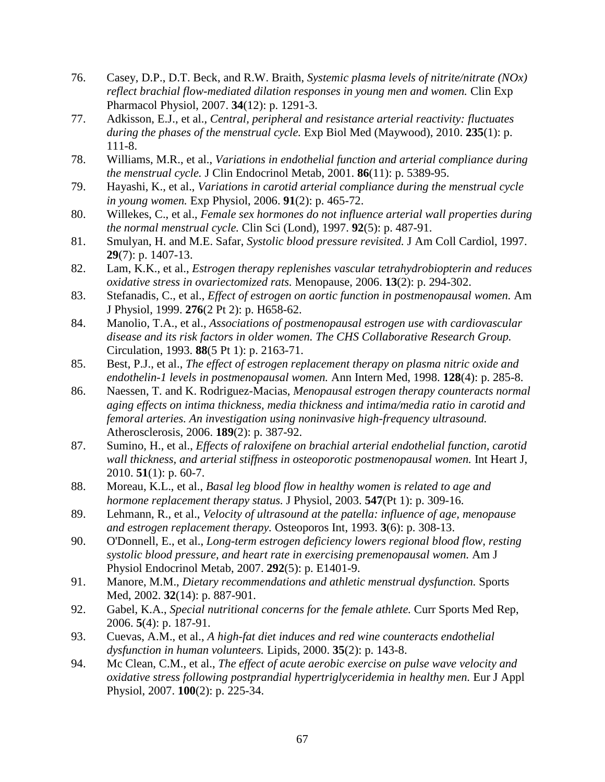- 76. Casey, D.P., D.T. Beck, and R.W. Braith, *Systemic plasma levels of nitrite/nitrate (NOx) reflect brachial flow-mediated dilation responses in young men and women.* Clin Exp Pharmacol Physiol, 2007. **34**(12): p. 1291-3.
- 77. Adkisson, E.J., et al., *Central, peripheral and resistance arterial reactivity: fluctuates during the phases of the menstrual cycle.* Exp Biol Med (Maywood), 2010. **235**(1): p. 111-8.
- 78. Williams, M.R., et al., *Variations in endothelial function and arterial compliance during the menstrual cycle.* J Clin Endocrinol Metab, 2001. **86**(11): p. 5389-95.
- 79. Hayashi, K., et al., *Variations in carotid arterial compliance during the menstrual cycle in young women.* Exp Physiol, 2006. **91**(2): p. 465-72.
- 80. Willekes, C., et al., *Female sex hormones do not influence arterial wall properties during the normal menstrual cycle.* Clin Sci (Lond), 1997. **92**(5): p. 487-91.
- 81. Smulyan, H. and M.E. Safar, *Systolic blood pressure revisited.* J Am Coll Cardiol, 1997. **29**(7): p. 1407-13.
- 82. Lam, K.K., et al., *Estrogen therapy replenishes vascular tetrahydrobiopterin and reduces oxidative stress in ovariectomized rats.* Menopause, 2006. **13**(2): p. 294-302.
- 83. Stefanadis, C., et al., *Effect of estrogen on aortic function in postmenopausal women.* Am J Physiol, 1999. **276**(2 Pt 2): p. H658-62.
- 84. Manolio, T.A., et al., *Associations of postmenopausal estrogen use with cardiovascular disease and its risk factors in older women. The CHS Collaborative Research Group.* Circulation, 1993. **88**(5 Pt 1): p. 2163-71.
- 85. Best, P.J., et al., *The effect of estrogen replacement therapy on plasma nitric oxide and endothelin-1 levels in postmenopausal women.* Ann Intern Med, 1998. **128**(4): p. 285-8.
- 86. Naessen, T. and K. Rodriguez-Macias, *Menopausal estrogen therapy counteracts normal aging effects on intima thickness, media thickness and intima/media ratio in carotid and femoral arteries. An investigation using noninvasive high-frequency ultrasound.* Atherosclerosis, 2006. **189**(2): p. 387-92.
- 87. Sumino, H., et al., *Effects of raloxifene on brachial arterial endothelial function, carotid wall thickness, and arterial stiffness in osteoporotic postmenopausal women.* Int Heart J, 2010. **51**(1): p. 60-7.
- 88. Moreau, K.L., et al., *Basal leg blood flow in healthy women is related to age and hormone replacement therapy status.* J Physiol, 2003. **547**(Pt 1): p. 309-16.
- 89. Lehmann, R., et al., *Velocity of ultrasound at the patella: influence of age, menopause and estrogen replacement therapy.* Osteoporos Int, 1993. **3**(6): p. 308-13.
- 90. O'Donnell, E., et al., *Long-term estrogen deficiency lowers regional blood flow, resting systolic blood pressure, and heart rate in exercising premenopausal women.* Am J Physiol Endocrinol Metab, 2007. **292**(5): p. E1401-9.
- 91. Manore, M.M., *Dietary recommendations and athletic menstrual dysfunction.* Sports Med, 2002. **32**(14): p. 887-901.
- 92. Gabel, K.A., *Special nutritional concerns for the female athlete.* Curr Sports Med Rep, 2006. **5**(4): p. 187-91.
- 93. Cuevas, A.M., et al., *A high-fat diet induces and red wine counteracts endothelial dysfunction in human volunteers.* Lipids, 2000. **35**(2): p. 143-8.
- 94. Mc Clean, C.M., et al., *The effect of acute aerobic exercise on pulse wave velocity and oxidative stress following postprandial hypertriglyceridemia in healthy men.* Eur J Appl Physiol, 2007. **100**(2): p. 225-34.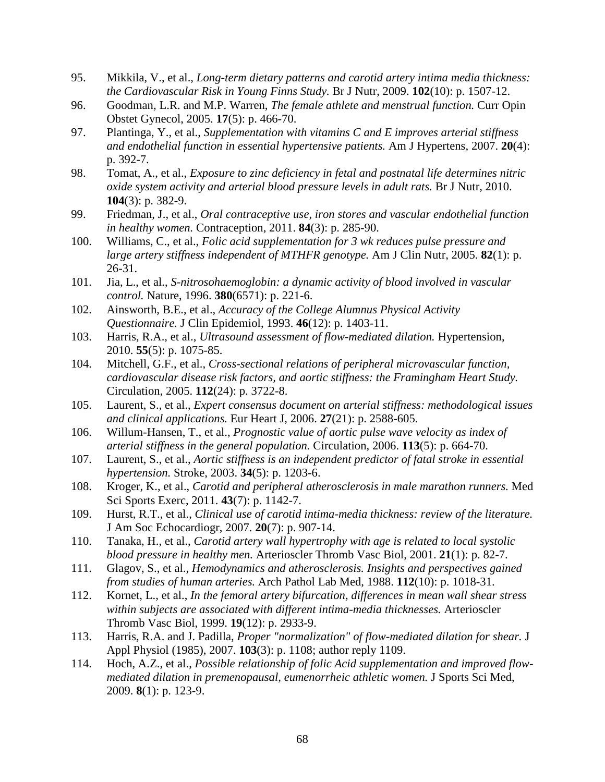- 95. Mikkila, V., et al., *Long-term dietary patterns and carotid artery intima media thickness: the Cardiovascular Risk in Young Finns Study.* Br J Nutr, 2009. **102**(10): p. 1507-12.
- 96. Goodman, L.R. and M.P. Warren, *The female athlete and menstrual function.* Curr Opin Obstet Gynecol, 2005. **17**(5): p. 466-70.
- 97. Plantinga, Y., et al., *Supplementation with vitamins C and E improves arterial stiffness and endothelial function in essential hypertensive patients.* Am J Hypertens, 2007. **20**(4): p. 392-7.
- 98. Tomat, A., et al., *Exposure to zinc deficiency in fetal and postnatal life determines nitric oxide system activity and arterial blood pressure levels in adult rats.* Br J Nutr, 2010. **104**(3): p. 382-9.
- 99. Friedman, J., et al., *Oral contraceptive use, iron stores and vascular endothelial function in healthy women.* Contraception, 2011. **84**(3): p. 285-90.
- 100. Williams, C., et al., *Folic acid supplementation for 3 wk reduces pulse pressure and large artery stiffness independent of MTHFR genotype.* Am J Clin Nutr, 2005. **82**(1): p. 26-31.
- 101. Jia, L., et al., *S-nitrosohaemoglobin: a dynamic activity of blood involved in vascular control.* Nature, 1996. **380**(6571): p. 221-6.
- 102. Ainsworth, B.E., et al., *Accuracy of the College Alumnus Physical Activity Questionnaire.* J Clin Epidemiol, 1993. **46**(12): p. 1403-11.
- 103. Harris, R.A., et al., *Ultrasound assessment of flow-mediated dilation.* Hypertension, 2010. **55**(5): p. 1075-85.
- 104. Mitchell, G.F., et al., *Cross-sectional relations of peripheral microvascular function, cardiovascular disease risk factors, and aortic stiffness: the Framingham Heart Study.* Circulation, 2005. **112**(24): p. 3722-8.
- 105. Laurent, S., et al., *Expert consensus document on arterial stiffness: methodological issues and clinical applications.* Eur Heart J, 2006. **27**(21): p. 2588-605.
- 106. Willum-Hansen, T., et al., *Prognostic value of aortic pulse wave velocity as index of arterial stiffness in the general population.* Circulation, 2006. **113**(5): p. 664-70.
- 107. Laurent, S., et al., *Aortic stiffness is an independent predictor of fatal stroke in essential hypertension.* Stroke, 2003. **34**(5): p. 1203-6.
- 108. Kroger, K., et al., *Carotid and peripheral atherosclerosis in male marathon runners.* Med Sci Sports Exerc, 2011. **43**(7): p. 1142-7.
- 109. Hurst, R.T., et al., *Clinical use of carotid intima-media thickness: review of the literature.* J Am Soc Echocardiogr, 2007. **20**(7): p. 907-14.
- 110. Tanaka, H., et al., *Carotid artery wall hypertrophy with age is related to local systolic blood pressure in healthy men.* Arterioscler Thromb Vasc Biol, 2001. **21**(1): p. 82-7.
- 111. Glagov, S., et al., *Hemodynamics and atherosclerosis. Insights and perspectives gained from studies of human arteries.* Arch Pathol Lab Med, 1988. **112**(10): p. 1018-31.
- 112. Kornet, L., et al., *In the femoral artery bifurcation, differences in mean wall shear stress within subjects are associated with different intima-media thicknesses.* Arterioscler Thromb Vasc Biol, 1999. **19**(12): p. 2933-9.
- 113. Harris, R.A. and J. Padilla, *Proper "normalization" of flow-mediated dilation for shear.* J Appl Physiol (1985), 2007. **103**(3): p. 1108; author reply 1109.
- 114. Hoch, A.Z., et al., *Possible relationship of folic Acid supplementation and improved flowmediated dilation in premenopausal, eumenorrheic athletic women.* J Sports Sci Med, 2009. **8**(1): p. 123-9.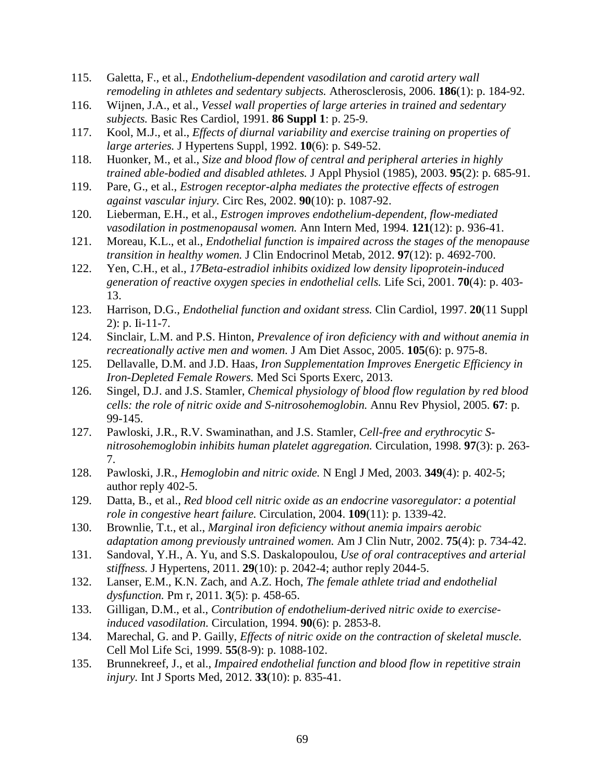- 115. Galetta, F., et al., *Endothelium-dependent vasodilation and carotid artery wall remodeling in athletes and sedentary subjects.* Atherosclerosis, 2006. **186**(1): p. 184-92.
- 116. Wijnen, J.A., et al., *Vessel wall properties of large arteries in trained and sedentary subjects.* Basic Res Cardiol, 1991. **86 Suppl 1**: p. 25-9.
- 117. Kool, M.J., et al., *Effects of diurnal variability and exercise training on properties of large arteries.* J Hypertens Suppl, 1992. **10**(6): p. S49-52.
- 118. Huonker, M., et al., *Size and blood flow of central and peripheral arteries in highly trained able-bodied and disabled athletes.* J Appl Physiol (1985), 2003. **95**(2): p. 685-91.
- 119. Pare, G., et al., *Estrogen receptor-alpha mediates the protective effects of estrogen against vascular injury.* Circ Res, 2002. **90**(10): p. 1087-92.
- 120. Lieberman, E.H., et al., *Estrogen improves endothelium-dependent, flow-mediated vasodilation in postmenopausal women.* Ann Intern Med, 1994. **121**(12): p. 936-41.
- 121. Moreau, K.L., et al., *Endothelial function is impaired across the stages of the menopause transition in healthy women.* J Clin Endocrinol Metab, 2012. **97**(12): p. 4692-700.
- 122. Yen, C.H., et al., *17Beta-estradiol inhibits oxidized low density lipoprotein-induced generation of reactive oxygen species in endothelial cells.* Life Sci, 2001. **70**(4): p. 403- 13.
- 123. Harrison, D.G., *Endothelial function and oxidant stress.* Clin Cardiol, 1997. **20**(11 Suppl 2): p. Ii-11-7.
- 124. Sinclair, L.M. and P.S. Hinton, *Prevalence of iron deficiency with and without anemia in recreationally active men and women.* J Am Diet Assoc, 2005. **105**(6): p. 975-8.
- 125. Dellavalle, D.M. and J.D. Haas, *Iron Supplementation Improves Energetic Efficiency in Iron-Depleted Female Rowers.* Med Sci Sports Exerc, 2013.
- 126. Singel, D.J. and J.S. Stamler, *Chemical physiology of blood flow regulation by red blood cells: the role of nitric oxide and S-nitrosohemoglobin.* Annu Rev Physiol, 2005. **67**: p. 99-145.
- 127. Pawloski, J.R., R.V. Swaminathan, and J.S. Stamler, *Cell-free and erythrocytic Snitrosohemoglobin inhibits human platelet aggregation.* Circulation, 1998. **97**(3): p. 263- 7.
- 128. Pawloski, J.R., *Hemoglobin and nitric oxide.* N Engl J Med, 2003. **349**(4): p. 402-5; author reply 402-5.
- 129. Datta, B., et al., *Red blood cell nitric oxide as an endocrine vasoregulator: a potential role in congestive heart failure.* Circulation, 2004. **109**(11): p. 1339-42.
- 130. Brownlie, T.t., et al., *Marginal iron deficiency without anemia impairs aerobic adaptation among previously untrained women.* Am J Clin Nutr, 2002. **75**(4): p. 734-42.
- 131. Sandoval, Y.H., A. Yu, and S.S. Daskalopoulou, *Use of oral contraceptives and arterial stiffness.* J Hypertens, 2011. **29**(10): p. 2042-4; author reply 2044-5.
- 132. Lanser, E.M., K.N. Zach, and A.Z. Hoch, *The female athlete triad and endothelial dysfunction.* Pm r, 2011. **3**(5): p. 458-65.
- 133. Gilligan, D.M., et al., *Contribution of endothelium-derived nitric oxide to exerciseinduced vasodilation.* Circulation, 1994. **90**(6): p. 2853-8.
- 134. Marechal, G. and P. Gailly, *Effects of nitric oxide on the contraction of skeletal muscle.* Cell Mol Life Sci, 1999. **55**(8-9): p. 1088-102.
- 135. Brunnekreef, J., et al., *Impaired endothelial function and blood flow in repetitive strain injury.* Int J Sports Med, 2012. **33**(10): p. 835-41.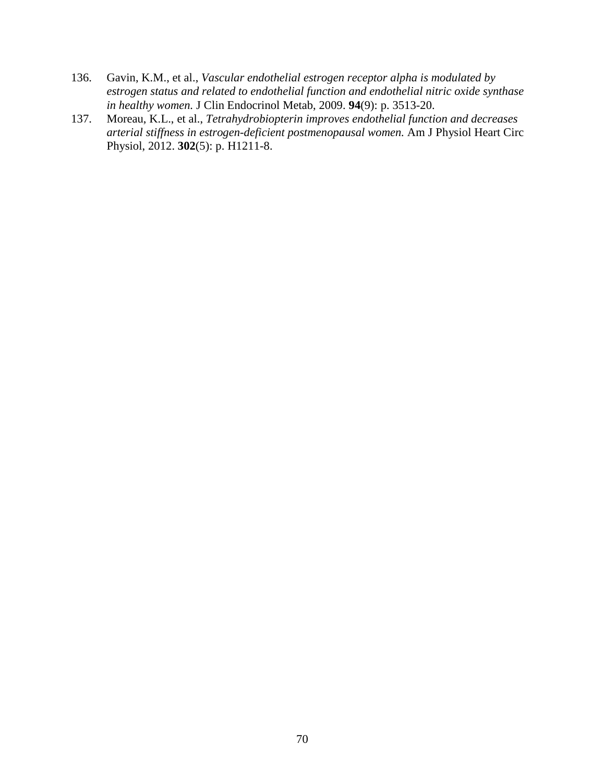- 136. Gavin, K.M., et al., *Vascular endothelial estrogen receptor alpha is modulated by estrogen status and related to endothelial function and endothelial nitric oxide synthase in healthy women.* J Clin Endocrinol Metab, 2009. **94**(9): p. 3513-20.
- 137. Moreau, K.L., et al., *Tetrahydrobiopterin improves endothelial function and decreases arterial stiffness in estrogen-deficient postmenopausal women.* Am J Physiol Heart Circ Physiol, 2012. **302**(5): p. H1211-8.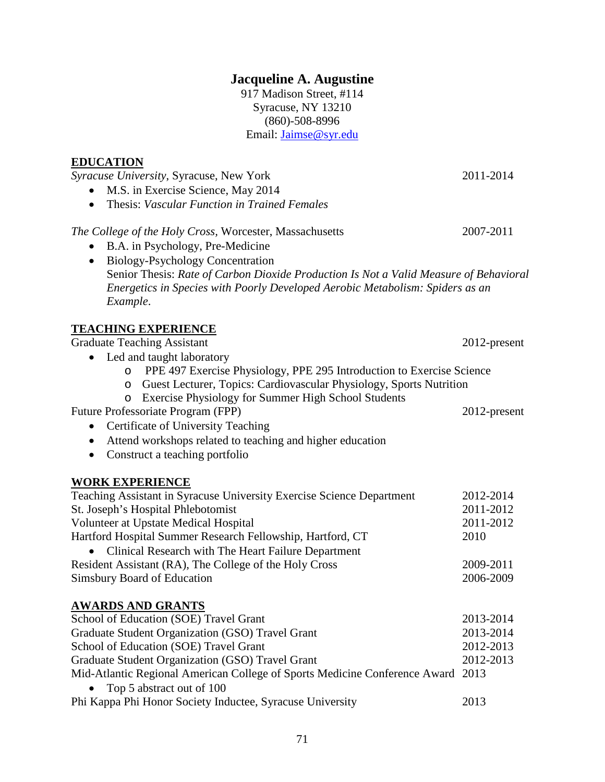# **Jacqueline A. Augustine**

917 Madison Street, #114 Syracuse, NY 13210 (860)-508-8996 Email: Jaimse@syr.edu

#### **EDUCATION**

*Syracuse University*, Syracuse, New York 2011-2014

- M.S. in Exercise Science, May 2014
- Thesis: *Vascular Function in Trained Females*

### *The College of the Holy Cross,* Worcester, Massachusetts 2007-2011

- B.A. in Psychology, Pre-Medicine
- Biology-Psychology Concentration Senior Thesis: *Rate of Carbon Dioxide Production Is Not a Valid Measure of Behavioral Energetics in Species with Poorly Developed Aerobic Metabolism: Spiders as an Example*.

# **TEACHING EXPERIENCE**

Graduate Teaching Assistant 2012-present

- Led and taught laboratory
	- o PPE 497 Exercise Physiology, PPE 295 Introduction to Exercise Science
	- o Guest Lecturer, Topics: Cardiovascular Physiology, Sports Nutrition
	- o Exercise Physiology for Summer High School Students

Future Professoriate Program (FPP) 2012-present

- Certificate of University Teaching
- Attend workshops related to teaching and higher education
- Construct a teaching portfolio

### **WORK EXPERIENCE**

| Teaching Assistant in Syracuse University Exercise Science Department | 2012-2014 |
|-----------------------------------------------------------------------|-----------|
| St. Joseph's Hospital Phlebotomist                                    | 2011-2012 |
| Volunteer at Upstate Medical Hospital                                 | 2011-2012 |
| Hartford Hospital Summer Research Fellowship, Hartford, CT            | 2010      |
| • Clinical Research with The Heart Failure Department                 |           |
| Resident Assistant (RA), The College of the Holy Cross                | 2009-2011 |
| Simsbury Board of Education                                           | 2006-2009 |

# **AWARDS AND GRANTS**

| School of Education (SOE) Travel Grant                                          | 2013-2014 |
|---------------------------------------------------------------------------------|-----------|
| Graduate Student Organization (GSO) Travel Grant                                | 2013-2014 |
| School of Education (SOE) Travel Grant                                          | 2012-2013 |
| Graduate Student Organization (GSO) Travel Grant                                | 2012-2013 |
| Mid-Atlantic Regional American College of Sports Medicine Conference Award 2013 |           |
| • Top 5 abstract out of $100$                                                   |           |
|                                                                                 |           |

| Phi Kappa Phi Honor Society Inductee, Syracuse University | 2013 |
|-----------------------------------------------------------|------|
|-----------------------------------------------------------|------|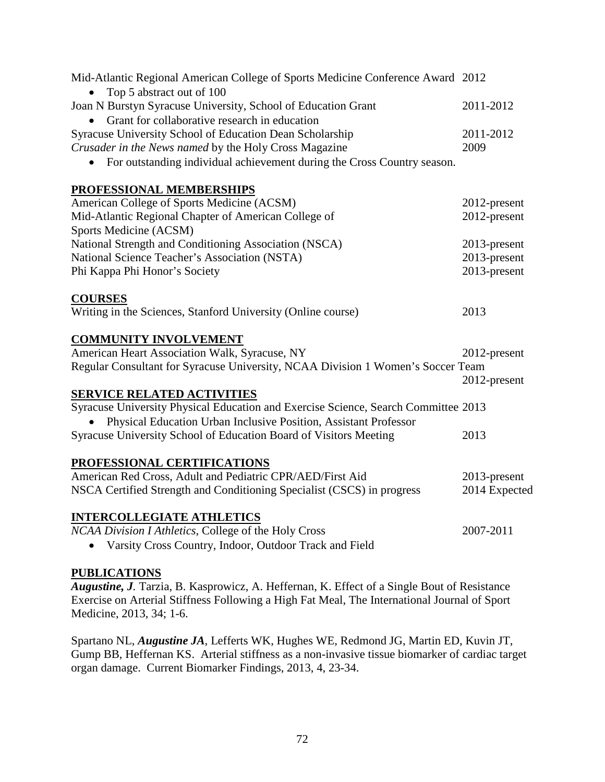| Mid-Atlantic Regional American College of Sports Medicine Conference Award 2012<br>Top 5 abstract out of 100   |               |
|----------------------------------------------------------------------------------------------------------------|---------------|
| Joan N Burstyn Syracuse University, School of Education Grant<br>Grant for collaborative research in education | 2011-2012     |
| Syracuse University School of Education Dean Scholarship                                                       | 2011-2012     |
| Crusader in the News named by the Holy Cross Magazine                                                          | 2009          |
| For outstanding individual achievement during the Cross Country season.<br>$\bullet$                           |               |
| PROFESSIONAL MEMBERSHIPS                                                                                       |               |
| American College of Sports Medicine (ACSM)                                                                     | 2012-present  |
| Mid-Atlantic Regional Chapter of American College of                                                           | 2012-present  |
| Sports Medicine (ACSM)                                                                                         |               |
| National Strength and Conditioning Association (NSCA)                                                          | 2013-present  |
| National Science Teacher's Association (NSTA)                                                                  | 2013-present  |
| Phi Kappa Phi Honor's Society                                                                                  | 2013-present  |
| <b>COURSES</b>                                                                                                 |               |
| Writing in the Sciences, Stanford University (Online course)                                                   | 2013          |
| <b>COMMUNITY INVOLVEMENT</b>                                                                                   |               |
| American Heart Association Walk, Syracuse, NY                                                                  | 2012-present  |
| Regular Consultant for Syracuse University, NCAA Division 1 Women's Soccer Team                                |               |
|                                                                                                                | 2012-present  |
| <b>SERVICE RELATED ACTIVITIES</b>                                                                              |               |
| Syracuse University Physical Education and Exercise Science, Search Committee 2013                             |               |
| Physical Education Urban Inclusive Position, Assistant Professor                                               |               |
| Syracuse University School of Education Board of Visitors Meeting                                              | 2013          |
| PROFESSIONAL CERTIFICATIONS                                                                                    |               |
| American Red Cross, Adult and Pediatric CPR/AED/First Aid                                                      | 2013-present  |
| NSCA Certified Strength and Conditioning Specialist (CSCS) in progress                                         | 2014 Expected |
| <b>INTERCOLLEGIATE ATHLETICS</b>                                                                               |               |
| NCAA Division I Athletics, College of the Holy Cross                                                           | 2007-2011     |
| • Varsity Cross Country, Indoor, Outdoor Track and Field                                                       |               |

### **PUBLICATIONS**

*Augustine, J.* Tarzia, B. Kasprowicz, A. Heffernan, K. Effect of a Single Bout of Resistance Exercise on Arterial Stiffness Following a High Fat Meal, The International Journal of Sport Medicine, 2013, 34; 1-6.

Spartano NL, *Augustine JA*, Lefferts WK, Hughes WE, Redmond JG, Martin ED, Kuvin JT, Gump BB, Heffernan KS. Arterial stiffness as a non-invasive tissue biomarker of cardiac target organ damage. Current Biomarker Findings, 2013, 4, 23-34.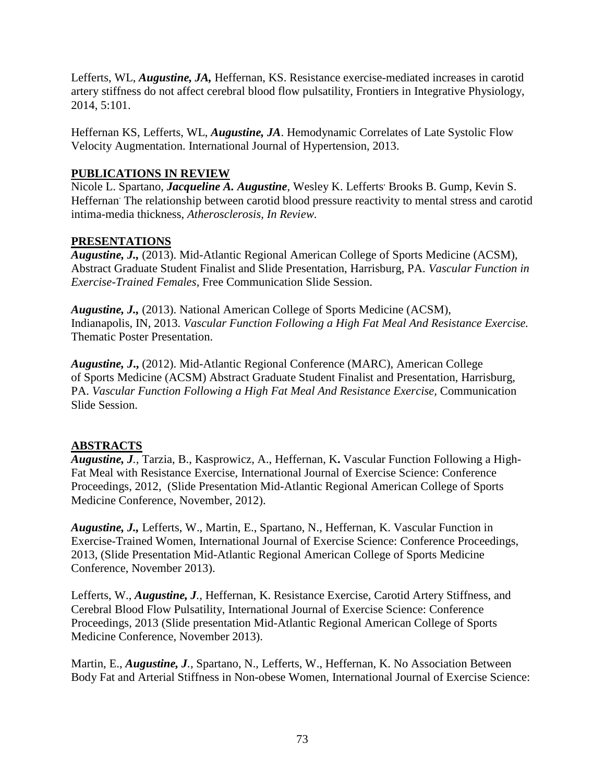Lefferts, WL, *Augustine, JA,* Heffernan, KS. Resistance exercise-mediated increases in carotid artery stiffness do not affect cerebral blood flow pulsatility, Frontiers in Integrative Physiology, 2014, 5:101.

Heffernan KS, Lefferts, WL, *Augustine, JA*. Hemodynamic Correlates of Late Systolic Flow Velocity Augmentation. International Journal of Hypertension, 2013.

## **PUBLICATIONS IN REVIEW**

Nicole L. Spartano, *Jacqueline A. Augustine*, Wesley K. Lefferts' Brooks B. Gump, Kevin S. Heffernan<sup>The relationship between carotid blood pressure reactivity to mental stress and carotid</sup> intima-media thickness, *Atherosclerosis, In Review.* 

### **PRESENTATIONS**

*Augustine, J.,* (2013). Mid-Atlantic Regional American College of Sports Medicine (ACSM), Abstract Graduate Student Finalist and Slide Presentation, Harrisburg, PA. *Vascular Function in Exercise-Trained Females,* Free Communication Slide Session.

*Augustine, J.,* (2013). National American College of Sports Medicine (ACSM), Indianapolis, IN, 2013. *Vascular Function Following a High Fat Meal And Resistance Exercise.*  Thematic Poster Presentation.

*Augustine, J***.,** (2012). Mid-Atlantic Regional Conference (MARC), American College of Sports Medicine (ACSM) Abstract Graduate Student Finalist and Presentation, Harrisburg, PA. *Vascular Function Following a High Fat Meal And Resistance Exercise*, Communication Slide Session.

# **ABSTRACTS**

*Augustine, J.,* Tarzia, B., Kasprowicz, A., Heffernan, K**.** Vascular Function Following a High-Fat Meal with Resistance Exercise, International Journal of Exercise Science: Conference Proceedings, 2012, (Slide Presentation Mid-Atlantic Regional American College of Sports Medicine Conference, November, 2012).

*Augustine, J.,* Lefferts, W., Martin, E., Spartano, N., Heffernan, K. Vascular Function in Exercise-Trained Women, International Journal of Exercise Science: Conference Proceedings, 2013, (Slide Presentation Mid-Atlantic Regional American College of Sports Medicine Conference, November 2013).

Lefferts, W., *Augustine, J.,* Heffernan, K. Resistance Exercise, Carotid Artery Stiffness, and Cerebral Blood Flow Pulsatility, International Journal of Exercise Science: Conference Proceedings, 2013 (Slide presentation Mid-Atlantic Regional American College of Sports Medicine Conference, November 2013).

Martin, E., *Augustine, J.,* Spartano, N., Lefferts, W., Heffernan, K. No Association Between Body Fat and Arterial Stiffness in Non-obese Women, International Journal of Exercise Science: